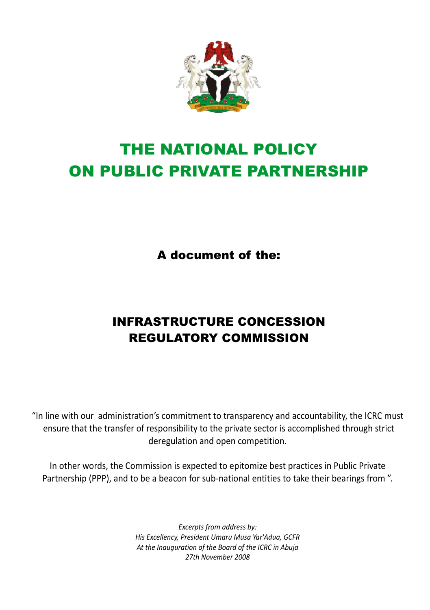

# THE NATIONAL POLICY ON PUBLIC PRIVATE PARTNERSHIP

A document of the:

# INFRASTRUCTURE CONCESSION REGULATORY COMMISSION

"In line with our administration's commitment to transparency and accountability, the ICRC must ensure that the transfer of responsibility to the private sector is accomplished through strict deregulation and open competition.

In other words, the Commission is expected to epitomize best practices in Public Private Partnership (PPP), and to be a beacon for sub-national entities to take their bearings from ".

> *Excerpts from address by: His Excellency, President Umaru Musa Yar'Adua, GCFR At the Inauguration of the Board of the ICRC in Abuja 27th November 2008*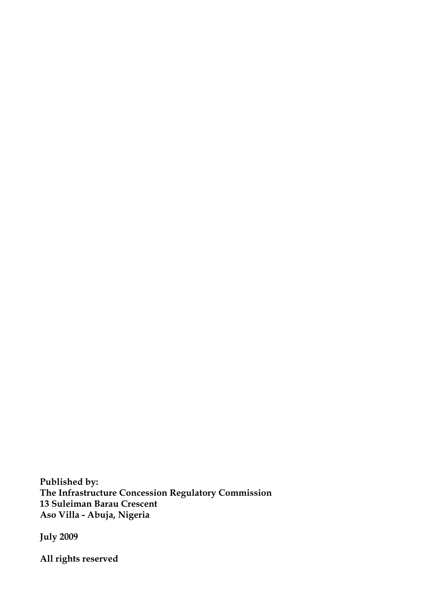**Published by: The Infrastructure Concession Regulatory Commission 13 Suleiman Barau Crescent Aso Villa - Abuja, Nigeria**

**July 2009**

**All rights reserved**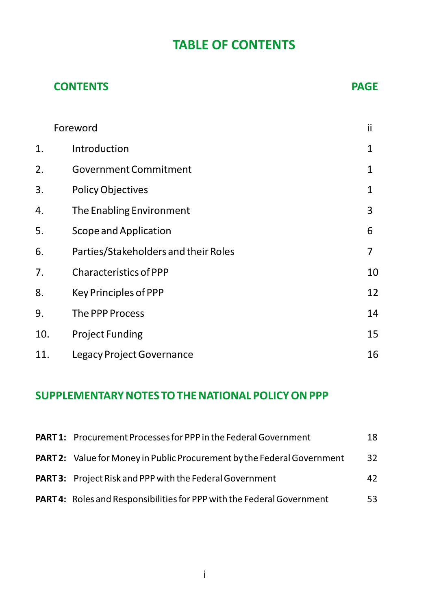# **TABLE OF CONTENTS**

#### **CONTENTS** PAGE

|     | Foreword                             | ii |
|-----|--------------------------------------|----|
| 1.  | Introduction                         | 1  |
| 2.  | <b>Government Commitment</b>         | 1  |
| 3.  | <b>Policy Objectives</b>             | 1  |
| 4.  | The Enabling Environment             | 3  |
| 5.  | Scope and Application                | 6  |
| 6.  | Parties/Stakeholders and their Roles | 7  |
| 7.  | Characteristics of PPP               | 10 |
| 8.  | Key Principles of PPP                | 12 |
| 9.  | The PPP Process                      | 14 |
| 10. | <b>Project Funding</b>               | 15 |
| 11. | Legacy Project Governance            | 16 |

### **SUPPLEMENTARY NOTES TO THE NATIONAL POLICY ON PPP**

| <b>PART 1:</b> Procurement Processes for PPP in the Federal Government         | 18  |
|--------------------------------------------------------------------------------|-----|
| <b>PART 2:</b> Value for Money in Public Procurement by the Federal Government | 32  |
| <b>PART 3:</b> Project Risk and PPP with the Federal Government                | 42  |
| PART 4: Roles and Responsibilities for PPP with the Federal Government         | 53. |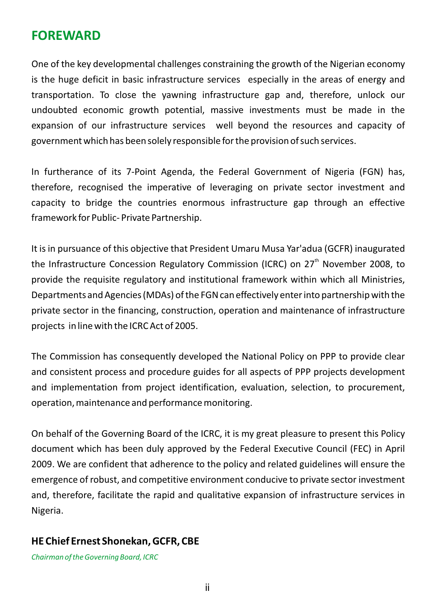### **FOREWARD**

One of the key developmental challenges constraining the growth of the Nigerian economy is the huge deficit in basic infrastructure services especially in the areas of energy and transportation. To close the yawning infrastructure gap and, therefore, unlock our undoubted economic growth potential, massive investments must be made in the expansion of our infrastructure services well beyond the resources and capacity of government which has been solely responsible for the provision of such services.

In furtherance of its 7-Point Agenda, the Federal Government of Nigeria (FGN) has, therefore, recognised the imperative of leveraging on private sector investment and capacity to bridge the countries enormous infrastructure gap through an effective framework for Public- Private Partnership.

It is in pursuance of this objective that President Umaru Musa Yar'adua (GCFR) inaugurated the Infrastructure Concession Regulatory Commission (ICRC) on  $27<sup>th</sup>$  November 2008, to provide the requisite regulatory and institutional framework within which all Ministries, Departments and Agencies (MDAs) of the FGN can effectively enter into partnership with the private sector in the financing, construction, operation and maintenance of infrastructure projects in line with the ICRC Act of 2005.

The Commission has consequently developed the National Policy on PPP to provide clear and consistent process and procedure guides for all aspects of PPP projects development and implementation from project identification, evaluation, selection, to procurement, operation, maintenance and performance monitoring.

On behalf of the Governing Board of the ICRC, it is my great pleasure to present this Policy document which has been duly approved by the Federal Executive Council (FEC) in April 2009. We are confident that adherence to the policy and related guidelines will ensure the emergence of robust, and competitive environment conducive to private sector investment and, therefore, facilitate the rapid and qualitative expansion of infrastructure services in Nigeria.

#### **HE Chief Ernest Shonekan, GCFR, CBE**

*Chairman of the Governing Board, ICRC*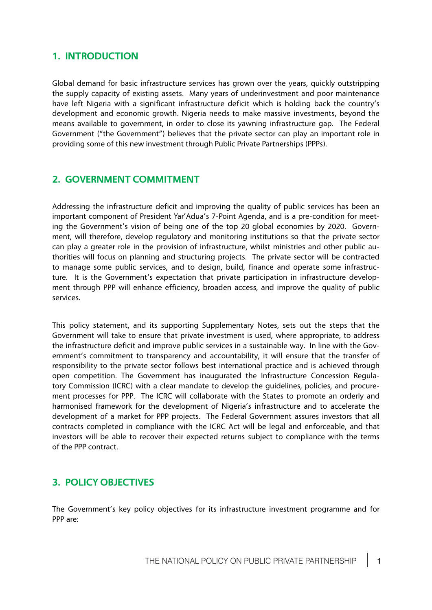# **1. INTRODUCTION**

Global demand for basic infrastructure services has grown over the years, quickly outstripping the supply capacity of existing assets. Many years of underinvestment and poor maintenance have left Nigeria with a significant infrastructure deficit which is holding back the country's development and economic growth. Nigeria needs to make massive investments, beyond the means available to government, in order to close its yawning infrastructure gap. The Federal Government ("the Government") believes that the private sector can play an important role in providing some of this new investment through Public Private Partnerships (PPPs).

# **2. GOVERNMENT COMMITMENT**

Addressing the infrastructure deficit and improving the quality of public services has been an important component of President Yar'Adua's 7-Point Agenda, and is a pre-condition for meeting the Government's vision of being one of the top 20 global economies by 2020. Government, will therefore, develop regulatory and monitoring institutions so that the private sector can play a greater role in the provision of infrastructure, whilst ministries and other public authorities will focus on planning and structuring projects. The private sector will be contracted to manage some public services, and to design, build, finance and operate some infrastructure. It is the Government's expectation that private participation in infrastructure development through PPP will enhance efficiency, broaden access, and improve the quality of public services.

This policy statement, and its supporting Supplementary Notes, sets out the steps that the Government will take to ensure that private investment is used, where appropriate, to address the infrastructure deficit and improve public services in a sustainable way. In line with the Government's commitment to transparency and accountability, it will ensure that the transfer of responsibility to the private sector follows best international practice and is achieved through open competition. The Government has inaugurated the Infrastructure Concession Regulatory Commission (ICRC) with a clear mandate to develop the guidelines, policies, and procurement processes for PPP. The ICRC will collaborate with the States to promote an orderly and harmonised framework for the development of Nigeria's infrastructure and to accelerate the development of a market for PPP projects. The Federal Government assures investors that all contracts completed in compliance with the ICRC Act will be legal and enforceable, and that investors will be able to recover their expected returns subject to compliance with the terms of the PPP contract.

# **3. POLICY OBJECTIVES**

The Government's key policy objectives for its infrastructure investment programme and for PPP are: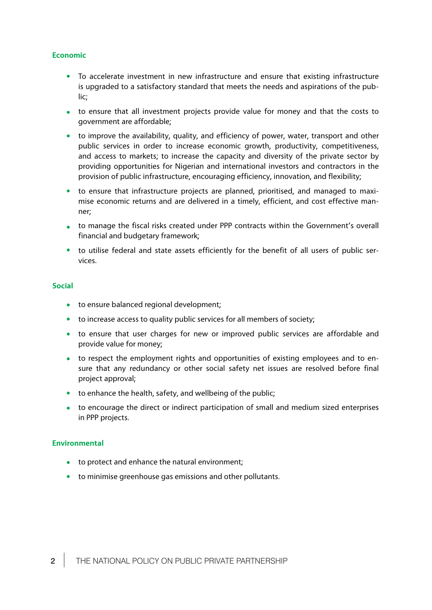#### **Economic**

- $\bullet$ To accelerate investment in new infrastructure and ensure that existing infrastructure is upgraded to a satisfactory standard that meets the needs and aspirations of the public;
- to ensure that all investment projects provide value for money and that the costs to government are affordable;
- to improve the availability, quality, and efficiency of power, water, transport and other public services in order to increase economic growth, productivity, competitiveness, and access to markets; to increase the capacity and diversity of the private sector by providing opportunities for Nigerian and international investors and contractors in the provision of public infrastructure, encouraging efficiency, innovation, and flexibility;
- to ensure that infrastructure projects are planned, prioritised, and managed to maximise economic returns and are delivered in a timely, efficient, and cost effective manner;
- to manage the fiscal risks created under PPP contracts within the Government's overall financial and budgetary framework;
- $\bullet$ to utilise federal and state assets efficiently for the benefit of all users of public services.

#### **Social**

- to ensure balanced regional development;
- to increase access to quality public services for all members of society;
- to ensure that user charges for new or improved public services are affordable and provide value for money;
- to respect the employment rights and opportunities of existing employees and to ensure that any redundancy or other social safety net issues are resolved before final project approval;
- to enhance the health, safety, and wellbeing of the public;
- to encourage the direct or indirect participation of small and medium sized enterprises in PPP projects.

#### **Environmental**

- to protect and enhance the natural environment;
- to minimise greenhouse gas emissions and other pollutants.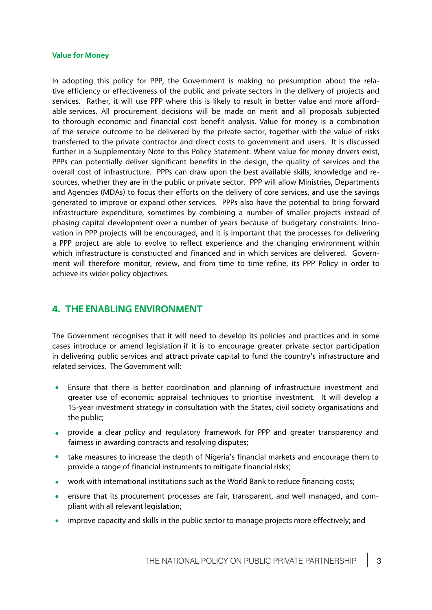#### **Value for Money**

In adopting this policy for PPP, the Government is making no presumption about the relative efficiency or effectiveness of the public and private sectors in the delivery of projects and services. Rather, it will use PPP where this is likely to result in better value and more affordable services. All procurement decisions will be made on merit and all proposals subjected to thorough economic and financial cost benefit analysis. Value for money is a combination of the service outcome to be delivered by the private sector, together with the value of risks transferred to the private contractor and direct costs to government and users. It is discussed further in a Supplementary Note to this Policy Statement. Where value for money drivers exist, PPPs can potentially deliver significant benefits in the design, the quality of services and the overall cost of infrastructure. PPPs can draw upon the best available skills, knowledge and resources, whether they are in the public or private sector. PPP will allow Ministries, Departments and Agencies (MDAs) to focus their efforts on the delivery of core services, and use the savings generated to improve or expand other services. PPPs also have the potential to bring forward infrastructure expenditure, sometimes by combining a number of smaller projects instead of phasing capital development over a number of years because of budgetary constraints. Innovation in PPP projects will be encouraged, and it is important that the processes for delivering a PPP project are able to evolve to reflect experience and the changing environment within which infrastructure is constructed and financed and in which services are delivered. Government will therefore monitor, review, and from time to time refine, its PPP Policy in order to achieve its wider policy objectives.

### **4. THE ENABLING ENVIRONMENT**

The Government recognises that it will need to develop its policies and practices and in some cases introduce or amend legislation if it is to encourage greater private sector participation in delivering public services and attract private capital to fund the country's infrastructure and related services. The Government will:

- Ensure that there is better coordination and planning of infrastructure investment and  $\bullet$ greater use of economic appraisal techniques to prioritise investment. It will develop a 15-year investment strategy in consultation with the States, civil society organisations and the public;
- **•** provide a clear policy and regulatory framework for PPP and greater transparency and fairness in awarding contracts and resolving disputes;
- take measures to increase the depth of Nigeria's financial markets and encourage them to provide a range of financial instruments to mitigate financial risks;
- work with international institutions such as the World Bank to reduce financing costs;
- ensure that its procurement processes are fair, transparent, and well managed, and compliant with all relevant legislation;
- improve capacity and skills in the public sector to manage projects more effectively; and $\bullet$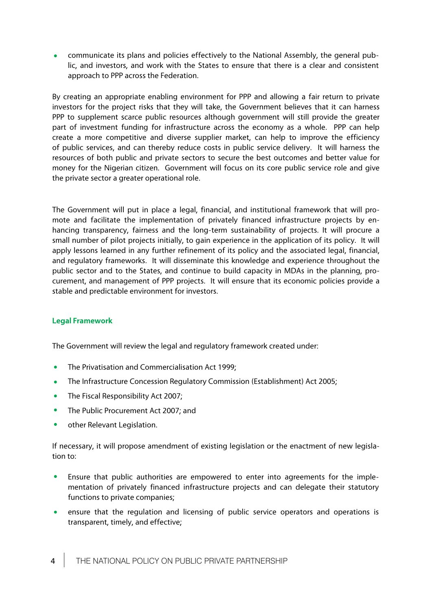communicate its plans and policies effectively to the National Assembly, the general pub- $\bullet$ lic, and investors, and work with the States to ensure that there is a clear and consistent approach to PPP across the Federation.

By creating an appropriate enabling environment for PPP and allowing a fair return to private investors for the project risks that they will take, the Government believes that it can harness PPP to supplement scarce public resources although government will still provide the greater part of investment funding for infrastructure across the economy as a whole. PPP can help create a more competitive and diverse supplier market, can help to improve the efficiency of public services, and can thereby reduce costs in public service delivery. It will harness the resources of both public and private sectors to secure the best outcomes and better value for money for the Nigerian citizen. Government will focus on its core public service role and give the private sector a greater operational role.

The Government will put in place a legal, financial, and institutional framework that will promote and facilitate the implementation of privately financed infrastructure projects by enhancing transparency, fairness and the long-term sustainability of projects. It will procure a small number of pilot projects initially, to gain experience in the application of its policy. It will apply lessons learned in any further refinement of its policy and the associated legal, financial, and regulatory frameworks. It will disseminate this knowledge and experience throughout the public sector and to the States, and continue to build capacity in MDAs in the planning, procurement, and management of PPP projects. It will ensure that its economic policies provide a stable and predictable environment for investors.

#### **Legal Framework**

The Government will review the legal and regulatory framework created under:

- $\bullet$ The Privatisation and Commercialisation Act 1999;
- The Infrastructure Concession Regulatory Commission (Establishment) Act 2005;  $\bullet$
- The Fiscal Responsibility Act 2007;  $\bullet$
- $\bullet$ The Public Procurement Act 2007; and
- $\bullet$ other Relevant Legislation.

If necessary, it will propose amendment of existing legislation or the enactment of new legislation to:

- $\bullet$ Ensure that public authorities are empowered to enter into agreements for the implementation of privately financed infrastructure projects and can delegate their statutory functions to private companies;
- ensure that the regulation and licensing of public service operators and operations is transparent, timely, and effective;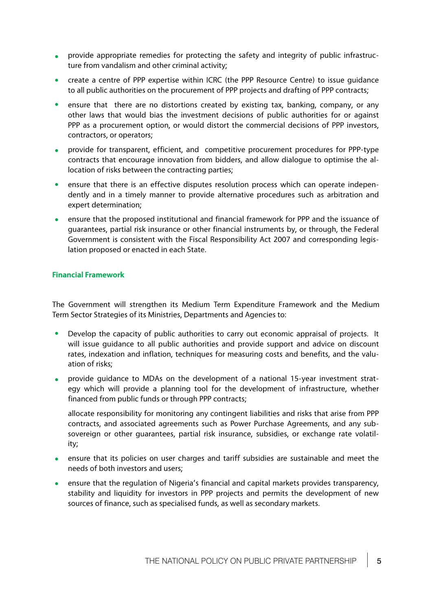- **•** provide appropriate remedies for protecting the safety and integrity of public infrastructure from vandalism and other criminal activity;
- create a centre of PPP expertise within ICRC (the PPP Resource Centre) to issue guidance to all public authorities on the procurement of PPP projects and drafting of PPP contracts;
- ensure that there are no distortions created by existing tax, banking, company, or any other laws that would bias the investment decisions of public authorities for or against PPP as a procurement option, or would distort the commercial decisions of PPP investors, contractors, or operators;
- **•** provide for transparent, efficient, and competitive procurement procedures for PPP-type contracts that encourage innovation from bidders, and allow dialogue to optimise the allocation of risks between the contracting parties;
- $\bullet$ ensure that there is an effective disputes resolution process which can operate independently and in a timely manner to provide alternative procedures such as arbitration and expert determination;
- ensure that the proposed institutional and financial framework for PPP and the issuance of guarantees, partial risk insurance or other financial instruments by, or through, the Federal Government is consistent with the Fiscal Responsibility Act 2007 and corresponding legislation proposed or enacted in each State.

#### **Financial Framework**

The Government will strengthen its Medium Term Expenditure Framework and the Medium Term Sector Strategies of its Ministries, Departments and Agencies to:

- Develop the capacity of public authorities to carry out economic appraisal of projects. It will issue guidance to all public authorities and provide support and advice on discount rates, indexation and inflation, techniques for measuring costs and benefits, and the valuation of risks;
- **•** provide guidance to MDAs on the development of a national 15-year investment strategy which will provide a planning tool for the development of infrastructure, whether financed from public funds or through PPP contracts;
- allocate responsibility for monitoring any contingent liabilities and risks that arise from PPP contracts, and associated agreements such as Power Purchase Agreements, and any subsovereign or other guarantees, partial risk insurance, subsidies, or exchange rate volatility;
- ensure that its policies on user charges and tariff subsidies are sustainable and meet the  $\bullet$ needs of both investors and users;
- ensure that the regulation of Nigeria's financial and capital markets provides transparency,  $\bullet$ stability and liquidity for investors in PPP projects and permits the development of new sources of finance, such as specialised funds, as well as secondary markets.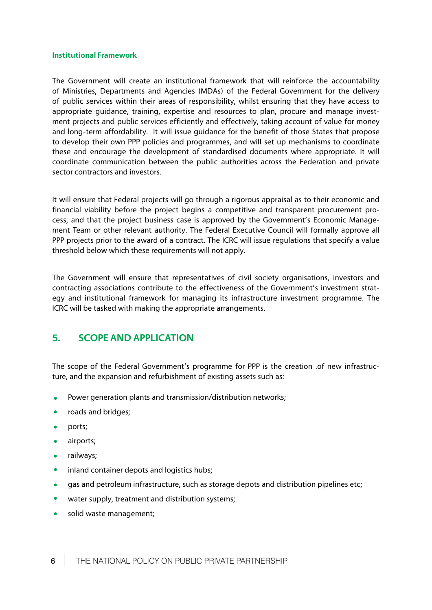#### **Institutional Framework**

The Government will create an institutional framework that will reinforce the accountability of Ministries, Departments and Agencies (MDAs) of the Federal Government for the delivery of public services within their areas of responsibility, whilst ensuring that they have access to appropriate guidance, training, expertise and resources to plan, procure and manage investment projects and public services efficiently and effectively, taking account of value for money and long-term affordability. It will issue guidance for the benefit of those States that propose to develop their own PPP policies and programmes, and will set up mechanisms to coordinate these and encourage the development of standardised documents where appropriate. It will coordinate communication between the public authorities across the Federation and private sector contractors and investors.

It will ensure that Federal projects will go through a rigorous appraisal as to their economic and financial viability before the project begins a competitive and transparent procurement process, and that the project business case is approved by the Government's Economic Management Team or other relevant authority. The Federal Executive Council will formally approve all PPP projects prior to the award of a contract. The ICRC will issue regulations that specify a value threshold below which these requirements will not apply.

The Government will ensure that representatives of civil society organisations, investors and contracting associations contribute to the effectiveness of the Government's investment strategy and institutional framework for managing its infrastructure investment programme. The ICRC will be tasked with making the appropriate arrangements.

# **5. SCOPE AND APPLICATION**

The scope of the Federal Government's programme for PPP is the creation .of new infrastructure, and the expansion and refurbishment of existing assets such as:

- Power generation plants and transmission/distribution networks;  $\bullet$
- roads and bridges;  $\bullet$
- $\bullet$ ports;
- $\bullet$ airports;
- railways;  $\bullet$
- $\bullet$ inland container depots and logistics hubs;
- $\bullet$ gas and petroleum infrastructure, such as storage depots and distribution pipelines etc;
- water supply, treatment and distribution systems;
- $\bullet$ solid waste management;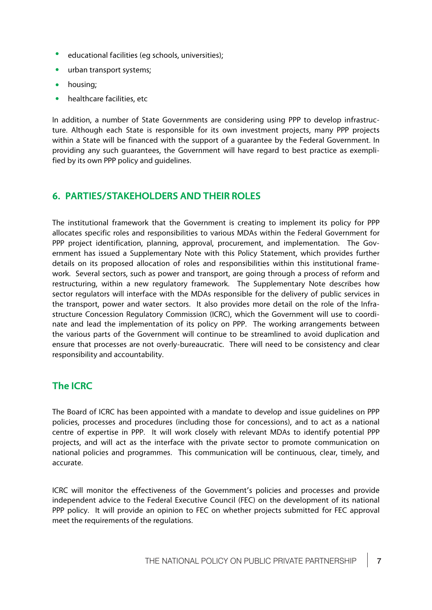- $\bullet$ educational facilities (eg schools, universities);
- $\bullet$ urban transport systems;
- housing;
- healthcare facilities, etc

In addition, a number of State Governments are considering using PPP to develop infrastructure. Although each State is responsible for its own investment projects, many PPP projects within a State will be financed with the support of a guarantee by the Federal Government. In providing any such guarantees, the Government will have regard to best practice as exemplified by its own PPP policy and guidelines.

# **6. PARTIES/STAKEHOLDERS AND THEIR ROLES**

The institutional framework that the Government is creating to implement its policy for PPP allocates specific roles and responsibilities to various MDAs within the Federal Government for PPP project identification, planning, approval, procurement, and implementation. The Government has issued a Supplementary Note with this Policy Statement, which provides further details on its proposed allocation of roles and responsibilities within this institutional framework. Several sectors, such as power and transport, are going through a process of reform and restructuring, within a new regulatory framework. The Supplementary Note describes how sector regulators will interface with the MDAs responsible for the delivery of public services in the transport, power and water sectors. It also provides more detail on the role of the Infrastructure Concession Regulatory Commission (ICRC), which the Government will use to coordinate and lead the implementation of its policy on PPP. The working arrangements between the various parts of the Government will continue to be streamlined to avoid duplication and ensure that processes are not overly-bureaucratic. There will need to be consistency and clear responsibility and accountability.

# **The ICRC**

The Board of ICRC has been appointed with a mandate to develop and issue guidelines on PPP policies, processes and procedures (including those for concessions), and to act as a national centre of expertise in PPP. It will work closely with relevant MDAs to identify potential PPP projects, and will act as the interface with the private sector to promote communication on national policies and programmes. This communication will be continuous, clear, timely, and accurate.

ICRC will monitor the effectiveness of the Government's policies and processes and provide independent advice to the Federal Executive Council (FEC) on the development of its national PPP policy. It will provide an opinion to FEC on whether projects submitted for FEC approval meet the requirements of the regulations.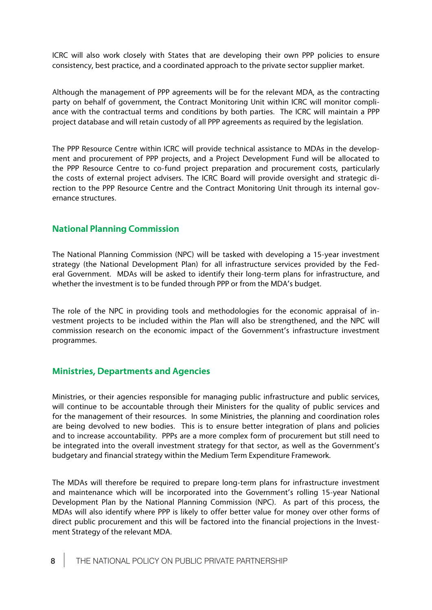ICRC will also work closely with States that are developing their own PPP policies to ensure consistency, best practice, and a coordinated approach to the private sector supplier market.

Although the management of PPP agreements will be for the relevant MDA, as the contracting party on behalf of government, the Contract Monitoring Unit within ICRC will monitor compliance with the contractual terms and conditions by both parties. The ICRC will maintain a PPP project database and will retain custody of all PPP agreements as required by the legislation.

The PPP Resource Centre within ICRC will provide technical assistance to MDAs in the development and procurement of PPP projects, and a Project Development Fund will be allocated to the PPP Resource Centre to co-fund project preparation and procurement costs, particularly the costs of external project advisers. The ICRC Board will provide oversight and strategic direction to the PPP Resource Centre and the Contract Monitoring Unit through its internal governance structures.

### **National Planning Commission**

The National Planning Commission (NPC) will be tasked with developing a 15-year investment strategy (the National Development Plan) for all infrastructure services provided by the Federal Government. MDAs will be asked to identify their long-term plans for infrastructure, and whether the investment is to be funded through PPP or from the MDA's budget.

The role of the NPC in providing tools and methodologies for the economic appraisal of investment projects to be included within the Plan will also be strengthened, and the NPC will commission research on the economic impact of the Government's infrastructure investment programmes.

### **Ministries, Departments and Agencies**

Ministries, or their agencies responsible for managing public infrastructure and public services, will continue to be accountable through their Ministers for the quality of public services and for the management of their resources. In some Ministries, the planning and coordination roles are being devolved to new bodies. This is to ensure better integration of plans and policies and to increase accountability. PPPs are a more complex form of procurement but still need to be integrated into the overall investment strategy for that sector, as well as the Government's budgetary and financial strategy within the Medium Term Expenditure Framework.

The MDAs will therefore be required to prepare long-term plans for infrastructure investment and maintenance which will be incorporated into the Government's rolling 15-year National Development Plan by the National Planning Commission (NPC). As part of this process, the MDAs will also identify where PPP is likely to offer better value for money over other forms of direct public procurement and this will be factored into the financial projections in the Investment Strategy of the relevant MDA.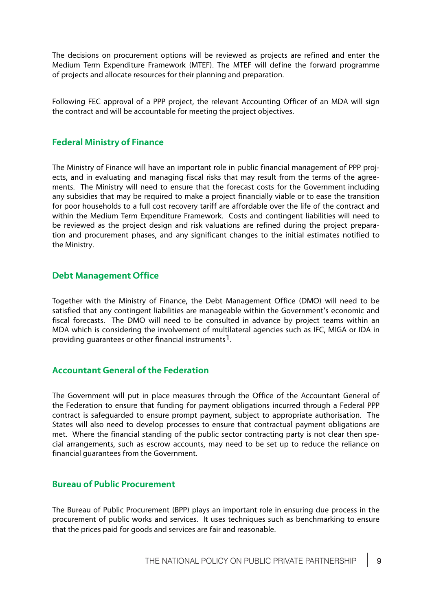The decisions on procurement options will be reviewed as projects are refined and enter the Medium Term Expenditure Framework (MTEF). The MTEF will define the forward programme of projects and allocate resources for their planning and preparation.

Following FEC approval of a PPP project, the relevant Accounting Officer of an MDA will sign the contract and will be accountable for meeting the project objectives.

### **Federal Ministry of Finance**

The Ministry of Finance will have an important role in public financial management of PPP projects, and in evaluating and managing fiscal risks that may result from the terms of the agreements. The Ministry will need to ensure that the forecast costs for the Government including any subsidies that may be required to make a project financially viable or to ease the transition for poor households to a full cost recovery tariffore affordable over the life of the contract and within the Medium Term Expenditure Framework. Costs and contingent liabilities will need to be reviewed as the project design and risk valuations are refined during the project preparation and procurement phases, and any significant changes to the initial estimates notified to the Ministry.

# **Debt Management Office**

Together with the Ministry of Finance, the Debt Management Office (DMO) will need to be satisfied that any contingent liabilities are manageable within the Government's economic and fiscal forecasts. The DMO will need to be consulted in advance by project teams within an MDA which is considering the involvement of multilateral agencies such as IFC, MIGA or IDA in providing guarantees or other financial instruments1.

### **Accountant General of the Federation**

The Government will put in place measures through the Office of the Accountant General of the Federation to ensure that funding for payment obligations incurred through a Federal PPP contract is safeguarded to ensure prompt payment, subject to appropriate authorisation. The States will also need to develop processes to ensure that contractual payment obligations are met. Where the financial standing of the public sector contracting party is not clear then special arrangements, such as escrow accounts, may need to be set up to reduce the reliance on financial guarantees from the Government.

### **Bureau of Public Procurement**

The Bureau of Public Procurement (BPP) plays an important role in ensuring due process in the procurement of public works and services. It uses techniques such as benchmarking to ensure that the prices paid for goods and services are fair and reasonable.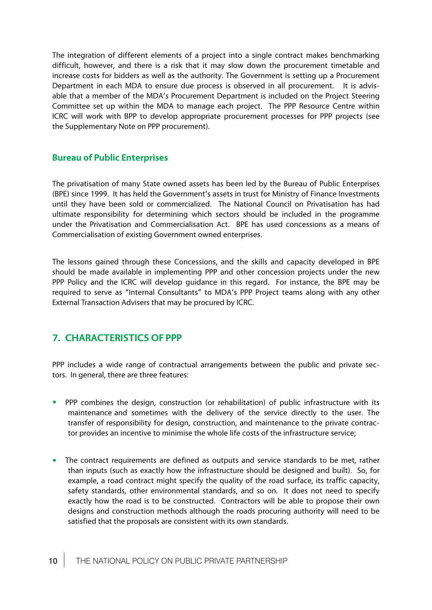The integration of different elements of a project into a single contract makes benchmarking difficult, however, and there is a risk that it may slow down the procurement timetable and increase costs for bidders as well as the authority. The Government is setting up a Procurement Department in each MDA to ensure due process is observed in all procurement. It is advisable that a member of the MDA's Procurement Department is included on the Project Steering Committee set up within the MDA to manage each project. The PPP Resource Centre within ICRC will work with BPP to develop appropriate procurement processes for PPP projects (see the Supplementary Note on PPP procurement).

### **Bureau of Public Enterprises**

The privatisation of many State owned assets has been led by the Bureau of Public Enterprises (BPE) since 1999. It has held the Government's assets in trust for Ministry of Finance Investments until they have been sold or commercialized. The National Council on Privatisation has had ultimate responsibility for determining which sectors should be included in the programme under the Privatisation and Commercialisation Act. BPE has used concessions as a means of Commercialisation of existing Government owned enterprises.

The lessons gained through these Concessions, and the skills and capacity developed in BPE should be made available in implementing PPP and other concession projects under the new PPP Policy and the ICRC will develop guidance in this regard. For instance, the BPE may be required to serve as "Internal Consultants" to MDA's PPP Project teams along with any other External Transaction Advisers that may be procured by ICRC.

# **7. CHARACTERISTICS OF PPP**

PPP includes a wide range of contractual arrangements between the public and private sectors. In general, there are three features:

- PPP combines the design, construction (or rehabilitation) of public infrastructure with its maintenance and sometimes with the delivery of the service directly to the user. The transfer of responsibility for design, construction, and maintenance to the private contractor provides an incentive to minimise the whole life costs of the infrastructure service;
- The contract requirements are defined as outputs and service standards to be met, rather than inputs (such as exactly how the infrastructure should be designed and built). So, for example, a road contract might specify the quality of the road surface, its traffic capacity, safety standards, other environmental standards, and so on. It does not need to specify exactly how the road is to be constructed. Contractors will be able to propose their own designs and construction methods although the roads procuring authority will need to be satisfied that the proposals are consistent with its own standards.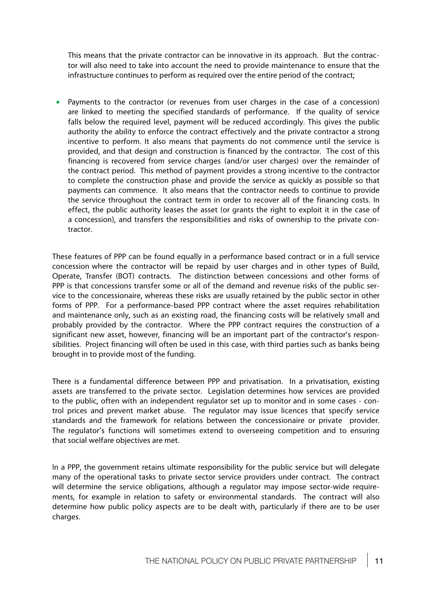This means that the private contractor can be innovative in its approach. But the contractor will also need to take into account the need to provide maintenance to ensure that the infrastructure continues to perform as required over the entire period of the contract;

 Payments to the contractor (or revenues from user charges in the case of a concession) are linked to meeting the specified standards of performance. If the quality of service falls below the required level, payment will be reduced accordingly. This gives the public authority the ability to enforce the contract effectively and the private contractor a strong incentive to perform. It also means that payments do not commence until the service is provided, and that design and construction is financed by the contractor. The cost of this financing is recovered from service charges (and/or user charges) over the remainder of the contract period. This method of payment provides a strong incentive to the contractor to complete the construction phase and provide the service as quickly as possible so that payments can commence. It also means that the contractor needs to continue to provide the service throughout the contract term in order to recover all of the financing costs. In effect, the public authority leases the asset (or grants the right to exploit it in the case of a concession), and transfers the responsibilities and risks of ownership to the private contractor.

These features of PPP can be found equally in a performance based contract or in a full service concession where the contractor will be repaid by user charges and in other types of Build, Operate, Transfer (BOT) contracts. The distinction between concessions and other forms of PPP is that concessions transfer some or all of the demand and revenue risks of the public service to the concessionaire, whereas these risks are usually retained by the public sector in other forms of PPP. For a performance-based PPP contract where the asset requires rehabilitation and maintenance only, such as an existing road, the financing costs will be relatively small and probably provided by the contractor. Where the PPP contract requires the construction of a significant new asset, however, financing will be an important part of the contractor's responsibilities. Project financing will often be used in this case, with third parties such as banks being brought in to provide most of the funding.

There is a fundamental difference between PPP and privatisation. In a privatisation, existing assets are transferred to the private sector. Legislation determines how services are provided to the public, often with an independent regulator set up to monitor and in some cases - control prices and prevent market abuse. The regulator may issue licences that specify service standards and the framework for relations between the concessionaire or private provider. The regulator's functions will sometimes extend to overseeing competition and to ensuring that social welfare objectives are met.

In a PPP, the government retains ultimate responsibility for the public service but will delegate many of the operational tasks to private sector service providers under contract. The contract will determine the service obligations, although a regulator may impose sector-wide requirements, for example in relation to safety or environmental standards. The contract will also determine how public policy aspects are to be dealt with, particularly if there are to be user charges.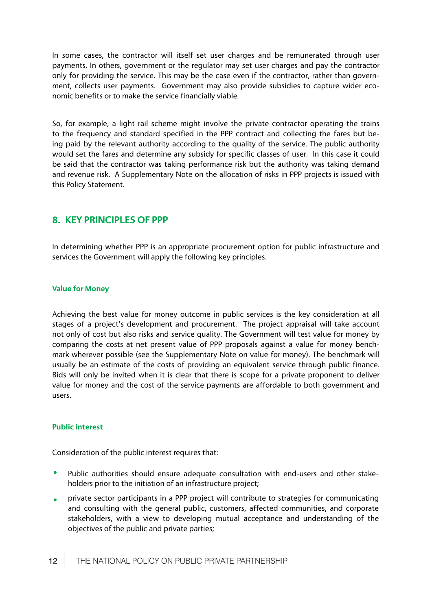In some cases, the contractor will itself set user charges and be remunerated through user payments. In others, government or the regulator may set user charges and pay the contractor only for providing the service. This may be the case even if the contractor, rather than government, collects user payments. Government may also provide subsidies to capture wider economic benefits or to make the service financially viable.

So, for example, a light rail scheme might involve the private contractor operating the trains to the frequency and standard specified in the PPP contract and collecting the fares but being paid by the relevant authority according to the quality of the service. The public authority would set the fares and determine any subsidy for specific classes of user. In this case it could be said that the contractor was taking performance risk but the authority was taking demand and revenue risk. A Supplementary Note on the allocation of risks in PPP projects is issued with this Policy Statement.

# **8. KEY PRINCIPLES OF PPP**

In determining whether PPP is an appropriate procurement option for public infrastructure and services the Government will apply the following key principles.

#### **Value for Money**

Achieving the best value for money outcome in public services is the key consideration at all stages of a project's development and procurement. The project appraisal will take account not only of cost but also risks and service quality. The Government will test value for money by comparing the costs at net present value of PPP proposals against a value for money benchmark wherever possible (see the Supplementary Note on value for money). The benchmark will usually be an estimate of the costs of providing an equivalent service through public finance. Bids will only be invited when it is clear that there is scope for a private proponent to deliver value for money and the cost of the service payments are affordable to both government and users.

#### **Public interest**

Consideration of the public interest requires that:

- $\bullet$ Public authorities should ensure adequate consultation with end-users and other stakeholders prior to the initiation of an infrastructure project;
- $\bullet$ private sector participants in a PPP project will contribute to strategies for communicating and consulting with the general public, customers, affected communities, and corporate stakeholders, with a view to developing mutual acceptance and understanding of the objectives of the public and private parties;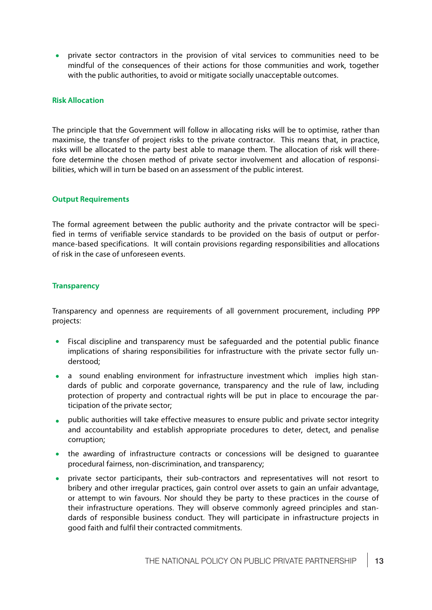**•** private sector contractors in the provision of vital services to communities need to be mindful of the consequences of their actions for those communities and work, together with the public authorities, to avoid or mitigate socially unacceptable outcomes.

#### **Risk Allocation**

The principle that the Government will follow in allocating risks will be to optimise, rather than maximise, the transfer of project risks to the private contractor. This means that, in practice, risks will be allocated to the party best able to manage them. The allocation of risk will therefore determine the chosen method of private sector involvement and allocation of responsibilities, which will in turn be based on an assessment of the public interest.

#### **Output Requirements**

The formal agreement between the public authority and the private contractor will be specified in terms of verifiable service standards to be provided on the basis of output or performance-based specifications. It will contain provisions regarding responsibilities and allocations of risk in the case of unforeseen events.

#### **Transparency**

Transparency and openness are requirements of all government procurement, including PPP projects:

- Fiscal discipline and transparency must be safeguarded and the potential public finance implications of sharing responsibilities for infrastructure with the private sector fully understood;
- a sound enabling environment for infrastructure investment which implies high standards of public and corporate governance, transparency and the rule of law, including protection of property and contractual rights will be put in place to encourage the participation of the private sector;
- **•** public authorities will take effective measures to ensure public and private sector integrity and accountability and establish appropriate procedures to deter, detect, and penalise corruption;
- the awarding of infrastructure contracts or concessions will be designed to guarantee procedural fairness, non-discrimination, and transparency;
- private sector participants, their sub-contractors and representatives will not resort to bribery and other irregular practices, gain control over assets to gain an unfair advantage, or attempt to win favours. Nor should they be party to these practices in the course of their infrastructure operations. They will observe commonly agreed principles and standards of responsible business conduct. They will participate in infrastructure projects in good faith and fulfil their contracted commitments.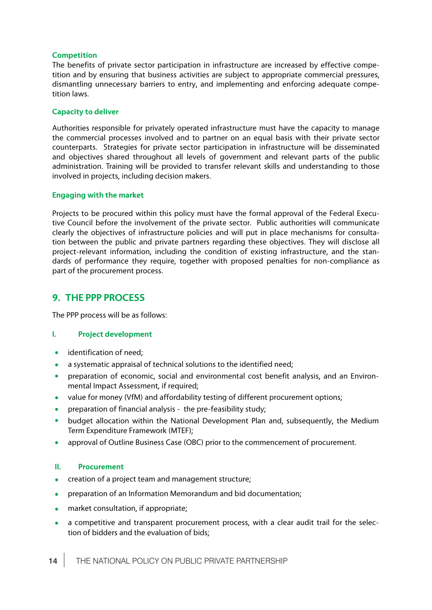#### **Competition**

The benefits of private sector participation in infrastructure are increased by effective competition and by ensuring that business activities are subject to appropriate commercial pressures, dismantling unnecessary barriers to entry, and implementing and enforcing adequate competition laws.

#### **Capacity to deliver**

Authorities responsible for privately operated infrastructure must have the capacity to manage the commercial processes involved and to partner on an equal basis with their private sector counterparts. Strategies for private sector participation in infrastructure will be disseminated and objectives shared throughout all levels of government and relevant parts of the public administration. Training will be provided to transfer relevant skills and understanding to those involved in projects, including decision makers.

#### **Engaging with the market**

Projects to be procured within this policy must have the formal approval of the Federal Executive Council before the involvement of the private sector. Public authorities will communicate clearly the objectives of infrastructure policies and will put in place mechanisms for consultation between the public and private partners regarding these objectives. They will disclose all project-relevant information, including the condition of existing infrastructure, and the standards of performance they require, together with proposed penalties for non-compliance as part of the procurement process.

# **9. THE PPP PROCESS**

The PPP process will be as follows:

#### **I. Project development**

- identification of need;  $\bullet$
- a systematic appraisal of technical solutions to the identified need;  $\bullet$
- preparation of economic, social and environmental cost benefit analysis, and an Environ- $\bullet$ mental Impact Assessment, if required;
- $\bullet$ value for money (VfM) and affordability testing of different procurement options;
- preparation of financial analysis the pre-feasibility study;
- budget allocation within the National Development Plan and, subsequently, the Medium  $\bullet$ Term Expenditure Framework (MTEF);
- approval of Outline Business Case (OBC) prior to the commencement of procurement.  $\bullet$

#### **II. Procurement**

- $\bullet$ creation of a project team and management structure;
- preparation of an Information Memorandum and bid documentation;  $\bullet$
- market consultation, if appropriate;  $\bullet$
- a competitive and transparent procurement process, with a clear audit trail for the selec- $\bullet$ tion of bidders and the evaluation of bids;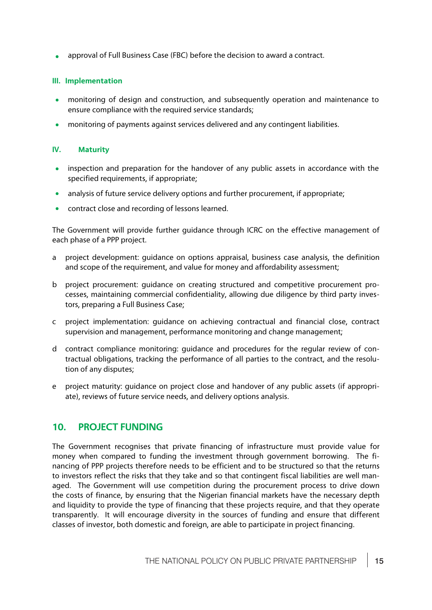**a** approval of Full Business Case (FBC) before the decision to award a contract.

#### **III. Implementation**

- monitoring of design and construction, and subsequently operation and maintenance to ensure compliance with the required service standards;
- monitoring of payments against services delivered and any contingent liabilities.  $\bullet$

#### **IV. Maturity**

- inspection and preparation for the handover of any public assets in accordance with the  $\bullet$ specified requirements, if appropriate;
- analysis of future service delivery options and further procurement, if appropriate;
- contract close and recording of lessons learned.

The Government will provide further guidance through ICRC on the effective management of each phase of a PPP project.

- a project development: guidance on options appraisal, business case analysis, the definition and scope of the requirement, and value for money and affordability assessment;
- b project procurement: guidance on creating structured and competitive procurement processes, maintaining commercial confidentiality, allowing due diligence by third party investors, preparing a Full Business Case;
- c project implementation: guidance on achieving contractual and financial close, contract supervision and management, performance monitoring and change management;
- d contract compliance monitoring: guidance and procedures for the regular review of contractual obligations, tracking the performance of all parties to the contract, and the resolution of any disputes;
- e project maturity: guidance on project close and handover of any public assets (if appropriate), reviews of future service needs, and delivery options analysis.

### **10. PROJECT FUNDING**

The Government recognises that private financing of infrastructure must provide value for money when compared to funding the investment through government borrowing. The financing of PPP projects therefore needs to be efficient and to be structured so that the returns to investors reflect the risks that they take and so that contingent fiscal liabilities are well managed. The Government will use competition during the procurement process to drive down the costs of finance, by ensuring that the Nigerian financial markets have the necessary depth and liquidity to provide the type of financing that these projects require, and that they operate transparently. It will encourage diversity in the sources of funding and ensure that different classes of investor, both domestic and foreign, are able to participate in project financing.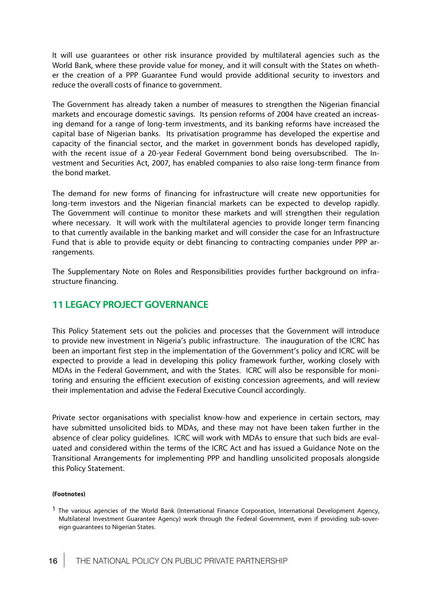It will use guarantees or other risk insurance provided by multilateral agencies such as the World Bank, where these provide value for money, and it will consult with the States on whether the creation of a PPP Guarantee Fund would provide additional security to investors and reduce the overall costs of finance to government.

The Government has already taken a number of measures to strengthen the Nigerian financial markets and encourage domestic savings. Its pension reforms of 2004 have created an increasing demand for a range of long-term investments, and its banking reforms have increased the capital base of Nigerian banks. Its privatisation programme has developed the expertise and capacity of the financial sector, and the market in government bonds has developed rapidly, with the recent issue of a 20-year Federal Government bond being oversubscribed. The Investment and Securities Act, 2007, has enabled companies to also raise long-term finance from the bond market.

The demand for new forms of financing for infrastructure will create new opportunities for long-term investors and the Nigerian financial markets can be expected to develop rapidly. The Government will continue to monitor these markets and will strengthen their regulation where necessary. It will work with the multilateral agencies to provide longer term financing to that currently available in the banking market and will consider the case for an Infrastructure Fund that is able to provide equity or debt financing to contracting companies under PPP arrangements.

The Supplementary Note on Roles and Responsibilities provides further background on infrastructure financing.

# **11 LEGACY PROJECT GOVERNANCE**

This Policy Statement sets out the policies and processes that the Government will introduce to provide new investment in Nigeria's public infrastructure. The inauguration of the ICRC has been an important first step in the implementation of the Government's policy and ICRC will be expected to provide a lead in developing this policy framework further, working closely with MDAs in the Federal Government, and with the States. ICRC will also be responsible for monitoring and ensuring the efficient execution of existing concession agreements, and will review their implementation and advise the Federal Executive Council accordingly.

Private sector organisations with specialist know-how and experience in certain sectors, may have submitted unsolicited bids to MDAs, and these may not have been taken further in the absence of clear policy guidelines. ICRC will work with MDAs to ensure that such bids are evaluated and considered within the terms of the ICRC Act and has issued a Guidance Note on the Transitional Arrangements for implementing PPP and handling unsolicited proposals alongside this Policy Statement.

#### **(Footnotes)**

<sup>&</sup>lt;sup>1</sup> The various agencies of the World Bank (International Finance Corporation, International Development Agency, Multilateral Investment Guarantee Agency) work through the Federal Government, even if providing sub-sovereign guarantees to Nigerian States.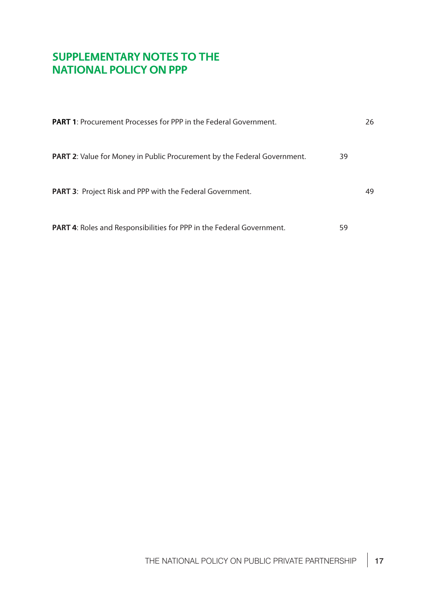# **SUPPLEMENTARY NOTES TO THE NATIONAL POLICY ON PPP**

| <b>PART 1:</b> Procurement Processes for PPP in the Federal Government.         |    | 26 |
|---------------------------------------------------------------------------------|----|----|
| <b>PART 2:</b> Value for Money in Public Procurement by the Federal Government. | 39 |    |
| <b>PART 3: Project Risk and PPP with the Federal Government.</b>                |    | 49 |
| <b>PART 4:</b> Roles and Responsibilities for PPP in the Federal Government.    | 59 |    |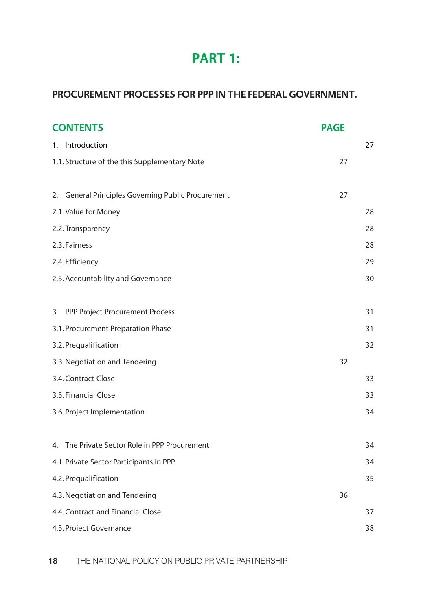# **PART 1:**

# **PROCUREMENT PROCESSES FOR PPP IN THE FEDERAL GOVERNMENT.**

| <b>CONTENTS</b>                                    |    |    |
|----------------------------------------------------|----|----|
| 1. Introduction                                    |    | 27 |
| 1.1. Structure of the this Supplementary Note      |    |    |
|                                                    |    |    |
| 2. General Principles Governing Public Procurement | 27 |    |
| 2.1. Value for Money                               |    | 28 |
| 2.2. Transparency                                  |    | 28 |
| 2.3. Fairness                                      |    | 28 |
| 2.4. Efficiency                                    |    | 29 |
| 2.5. Accountability and Governance                 |    | 30 |
|                                                    |    |    |
| 3. PPP Project Procurement Process                 |    | 31 |
| 3.1. Procurement Preparation Phase                 |    | 31 |
| 3.2. Prequalification                              |    | 32 |
| 3.3. Negotiation and Tendering                     | 32 |    |
| 3.4. Contract Close                                |    | 33 |
| 3.5. Financial Close                               |    | 33 |
| 3.6. Project Implementation                        |    | 34 |
|                                                    |    |    |
| The Private Sector Role in PPP Procurement<br>4.   |    | 34 |
| 4.1. Private Sector Participants in PPP            |    | 34 |
| 4.2. Prequalification                              |    | 35 |
| 4.3. Negotiation and Tendering                     |    |    |
| 4.4. Contract and Financial Close                  |    | 37 |
| 4.5. Project Governance                            |    | 38 |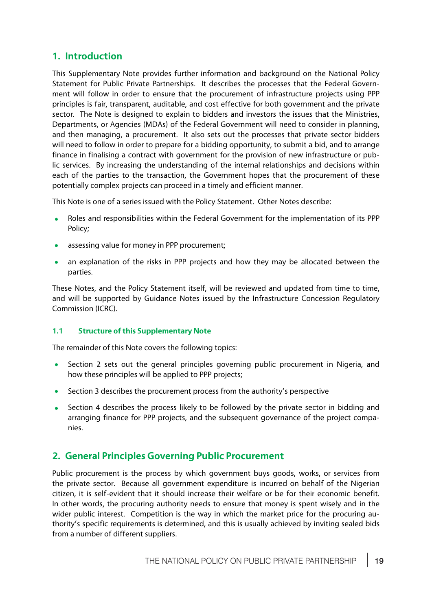# **1. Introduction**

This Supplementary Note provides further information and background on the National Policy Statement for Public Private Partnerships. It describes the processes that the Federal Government will follow in order to ensure that the procurement of infrastructure projects using PPP principles is fair, transparent, auditable, and cost effective for both government and the private sector. The Note is designed to explain to bidders and investors the issues that the Ministries, Departments, or Agencies (MDAs) of the Federal Government will need to consider in planning, and then managing, a procurement. It also sets out the processes that private sector bidders will need to follow in order to prepare for a bidding opportunity, to submit a bid, and to arrange finance in finalising a contract with government for the provision of new infrastructure or public services. By increasing the understanding of the internal relationships and decisions within each of the parties to the transaction, the Government hopes that the procurement of these potentially complex projects can proceed in a timely and efficient manner.

This Note is one of a series issued with the Policy Statement. Other Notes describe:

- · Roles and responsibilities within the Federal Government for the implementation of its PPP Policy;
- assessing value for money in PPP procurement;
- an explanation of the risks in PPP projects and how they may be allocated between the parties.

These Notes, and the Policy Statement itself, will be reviewed and updated from time to time, and will be supported by Guidance Notes issued by the Infrastructure Concession Regulatory Commission (ICRC).

### **1.1 Structure of this Supplementary Note**

The remainder of this Note covers the following topics:

- Section 2 sets out the general principles governing public procurement in Nigeria, and how these principles will be applied to PPP projects;
- · Section 3 describes the procurement process from the authority's perspective
- Section 4 describes the process likely to be followed by the private sector in bidding and arranging finance for PPP projects, and the subsequent governance of the project companies.

# **2. General Principles Governing Public Procurement**

Public procurement is the process by which government buys goods, works, or services from the private sector. Because all government expenditure is incurred on behalf of the Nigerian citizen, it is self-evident that it should increase their welfare or be for their economic benefit. In other words, the procuring authority needs to ensure that money is spent wisely and in the wider public interest. Competition is the way in which the market price for the procuring authority's specific requirements is determined, and this is usually achieved by inviting sealed bids from a number of different suppliers.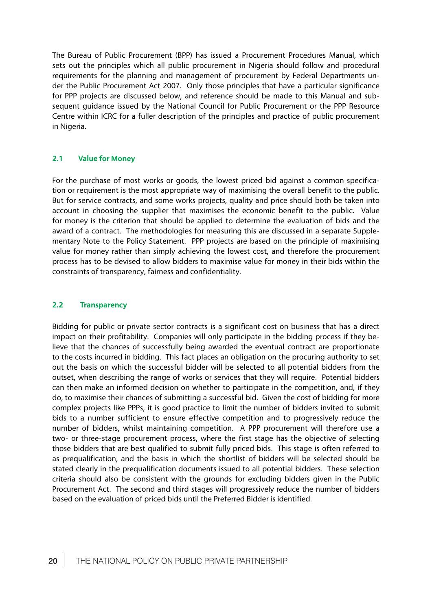The Bureau of Public Procurement (BPP) has issued a Procurement Procedures Manual, which sets out the principles which all public procurement in Nigeria should follow and procedural requirements for the planning and management of procurement by Federal Departments under the Public Procurement Act 2007. Only those principles that have a particular significance for PPP projects are discussed below, and reference should be made to this Manual and subsequent guidance issued by the National Council for Public Procurement or the PPP Resource Centre within ICRC for a fuller description of the principles and practice of public procurement in Nigeria.

#### **2.1 Value for Money**

For the purchase of most works or goods, the lowest priced bid against a common specification or requirement is the most appropriate way of maximising the overall benefit to the public. But for service contracts, and some works projects, quality and price should both be taken into account in choosing the supplier that maximises the economic benefit to the public. Value for money is the criterion that should be applied to determine the evaluation of bids and the award of a contract. The methodologies for measuring this are discussed in a separate Supplementary Note to the Policy Statement. PPP projects are based on the principle of maximising value for money rather than simply achieving the lowest cost, and therefore the procurement process has to be devised to allow bidders to maximise value for money in their bids within the constraints of transparency, fairness and confidentiality.

#### **2.2 Transparency**

Bidding for public or private sector contracts is a significant cost on business that has a direct impact on their profitability. Companies will only participate in the bidding process if they believe that the chances of successfully being awarded the eventual contract are proportionate to the costs incurred in bidding. This fact places an obligation on the procuring authority to set out the basis on which the successful bidder will be selected to all potential bidders from the outset, when describing the range of works or services that they will require. Potential bidders can then make an informed decision on whether to participate in the competition, and, if they do, to maximise their chances of submitting a successful bid. Given the cost of bidding for more complex projects like PPPs, it is good practice to limit the number of bidders invited to submit bids to a number sufficient to ensure effective competition and to progressively reduce the number of bidders, whilst maintaining competition. A PPP procurement will therefore use a two- or three-stage procurement process, where the first stage has the objective of selecting those bidders that are best qualified to submit fully priced bids. This stage is often referred to as prequalification, and the basis in which the shortlist of bidders will be selected should be stated clearly in the prequalification documents issued to all potential bidders. These selection criteria should also be consistent with the grounds for excluding bidders given in the Public Procurement Act. The second and third stages will progressively reduce the number of bidders based on the evaluation of priced bids until the Preferred Bidder is identified.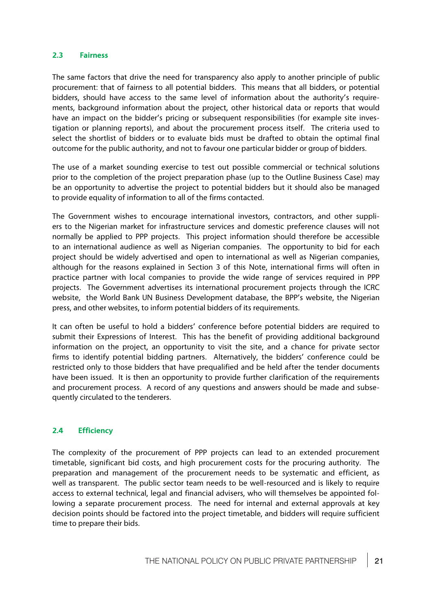#### **2.3 Fairness**

The same factors that drive the need for transparency also apply to another principle of public procurement: that of fairness to all potential bidders. This means that all bidders, or potential bidders, should have access to the same level of information about the authority's requirements, background information about the project, other historical data or reports that would have an impact on the bidder's pricing or subsequent responsibilities (for example site investigation or planning reports), and about the procurement process itself. The criteria used to select the shortlist of bidders or to evaluate bids must be drafted to obtain the optimal final outcome for the public authority, and not to favour one particular bidder or group of bidders.

The use of a market sounding exercise to test out possible commercial or technical solutions prior to the completion of the project preparation phase (up to the Outline Business Case) may be an opportunity to advertise the project to potential bidders but it should also be managed to provide equality of information to all of the firms contacted.

The Government wishes to encourage international investors, contractors, and other suppliers to the Nigerian market for infrastructure services and domestic preference clauses will not normally be applied to PPP projects. This project information should therefore be accessible to an international audience as well as Nigerian companies. The opportunity to bid for each project should be widely advertised and open to international as well as Nigerian companies, although for the reasons explained in Section 3 of this Note, international firms will often in practice partner with local companies to provide the wide range of services required in PPP projects. The Government advertises its international procurement projects through the ICRC website, the World Bank UN Business Development database, the BPP's website, the Nigerian press, and other websites, to inform potential bidders of its requirements.

It can often be useful to hold a bidders' conference before potential bidders are required to submit their Expressions of Interest. This has the benefit of providing additional background information on the project, an opportunity to visit the site, and a chance for private sector firms to identify potential bidding partners. Alternatively, the bidders' conference could be restricted only to those bidders that have prequalified and be held after the tender documents have been issued. It is then an opportunity to provide further clarification of the requirements and procurement process. A record of any questions and answers should be made and subsequently circulated to the tenderers.

#### **2.4 Efficiency**

The complexity of the procurement of PPP projects can lead to an extended procurement timetable, significant bid costs, and high procurement costs for the procuring authority. The preparation and management of the procurement needs to be systematic and efficient, as well as transparent. The public sector team needs to be well-resourced and is likely to require access to external technical, legal and financial advisers, who will themselves be appointed following a separate procurement process. The need for internal and external approvals at key decision points should be factored into the project timetable, and bidders will require sufficient time to prepare their bids.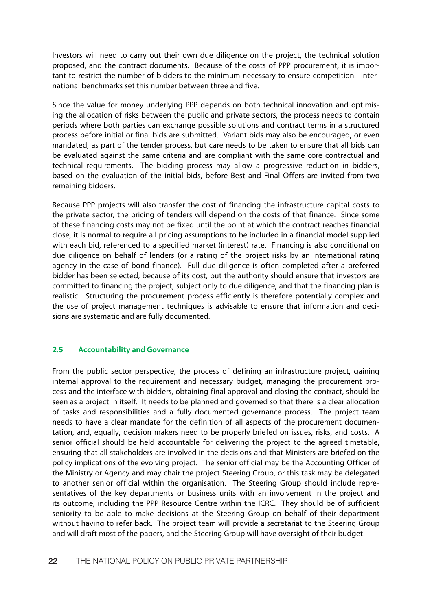Investors will need to carry out their own due diligence on the project, the technical solution proposed, and the contract documents. Because of the costs of PPP procurement, it is important to restrict the number of bidders to the minimum necessary to ensure competition. International benchmarks set this number between three and five.

Since the value for money underlying PPP depends on both technical innovation and optimising the allocation of risks between the public and private sectors, the process needs to contain periods where both parties can exchange possible solutions and contract terms in a structured process before initial or final bids are submitted. Variant bids may also be encouraged, or even mandated, as part of the tender process, but care needs to be taken to ensure that all bids can be evaluated against the same criteria and are compliant with the same core contractual and technical requirements. The bidding process may allow a progressive reduction in bidders, based on the evaluation of the initial bids, before Best and Final Offers are invited from two remaining bidders.

Because PPP projects will also transfer the cost of financing the infrastructure capital costs to the private sector, the pricing of tenders will depend on the costs of that finance. Since some of these financing costs may not be fixed until the point at which the contract reaches financial close, it is normal to require all pricing assumptions to be included in a financial model supplied with each bid, referenced to a specified market (interest) rate. Financing is also conditional on due diligence on behalf of lenders (or a rating of the project risks by an international rating agency in the case of bond finance). Full due diligence is often completed after a preferred bidder has been selected, because of its cost, but the authority should ensure that investors are committed to financing the project, subject only to due diligence, and that the financing plan is realistic. Structuring the procurement process efficiently is therefore potentially complex and the use of project management techniques is advisable to ensure that information and decisions are systematic and are fully documented.

#### **2.5 Accountability and Governance**

From the public sector perspective, the process of defining an infrastructure project, gaining internal approval to the requirement and necessary budget, managing the procurement process and the interface with bidders, obtaining final approval and closing the contract, should be seen as a project in itself. It needs to be planned and governed so that there is a clear allocation of tasks and responsibilities and a fully documented governance process. The project team needs to have a clear mandate for the definition of all aspects of the procurement documentation, and, equally, decision makers need to be properly briefed on issues, risks, and costs. A senior official should be held accountable for delivering the project to the agreed timetable, ensuring that all stakeholders are involved in the decisions and that Ministers are briefed on the policy implications of the evolving project. The senior official may be the Accounting Officer of the Ministry or Agency and may chair the project Steering Group, or this task may be delegated to another senior official within the organisation. The Steering Group should include representatives of the key departments or business units with an involvement in the project and its outcome, including the PPP Resource Centre within the ICRC. They should be of sufficient seniority to be able to make decisions at the Steering Group on behalf of their department without having to refer back. The project team will provide a secretariat to the Steering Group and will draft most of the papers, and the Steering Group will have oversight of their budget.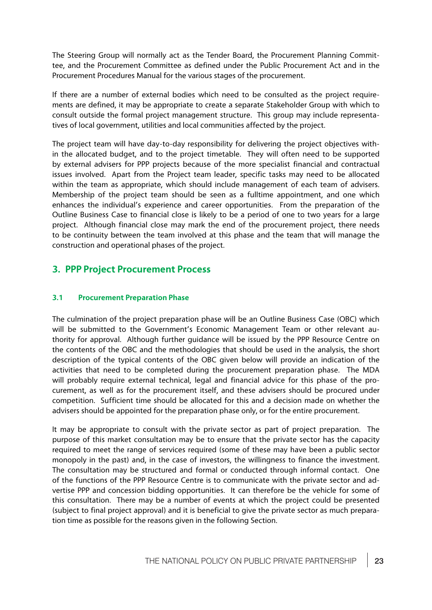The Steering Group will normally act as the Tender Board, the Procurement Planning Committee, and the Procurement Committee as defined under the Public Procurement Act and in the Procurement Procedures Manual for the various stages of the procurement.

If there are a number of external bodies which need to be consulted as the project requirements are defined, it may be appropriate to create a separate Stakeholder Group with which to consult outside the formal project management structure. This group may include representatives of local government, utilities and local communities affected by the project.

The project team will have day-to-day responsibility for delivering the project objectives within the allocated budget, and to the project timetable. They will often need to be supported by external advisers for PPP projects because of the more specialist financial and contractual issues involved. Apart from the Project team leader, specific tasks may need to be allocated within the team as appropriate, which should include management of each team of advisers. Membership of the project team should be seen as a fulltime appointment, and one which enhances the individual's experience and career opportunities. From the preparation of the Outline Business Case to financial close is likely to be a period of one to two years for a large project. Although financial close may mark the end of the procurement project, there needs to be continuity between the team involved at this phase and the team that will manage the construction and operational phases of the project.

# **3. PPP Project Procurement Process**

#### **3.1 Procurement Preparation Phase**

The culmination of the project preparation phase will be an Outline Business Case (OBC) which will be submitted to the Government's Economic Management Team or other relevant authority for approval. Although further guidance will be issued by the PPP Resource Centre on the contents of the OBC and the methodologies that should be used in the analysis, the short description of the typical contents of the OBC given below will provide an indication of the activities that need to be completed during the procurement preparation phase. The MDA will probably require external technical, legal and financial advice for this phase of the procurement, as well as for the procurement itself, and these advisers should be procured under competition. Sufficient time should be allocated for this and a decision made on whether the advisers should be appointed for the preparation phase only, or for the entire procurement.

It may be appropriate to consult with the private sector as part of project preparation. The purpose of this market consultation may be to ensure that the private sector has the capacity required to meet the range of services required (some of these may have been a public sector monopoly in the past) and, in the case of investors, the willingness to finance the investment. The consultation may be structured and formal or conducted through informal contact. One of the functions of the PPP Resource Centre is to communicate with the private sector and advertise PPP and concession bidding opportunities. It can therefore be the vehicle for some of this consultation. There may be a number of events at which the project could be presented (subject to final project approval) and it is beneficial to give the private sector as much preparation time as possible for the reasons given in the following Section.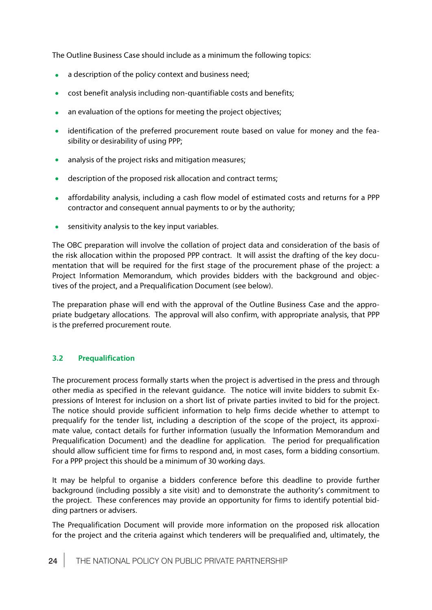The Outline Business Case should include as a minimum the following topics:

- a description of the policy context and business need;
- · cost benefit analysis including non-quantifiable costs and benefits;
- an evaluation of the options for meeting the project objectives;
- · identification of the preferred procurement route based on value for money and the feasibility or desirability of using PPP;
- analysis of the project risks and mitigation measures;
- description of the proposed risk allocation and contract terms;
- · affordability analysis, including a cash flow model of estimated costs and returns for a PPP contractor and consequent annual payments to or by the authority;
- sensitivity analysis to the key input variables.

The OBC preparation will involve the collation of project data and consideration of the basis of the risk allocation within the proposed PPP contract. It will assist the drafting of the key documentation that will be required for the first stage of the procurement phase of the project: a Project Information Memorandum, which provides bidders with the background and objectives of the project, and a Prequalification Document (see below).

The preparation phase will end with the approval of the Outline Business Case and the appropriate budgetary allocations. The approval will also confirm, with appropriate analysis, that PPP is the preferred procurement route.

#### **3.2 Prequalification**

The procurement process formally starts when the project is advertised in the press and through other media as specified in the relevant guidance. The notice will invite bidders to submit Expressions of Interest for inclusion on a short list of private parties invited to bid for the project. The notice should provide sufficient information to help firms decide whether to attempt to prequalify for the tender list, including a description of the scope of the project, its approximate value, contact details for further information (usually the Information Memorandum and Prequalification Document) and the deadline for application. The period for prequalification should allow sufficient time for firms to respond and, in most cases, form a bidding consortium. For a PPP project this should be a minimum of 30 working days.

It may be helpful to organise a bidders conference before this deadline to provide further background (including possibly a site visit) and to demonstrate the authority's commitment to the project. These conferences may provide an opportunity for firms to identify potential bidding partners or advisers.

The Prequalification Document will provide more information on the proposed risk allocation for the project and the criteria against which tenderers will be prequalified and, ultimately, the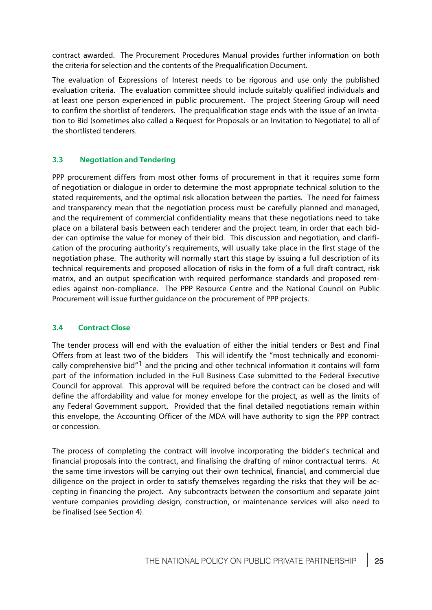contract awarded. The Procurement Procedures Manual provides further information on both the criteria for selection and the contents of the Prequalification Document.

The evaluation of Expressions of Interest needs to be rigorous and use only the published evaluation criteria. The evaluation committee should include suitably qualified individuals and at least one person experienced in public procurement. The project Steering Group will need to confirm the shortlist of tenderers. The prequalification stage ends with the issue of an Invitation to Bid (sometimes also called a Request for Proposals or an Invitation to Negotiate) to all of the shortlisted tenderers.

#### **3.3 Negotiation and Tendering**

PPP procurement differs from most other forms of procurement in that it requires some form of negotiation or dialogue in order to determine the most appropriate technical solution to the stated requirements, and the optimal risk allocation between the parties. The need for fairness and transparency mean that the negotiation process must be carefully planned and managed, and the requirement of commercial confidentiality means that these negotiations need to take place on a bilateral basis between each tenderer and the project team, in order that each bidder can optimise the value for money of their bid. This discussion and negotiation, and clarification of the procuring authority's requirements, will usually take place in the first stage of the negotiation phase. The authority will normally start this stage by issuing a full description of its technical requirements and proposed allocation of risks in the form of a full draft contract, risk matrix, and an output specification with required performance standards and proposed remedies against non-compliance. The PPP Resource Centre and the National Council on Public Procurement will issue further guidance on the procurement of PPP projects.

#### **3.4 Contract Close**

The tender process will end with the evaluation of either the initial tenders or Best and Final Offers from at least two of the bidders This will identify the "most technically and economically comprehensive bid"1 and the pricing and other technical information it contains will form part of the information included in the Full Business Case submitted to the Federal Executive Council for approval. This approval will be required before the contract can be closed and will define the affordability and value for money envelope for the project, as well as the limits of any Federal Government support. Provided that the final detailed negotiations remain within this envelope, the Accounting Officer of the MDA will have authority to sign the PPP contract or concession.

The process of completing the contract will involve incorporating the bidder's technical and financial proposals into the contract, and finalising the drafting of minor contractual terms. At the same time investors will be carrying out their own technical, financial, and commercial due diligence on the project in order to satisfy themselves regarding the risks that they will be accepting in financing the project. Any subcontracts between the consortium and separate joint venture companies providing design, construction, or maintenance services will also need to be finalised (see Section 4).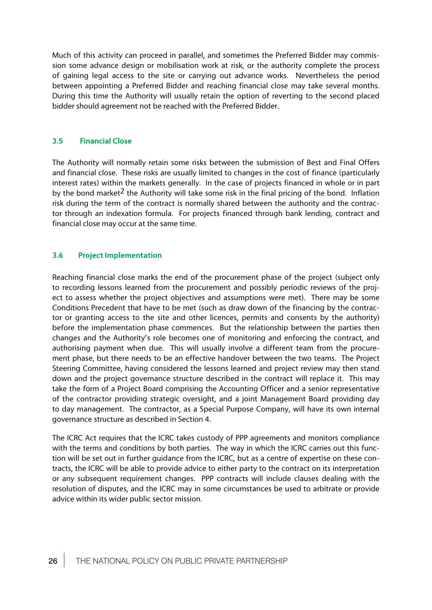Much of this activity can proceed in parallel, and sometimes the Preferred Bidder may commission some advance design or mobilisation work at risk, or the authority complete the process of gaining legal access to the site or carrying out advance works. Nevertheless the period between appointing a Preferred Bidder and reaching financial close may take several months. During this time the Authority will usually retain the option of reverting to the second placed bidder should agreement not be reached with the Preferred Bidder.

#### **3.5 Financial Close**

The Authority will normally retain some risks between the submission of Best and Final Offers and financial close. These risks are usually limited to changes in the cost of finance (particularly interest rates) within the markets generally. In the case of projects financed in whole or in part by the bond market<sup>2</sup> the Authority will take some risk in the final pricing of the bond. Inflation risk during the term of the contract is normally shared between the authority and the contractor through an indexation formula. For projects financed through bank lending, contract and financial close may occur at the same time.

#### **3.6 Project Implementation**

Reaching financial close marks the end of the procurement phase of the project (subject only to recording lessons learned from the procurement and possibly periodic reviews of the project to assess whether the project objectives and assumptions were met). There may be some Conditions Precedent that have to be met (such as draw down of the financing by the contractor or granting access to the site and other licences, permits and consents by the authority) before the implementation phase commences. But the relationship between the parties then changes and the Authority's role becomes one of monitoring and enforcing the contract, and authorising payment when due. This will usually involve a different team from the procurement phase, but there needs to be an effective handover between the two teams. The Project Steering Committee, having considered the lessons learned and project review may then stand down and the project governance structure described in the contract will replace it. This may take the form of a Project Board comprising the Accounting Officer and a senior representative of the contractor providing strategic oversight, and a joint Management Board providing day to day management. The contractor, as a Special Purpose Company, will have its own internal governance structure as described in Section 4.

The ICRC Act requires that the ICRC takes custody of PPP agreements and monitors compliance with the terms and conditions by both parties. The way in which the ICRC carries out this function will be set out in further guidance from the ICRC, but as a centre of expertise on these contracts, the ICRC will be able to provide advice to either party to the contract on its interpretation or any subsequent requirement changes. PPP contracts will include clauses dealing with the resolution of disputes, and the ICRC may in some circumstances be used to arbitrate or provide advice within its wider public sector mission.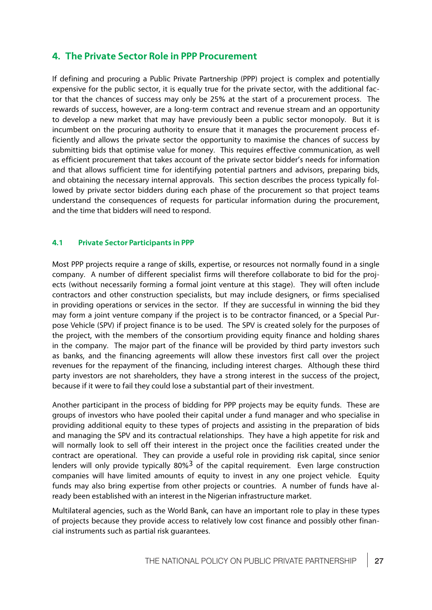# **4. The Private Sector Role in PPP Procurement**

If defining and procuring a Public Private Partnership (PPP) project is complex and potentially expensive for the public sector, it is equally true for the private sector, with the additional factor that the chances of success may only be 25% at the start of a procurement process. The rewards of success, however, are a long-term contract and revenue stream and an opportunity to develop a new market that may have previously been a public sector monopoly. But it is incumbent on the procuring authority to ensure that it manages the procurement process efficiently and allows the private sector the opportunity to maximise the chances of success by submitting bids that optimise value for money. This requires effective communication, as well as efficient procurement that takes account of the private sector bidder's needs for information and that allows sufficient time for identifying potential partners and advisors, preparing bids, and obtaining the necessary internal approvals. This section describes the process typically followed by private sector bidders during each phase of the procurement so that project teams understand the consequences of requests for particular information during the procurement, and the time that bidders will need to respond.

#### **4.1 Private Sector Participants in PPP**

Most PPP projects require a range of skills, expertise, or resources not normally found in a single company. A number of different specialist firms will therefore collaborate to bid for the projects (without necessarily forming a formal joint venture at this stage). They will often include contractors and other construction specialists, but may include designers, or firms specialised in providing operations or services in the sector. If they are successful in winning the bid they may form a joint venture company if the project is to be contractor financed, or a Special Purpose Vehicle (SPV) if project finance is to be used. The SPV is created solely for the purposes of the project, with the members of the consortium providing equity finance and holding shares in the company. The major part of the finance will be provided by third party investors such as banks, and the financing agreements will allow these investors first call over the project revenues for the repayment of the financing, including interest charges. Although these third party investors are not shareholders, they have a strong interest in the success of the project, because if it were to fail they could lose a substantial part of their investment.

Another participant in the process of bidding for PPP projects may be equity funds. These are groups of investors who have pooled their capital under a fund manager and who specialise in providing additional equity to these types of projects and assisting in the preparation of bids and managing the SPV and its contractual relationships. They have a high appetite for risk and will normally look to sell off their interest in the project once the facilities created under the contract are operational. They can provide a useful role in providing risk capital, since senior lenders will only provide typically  $80\%$ <sup>3</sup> of the capital requirement. Even large construction companies will have limited amounts of equity to invest in any one project vehicle. Equity funds may also bring expertise from other projects or countries. A number of funds have already been established with an interest in the Nigerian infrastructure market.

Multilateral agencies, such as the World Bank, can have an important role to play in these types of projects because they provide access to relatively low cost finance and possibly other financial instruments such as partial risk guarantees.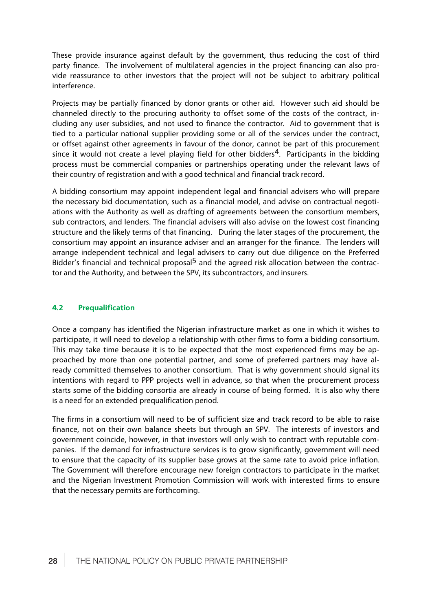These provide insurance against default by the government, thus reducing the cost of third party finance. The involvement of multilateral agencies in the project financing can also provide reassurance to other investors that the project will not be subject to arbitrary political interference.

Projects may be partially financed by donor grants or other aid. However such aid should be channeled directly to the procuring authority to offset some of the costs of the contract, including any user subsidies, and not used to finance the contractor. Aid to government that is tied to a particular national supplier providing some or all of the services under the contract, or offset against other agreements in favour of the donor, cannot be part of this procurement since it would not create a level playing field for other bidders<sup>4</sup>. Participants in the bidding process must be commercial companies or partnerships operating under the relevant laws of their country of registration and with a good technical and financial track record.

A bidding consortium may appoint independent legal and financial advisers who will prepare the necessary bid documentation, such as a financial model, and advise on contractual negotiations with the Authority as well as drafting of agreements between the consortium members, sub contractors, and lenders. The financial advisers will also advise on the lowest cost financing structure and the likely terms of that financing. During the later stages of the procurement, the consortium may appoint an insurance adviser and an arranger for the finance. The lenders will arrange independent technical and legal advisers to carry out due diligence on the Preferred Bidder's financial and technical proposal<sup>5</sup> and the agreed risk allocation between the contractor and the Authority, and between the SPV, its subcontractors, and insurers.

#### **4.2 Prequalification**

Once a company has identified the Nigerian infrastructure market as one in which it wishes to participate, it will need to develop a relationship with other firms to form a bidding consortium. This may take time because it is to be expected that the most experienced firms may be approached by more than one potential partner, and some of preferred partners may have already committed themselves to another consortium. That is why government should signal its intentions with regard to PPP projects well in advance, so that when the procurement process starts some of the bidding consortia are already in course of being formed. It is also why there is a need for an extended prequalification period.

The firms in a consortium will need to be of sufficient size and track record to be able to raise finance, not on their own balance sheets but through an SPV. The interests of investors and government coincide, however, in that investors will only wish to contract with reputable companies. If the demand for infrastructure services is to grow significantly, government will need to ensure that the capacity of its supplier base grows at the same rate to avoid price inflation. The Government will therefore encourage new foreign contractors to participate in the market and the Nigerian Investment Promotion Commission will work with interested firms to ensure that the necessary permits are forthcoming.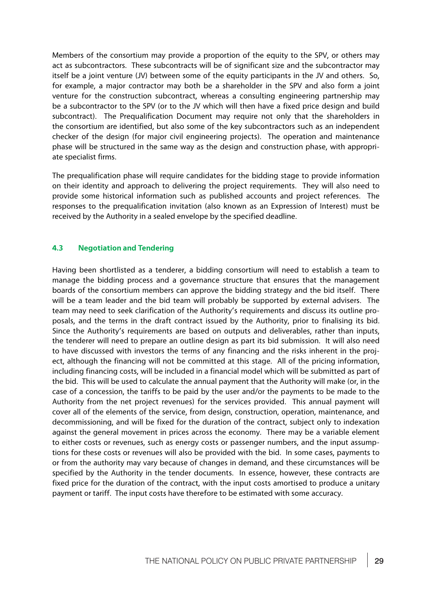Members of the consortium may provide a proportion of the equity to the SPV, or others may act as subcontractors. These subcontracts will be of significant size and the subcontractor may itself be a joint venture (JV) between some of the equity participants in the JV and others. So, for example, a major contractor may both be a shareholder in the SPV and also form a joint venture for the construction subcontract, whereas a consulting engineering partnership may be a subcontractor to the SPV (or to the JV which will then have a fixed price design and build subcontract). The Prequalification Document may require not only that the shareholders in the consortium are identified, but also some of the key subcontractors such as an independent checker of the design (for major civil engineering projects). The operation and maintenance phase will be structured in the same way as the design and construction phase, with appropriate specialist firms.

The prequalification phase will require candidates for the bidding stage to provide information on their identity and approach to delivering the project requirements. They will also need to provide some historical information such as published accounts and project references. The responses to the prequalification invitation (also known as an Expression of Interest) must be received by the Authority in a sealed envelope by the specified deadline.

#### **4.3 Negotiation and Tendering**

Having been shortlisted as a tenderer, a bidding consortium will need to establish a team to manage the bidding process and a governance structure that ensures that the management boards of the consortium members can approve the bidding strategy and the bid itself. There will be a team leader and the bid team will probably be supported by external advisers. The team may need to seek clarification of the Authority's requirements and discuss its outline proposals, and the terms in the draft contract issued by the Authority, prior to finalising its bid. Since the Authority's requirements are based on outputs and deliverables, rather than inputs, the tenderer will need to prepare an outline design as part its bid submission. It will also need to have discussed with investors the terms of any financing and the risks inherent in the project, although the financing will not be committed at this stage. All of the pricing information, including financing costs, will be included in a financial model which will be submitted as part of the bid. This will be used to calculate the annual payment that the Authority will make (or, in the case of a concession, the tariffs to be paid by the user and/or the payments to be made to the Authority from the net project revenues) for the services provided. This annual payment will cover all of the elements of the service, from design, construction, operation, maintenance, and decommissioning, and will be fixed for the duration of the contract, subject only to indexation against the general movement in prices across the economy. There may be a variable element to either costs or revenues, such as energy costs or passenger numbers, and the input assumptions for these costs or revenues will also be provided with the bid. In some cases, payments to or from the authority may vary because of changes in demand, and these circumstances will be specified by the Authority in the tender documents. In essence, however, these contracts are fixed price for the duration of the contract, with the input costs amortised to produce a unitary payment or tariff. The input costs have therefore to be estimated with some accuracy.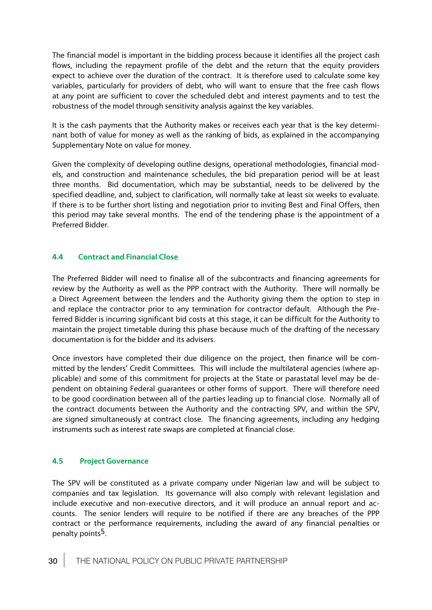The financial model is important in the bidding process because it identifies all the project cash flows, including the repayment profile of the debt and the return that the equity providers expect to achieve over the duration of the contract. It is therefore used to calculate some key variables, particularly for providers of debt, who will want to ensure that the free cash flows at any point are sufficient to cover the scheduled debt and interest payments and to test the robustness of the model through sensitivity analysis against the key variables.

It is the cash payments that the Authority makes or receives each year that is the key determinant both of value for money as well as the ranking of bids, as explained in the accompanying Supplementary Note on value for money.

Given the complexity of developing outline designs, operational methodologies, financial models, and construction and maintenance schedules, the bid preparation period will be at least three months. Bid documentation, which may be substantial, needs to be delivered by the specified deadline, and, subject to clarification, will normally take at least six weeks to evaluate. If there is to be further short listing and negotiation prior to inviting Best and Final Offers, then this period may take several months. The end of the tendering phase is the appointment of a Preferred Bidder.

#### **4.4 Contract and Financial Close**

The Preferred Bidder will need to finalise all of the subcontracts and financing agreements for review by the Authority as well as the PPP contract with the Authority. There will normally be a Direct Agreement between the lenders and the Authority giving them the option to step in and replace the contractor prior to any termination for contractor default. Although the Preferred Bidder is incurring significant bid costs at this stage, it can be difficult for the Authority to maintain the project timetable during this phase because much of the drafting of the necessary documentation is for the bidder and its advisers.

Once investors have completed their due diligence on the project, then finance will be committed by the lenders' Credit Committees. This will include the multilateral agencies (where applicable) and some of this commitment for projects at the State or parastatal level may be dependent on obtaining Federal guarantees or other forms of support. There will therefore need to be good coordination between all of the parties leading up to financial close. Normally all of the contract documents between the Authority and the contracting SPV, and within the SPV, are signed simultaneously at contract close. The financing agreements, including any hedging instruments such as interest rate swaps are completed at financial close.

#### **4.5 Project Governance**

The SPV will be constituted as a private company under Nigerian law and will be subject to companies and tax legislation. Its governance will also comply with relevant legislation and include executive and non-executive directors, and it will produce an annual report and accounts. The senior lenders will require to be notified if there are any breaches of the PPP contract or the performance requirements, including the award of any financial penalties or penalty points<sup>5</sup>.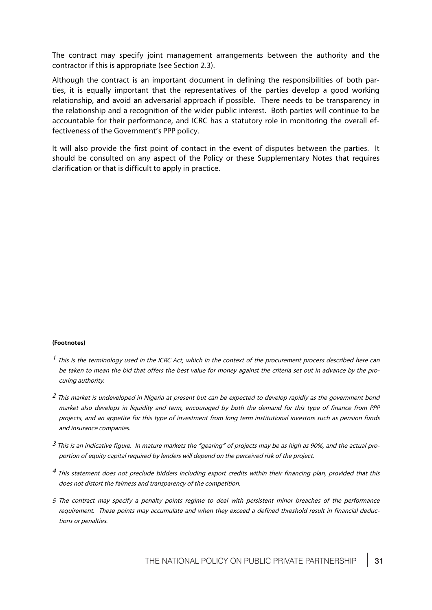The contract may specify joint management arrangements between the authority and the contractor if this is appropriate (see Section 2.3).

Although the contract is an important document in defining the responsibilities of both parties, it is equally important that the representatives of the parties develop a good working relationship, and avoid an adversarial approach if possible. There needs to be transparency in the relationship and a recognition of the wider public interest. Both parties will continue to be accountable for their performance, and ICRC has a statutory role in monitoring the overall effectiveness of the Government's PPP policy.

It will also provide the first point of contact in the event of disputes between the parties. It should be consulted on any aspect of the Policy or these Supplementary Notes that requires clarification or that is difficult to apply in practice.

#### **(Footnotes)**

- $<sup>1</sup>$  This is the terminology used in the ICRC Act, which in the context of the procurement process described here can</sup> be taken to mean the bid that offers the best value for money against the criteria set out in advance by the procuring authority.
- <sup>2</sup> This market is undeveloped in Nigeria at present but can be expected to develop rapidly as the government bond market also develops in liquidity and term, encouraged by both the demand for this type of finance from PPP projects, and an appetite for this type of investment from long term institutional investors such as pension funds and insurance companies.
- $3$  This is an indicative figure. In mature markets the "gearing" of projects may be as high as 90%, and the actual proportion of equity capital required by lenders will depend on the perceived risk of the project.
- $<sup>4</sup>$  This statement does not preclude bidders including export credits within their financing plan, provided that this</sup> does not distort the fairness and transparency of the competition.
- 5 The contract may specify a penalty points regime to deal with persistent minor breaches of the performance requirement. These points may accumulate and when they exceed a defined threshold result in financial deductions or penalties.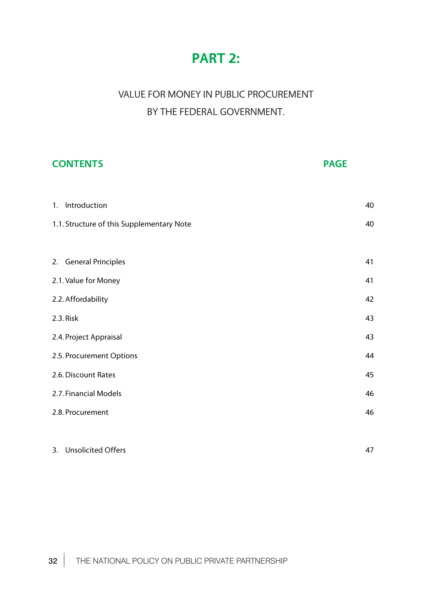# **PART 2:**

# VALUE FOR MONEY IN PUBLIC PROCUREMENT BY THE FEDERAL GOVERNMENT.

| <b>CONTENTS</b>                           | <b>PAGE</b> |
|-------------------------------------------|-------------|
|                                           |             |
| 1. Introduction                           | 40          |
| 1.1. Structure of this Supplementary Note | 40          |
|                                           |             |
| 2. General Principles                     | 41          |
| 2.1. Value for Money                      | 41          |
| 2.2. Affordability                        | 42          |
| 2.3. Risk                                 | 43          |
| 2.4. Project Appraisal                    | 43          |
| 2.5. Procurement Options                  | 44          |
| 2.6. Discount Rates                       | 45          |
| 2.7. Financial Models                     | 46          |
| 2.8. Procurement                          | 46          |
|                                           |             |
| 3. Unsolicited Offers                     | 47          |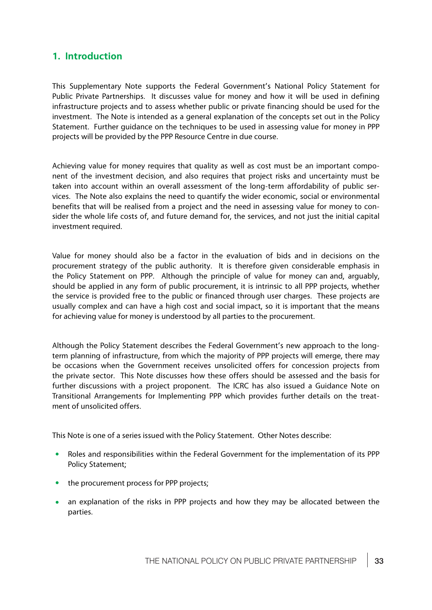# **1. Introduction**

This Supplementary Note supports the Federal Government's National Policy Statement for Public Private Partnerships. It discusses value for money and how it will be used in defining infrastructure projects and to assess whether public or private financing should be used for the investment. The Note is intended as a general explanation of the concepts set out in the Policy Statement. Further guidance on the techniques to be used in assessing value for money in PPP projects will be provided by the PPP Resource Centre in due course.

Achieving value for money requires that quality as well as cost must be an important component of the investment decision, and also requires that project risks and uncertainty must be taken into account within an overall assessment of the long-term affordability of public services. The Note also explains the need to quantify the wider economic, social or environmental benefits that will be realised from a project and the need in assessing value for money to consider the whole life costs of, and future demand for, the services, and not just the initial capital investment required.

Value for money should also be a factor in the evaluation of bids and in decisions on the procurement strategy of the public authority. It is therefore given considerable emphasis in the Policy Statement on PPP. Although the principle of value for money can and, arguably, should be applied in any form of public procurement, it is intrinsic to all PPP projects, whether the service is provided free to the public or financed through user charges. These projects are usually complex and can have a high cost and social impact, so it is important that the means for achieving value for money is understood by all parties to the procurement.

Although the Policy Statement describes the Federal Government's new approach to the longterm planning of infrastructure, from which the majority of PPP projects will emerge, there may be occasions when the Government receives unsolicited offers for concession projects from the private sector. This Note discusses how these offers should be assessed and the basis for further discussions with a project proponent. The ICRC has also issued a Guidance Note on Transitional Arrangements for Implementing PPP which provides further details on the treatment of unsolicited offers.

This Note is one of a series issued with the Policy Statement. Other Notes describe:

- · Roles and responsibilities within the Federal Government for the implementation of its PPP Policy Statement;
- the procurement process for PPP projects;
- an explanation of the risks in PPP projects and how they may be allocated between the parties.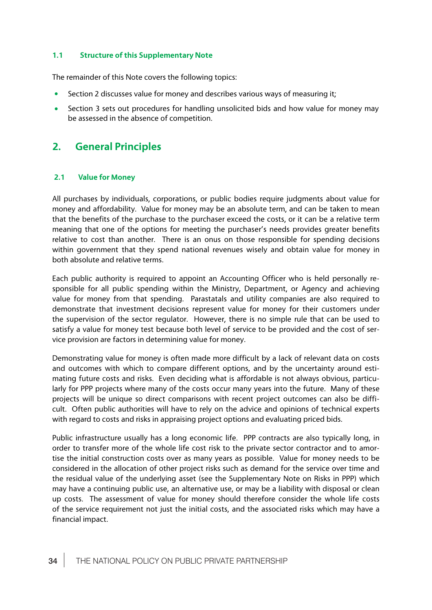# **1.1 Structure of this Supplementary Note**

The remainder of this Note covers the following topics:

- · Section 2 discusses value for money and describes various ways of measuring it;
- Section 3 sets out procedures for handling unsolicited bids and how value for money may be assessed in the absence of competition.

# **2. General Principles**

# **2.1 Value for Money**

All purchases by individuals, corporations, or public bodies require judgments about value for money and affordability. Value for money may be an absolute term, and can be taken to mean that the benefits of the purchase to the purchaser exceed the costs, or it can be a relative term meaning that one of the options for meeting the purchaser's needs provides greater benefits relative to cost than another. There is an onus on those responsible for spending decisions within government that they spend national revenues wisely and obtain value for money in both absolute and relative terms.

Each public authority is required to appoint an Accounting Officer who is held personally responsible for all public spending within the Ministry, Department, or Agency and achieving value for money from that spending. Parastatals and utility companies are also required to demonstrate that investment decisions represent value for money for their customers under the supervision of the sector regulator. However, there is no simple rule that can be used to satisfy a value for money test because both level of service to be provided and the cost of service provision are factors in determining value for money.

Demonstrating value for money is often made more difficult by a lack of relevant data on costs and outcomes with which to compare different options, and by the uncertainty around estimating future costs and risks. Even deciding what is affordable is not always obvious, particularly for PPP projects where many of the costs occur many years into the future. Many of these projects will be unique so direct comparisons with recent project outcomes can also be difficult. Often public authorities will have to rely on the advice and opinions of technical experts with regard to costs and risks in appraising project options and evaluating priced bids.

Public infrastructure usually has a long economic life. PPP contracts are also typically long, in order to transfer more of the whole life cost risk to the private sector contractor and to amortise the initial construction costs over as many years as possible. Value for money needs to be considered in the allocation of other project risks such as demand for the service over time and the residual value of the underlying asset (see the Supplementary Note on Risks in PPP) which may have a continuing public use, an alternative use, or may be a liability with disposal or clean up costs. The assessment of value for money should therefore consider the whole life costs of the service requirement not just the initial costs, and the associated risks which may have a financial impact.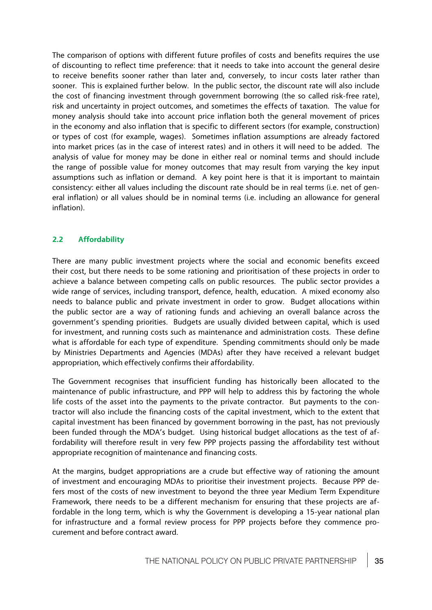The comparison of options with different future profiles of costs and benefits requires the use of discounting to reflect time preference: that it needs to take into account the general desire to receive benefits sooner rather than later and, conversely, to incur costs later rather than sooner. This is explained further below. In the public sector, the discount rate will also include the cost of financing investment through government borrowing (the so called risk-free rate), risk and uncertainty in project outcomes, and sometimes the effects of taxation. The value for money analysis should take into account price inflationoboth the general movement of prices in the economy and also inflation that is specific to different sectors (for example, construction) or types of cost (for example, wages). Sometimes inflation assumptions are already factored into market prices (as in the case of interest rates) and in others it will need to be added. The analysis of value for money may be done in either real or nominal terms and should include the range of possible value for money outcomes that may result from varying the key input assumptions such as inflation or demand. A key point here is that it is important to maintain consistency: either all values including the discount rate should be in real terms (i.e. net of general inflation) or all values should be in nominal terms (i.e. including an allowance for general inflation).

# **2.2 Affordability**

There are many public investment projects where the social and economic benefits exceed their cost, but there needs to be some rationing and prioritisation of these projects in order to achieve a balance between competing calls on public resources. The public sector provides a wide range of services, including transport, defence, health, education. A mixed economy also needs to balance public and private investment in order to grow. Budget allocations within the public sector are a way of rationing funds and achieving an overall balance across the government's spending priorities. Budgets are usually divided between capital, which is used for investment, and running costs such as maintenance and administration costs. These define what is affordable for each type of expenditure. Spending commitments should only be made by Ministries Departments and Agencies (MDAs) after they have received a relevant budget appropriation, which effectively confirms their affordability.

The Government recognises that insufficient funding has historically been allocated to the maintenance of public infrastructure, and PPP will help to address this by factoring the whole life costs of the asset into the payments to the private contractor. But payments to the contractor will also include the financing costs of the capital investment, which to the extent that capital investment has been financed by government borrowing in the past, has not previously been funded through the MDA's budget. Using historical budget allocations as the test of affordability will therefore result in very few PPP projects passing the affordability test without appropriate recognition of maintenance and financing costs.

At the margins, budget appropriations are a crude but effective way of rationing the amount of investment and encouraging MDAs to prioritise their investment projects. Because PPP defers most of the costs of new investment to beyond the three year Medium Term Expenditure Framework, there needs to be a different mechanism for ensuring that these projects are affordable in the long term, which is why the Government is developing a 15-year national plan for infrastructure and a formal review process for PPP projects before they commence procurement and before contract award.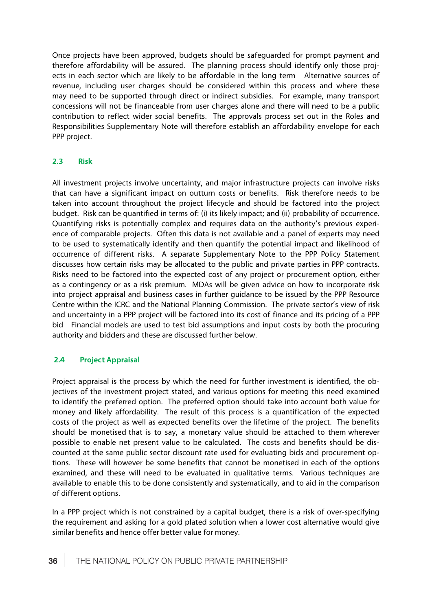Once projects have been approved, budgets should be safeguarded for prompt payment and therefore affordability will be assured. The planning process should identify only those projects in each sector which are likely to be affordable in the long term Alternative sources of revenue, including user charges should be considered within this process and where these may need to be supported through direct or indirect subsidies. For example, many transport concessions will not be financeable from user charges alone and there will need to be a public contribution to reflect wider social benefits. The approvals process set out in the Roles and Responsibilities Supplementary Note will therefore establish an affordability envelope for each PPP project.

# **2.3 Risk**

All investment projects involve uncertainty, and major infrastructure projects can involve risks that can have a significant impact on outturn costs or benefits. Risk therefore needs to be taken into account throughout the project lifecycle and should be factored into the project budget. Risk can be quantified in terms of: (i) its likely impact; and (ii) probability of occurrence. Quantifying risks is potentially complex and requires data on the authority's previous experience of comparable projects. Often this data is not available and a panel of experts may need to be used to systematically identify and then quantify the potential impact and likelihood of occurrence of different risks. A separate Supplementary Note to the PPP Policy Statement discusses how certain risks may be allocated to the public and private parties in PPP contracts. Risks need to be factored into the expected cost of any project or procurement option, either as a contingency or as a risk premium. MDAs will be given advice on how to incorporate risk into project appraisal and business cases in further guidance to be issued by the PPP Resource Centre within the ICRC and the National Planning Commission. The private sector's view of risk and uncertainty in a PPP project will be factored into its cost of finance and its pricing of a PPP bid Financial models are used to test bid assumptions and input costs by both the procuring authority and bidders and these are discussed further below.

# **2.4 Project Appraisal**

Project appraisal is the process by which the need for further investment is identified, the objectives of the investment project stated, and various options for meeting this need examined to identify the preferred option. The preferred option should take into account both value for money and likely affordability. The result of this process is a quantification of the expected costs of the project as well as expected benefits over the lifetime of the project. The benefits should be monetised that is to say, a monetary value should be attached to them wherever possible to enable net present value to be calculated. The costs and benefits should be discounted at the same public sector discount rate used for evaluating bids and procurement options. These will however be some benefits that cannot be monetised in each of the options examined, and these will need to be evaluated in qualitative terms. Various techniques are available to enable this to be done consistently and systematically, and to aid in the comparison of different options.

In a PPP project which is not constrained by a capital budget, there is a risk of over-specifying the requirement and asking for a gold plated solution when a lower cost alternative would give similar benefits and hence offer better value for money.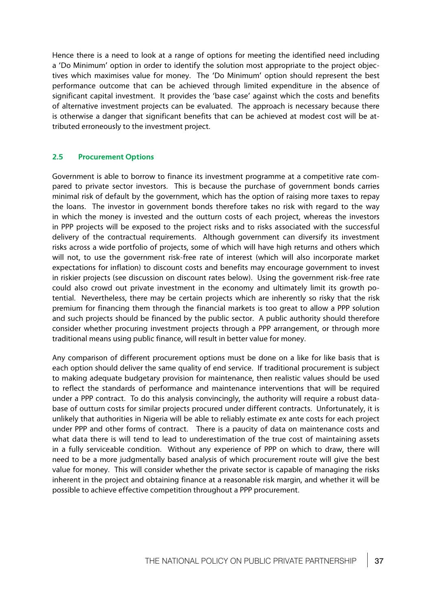Hence there is a need to look at a range of options for meeting the identified need including a 'Do Minimum' option in order to identify the solution most appropriate to the project objectives which maximises value for money. The 'Do Minimum' option should represent the best performance outcome that can be achieved through limited expenditure in the absence of significant capital investment. It provides the 'base case' against which the costs and benefits of alternative investment projects can be evaluated. The approach is necessary because there is otherwise a danger that significant benefits that can be achieved at modest cost will be attributed erroneously to the investment project.

# **2.5 Procurement Options**

Government is able to borrow to finance its investment programme at a competitive rate compared to private sector investors. This is because the purchase of government bonds carries minimal risk of default by the government, which has the option of raising more taxes to repay the loans. The investor in government bonds therefore takes no risk with regard to the way in which the money is invested and the outturn costs of each project, whereas the investors in PPP projects will be exposed to the project risks and to risks associated with the successful delivery of the contractual requirements. Although government can diversify its investment risks across a wide portfolio of projects, some of which will have high returns and others which will not, to use the government risk-free rate of interest (which will also incorporate market expectations for inflation) to discount costs and benefits may encourage government to invest in riskier projects (see discussion on discount rates below). Using the government risk-free rate could also crowd out private investment in the economy and ultimately limit its growth potential. Nevertheless, there may be certain projects which are inherently so risky that the risk premium for financing them through the financial markets is too great to allow a PPP solution and such projects should be financed by the public sector. A public authority should therefore consider whether procuring investment projects through a PPP arrangement, or through more traditional means using public finance, will result in better value for money.

Any comparison of different procurement options must be done on a like for like basis that is each option should deliver the same quality of end service. If traditional procurement is subject to making adequate budgetary provision for maintenance, then realistic values should be used to reflect the standards of performance and maintenance interventions that will be required under a PPP contract. To do this analysis convincingly, the authority will require a robust database of outturn costs for similar projects procured under different contracts. Unfortunately, it is unlikely that authorities in Nigeria will be able to reliably estimate ex ante costs for each project under PPP and other forms of contract. There is a paucity of data on maintenance costs and what data there is will tend to lead to underestimation of the true cost of maintaining assets in a fully serviceable condition. Without any experience of PPP on which to draw, there will need to be a more judgmentally based analysis of which procurement route will give the best value for money. This will consider whether the private sector is capable of managing the risks inherent in the project and obtaining finance at a reasonable risk margin, and whether it will be possible to achieve effective competition throughout a PPP procurement.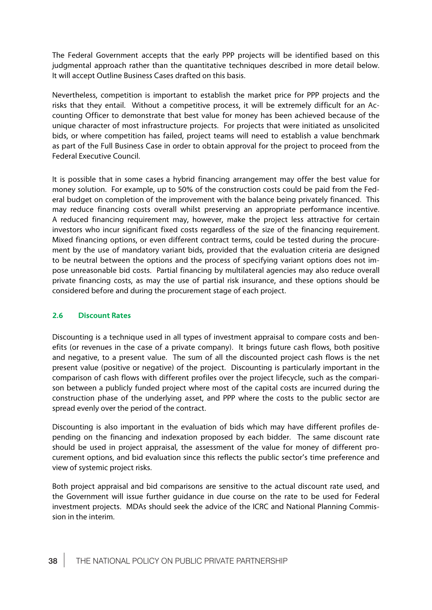The Federal Government accepts that the early PPP projects will be identified based on this judgmental approach rather than the quantitative techniques described in more detail below. It will accept Outline Business Cases drafted on this basis.

Nevertheless, competition is important to establish the market price for PPP projects and the risks that they entail. Without a competitive process, it will be extremely difficult for an Accounting Officer to demonstrate that best value for money has been achieved because of the unique character of most infrastructure projects. For projects that were initiated as unsolicited bids, or where competition has failed, project teams will need to establish a value benchmark as part of the Full Business Case in order to obtain approval for the project to proceed from the Federal Executive Council.

It is possible that in some cases a hybrid financing arrangement may offer the best value for money solution. For example, up to 50% of the construction costs could be paid from the Federal budget on completion of the improvement with the balance being privately financed. This may reduce financing costs overall whilst preserving an appropriate performance incentive. A reduced financing requirement may, however, make the project less attractive for certain investors who incur significant fixed costs regardless of the size of the financing requirement. Mixed financing options, or even different contract terms, could be tested during the procurement by the use of mandatory variant bids, provided that the evaluation criteria are designed to be neutral between the options and the process of specifying variant options does not impose unreasonable bid costs. Partial financing by multilateral agencies may also reduce overall private financing costs, as may the use of partial risk insurance, and these options should be considered before and during the procurement stage of each project.

# **2.6 Discount Rates**

Discounting is a technique used in all types of investment appraisal to compare costs and benefits (or revenues in the case of a private company). It brings future cash flows, both positive and negative, to a present value. The sum of all the discounted project cash flows is the net present value (positive or negative) of the project. Discounting is particularly important in the comparison of cash flows with different profiles over the project lifecycle, such as the comparison between a publicly funded project where most of the capital costs are incurred during the construction phase of the underlying asset, and PPP where the costs to the public sector are spread evenly over the period of the contract.

Discounting is also important in the evaluation of bids which may have different profiles depending on the financing and indexation proposed by each bidder. The same discount rate should be used in project appraisal, the assessment of the value for money of different procurement options, and bid evaluation since this reflects the public sector's time preference and view of systemic project risks.

Both project appraisal and bid comparisons are sensitive to the actual discount rate used, and the Government will issue further guidance in due course on the rate to be used for Federal investment projects. MDAs should seek the advice of the ICRC and National Planning Commission in the interim.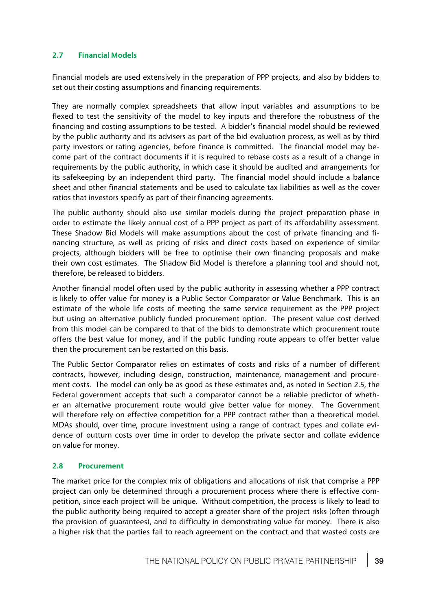# **2.7 Financial Models**

Financial models are used extensively in the preparation of PPP projects, and also by bidders to set out their costing assumptions and financing requirements.

They are normally complex spreadsheets that allow input variables and assumptions to be flexed to test the sensitivity of the model to key inputs and therefore the robustness of the financing and costing assumptions to be tested. A bidder's financial model should be reviewed by the public authority and its advisers as part of the bid evaluation process, as well as by third party investors or rating agencies, before finance is committed. The financial model may become part of the contract documents if it is required to rebase costs as a result of a change in requirements by the public authority, in which case it should be audited and arrangements for its safekeeping by an independent third party. The financial model should include a balance sheet and other financial statements and be used to calculate tax liabilities as well as the cover ratios that investors specify as part of their financing agreements.

The public authority should also use similar models during the project preparation phase in order to estimate the likely annual cost of a PPP project as part of its affordability assessment. These Shadow Bid Models will make assumptions about the cost of private financing and financing structure, as well as pricing of risks and direct costs based on experience of similar projects, although bidders will be free to optimise their own financing proposals and make their own cost estimates. The Shadow Bid Model is therefore a planning tool and should not, therefore, be released to bidders.

Another financial model often used by the public authority in assessing whether a PPP contract is likely to offer value for money is a Public Sector Comparator or Value Benchmark. This is an estimate of the whole life costs of meeting the same service requirement as the PPP project but using an alternative publicly funded procurement option. The present value cost derived from this model can be compared to that of the bids to demonstrate which procurement route offers the best value for money, and if the public funding route appears to offer better value then the procurement can be restarted on this basis.

The Public Sector Comparator relies on estimates of costs and risks of a number of different contracts, however, including design, construction, maintenance, management and procurement costs. The model can only be as good as these estimates and, as noted in Section 2.5, the Federal government accepts that such a comparator cannot be a reliable predictor of whether an alternative procurement route would give better value for money. The Government will therefore rely on effective competition for a PPP contract rather than a theoretical model. MDAs should, over time, procure investment using a range of contract types and collate evidence of outturn costs over time in order to develop the private sector and collate evidence on value for money.

# **2.8 Procurement**

The market price for the complex mix of obligations and allocations of risk that comprise a PPP project can only be determined through a procurement process where there is effective competition, since each project will be unique. Without competition, the process is likely to lead to the public authority being required to accept a greater share of the project risks (often through the provision of guarantees), and to difficulty in demonstrating value for money. There is also a higher risk that the parties fail to reach agreement on the contract and that wasted costs are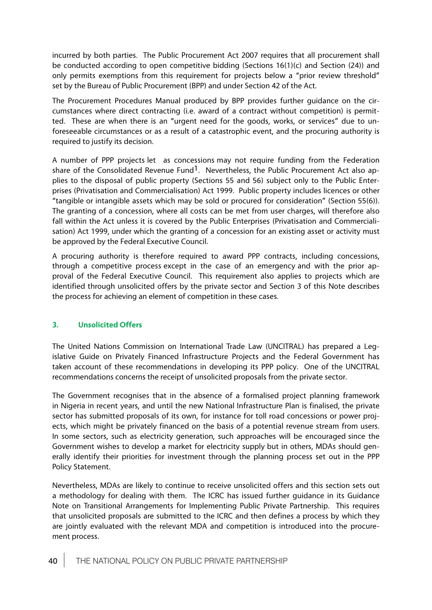incurred by both parties. The Public Procurement Act 2007 requires that all procurement shall be conducted according to open competitive bidding (Sections 16(1)(c) and Section (24)) and only permits exemptions from this requirement for projects below a "prior review threshold" set by the Bureau of Public Procurement (BPP) and under Section 42 of the Act.

The Procurement Procedures Manual produced by BPP provides further guidance on the circumstances where direct contracting (i.e. award of a contract without competition) is permitted. These are when there is an "urgent need for the goods, works, or services" due to unforeseeable circumstances or as a result of a catastrophic event, and the procuring authority is required to justify its decision.

A number of PPP projects let as concessions may not require funding from the Federation share of the Consolidated Revenue Fund<sup>1</sup>. Nevertheless, the Public Procurement Act also applies to the disposal of public property (Sections 55 and 56) subject only to the Public Enterprises (Privatisation and Commercialisation) Act 1999. Public property includes licences or other "tangible or intangible assets which may be sold or procured for consideration" (Section 55(6)). The granting of a concession, where all costs can be met from user charges, will therefore also fall within the Act unless it is covered by the Public Enterprises (Privatisation and Commercialisation) Act 1999, under which the granting of a concession for an existing asset or activity must be approved by the Federal Executive Council.

A procuring authority is therefore required to award PPP contracts, including concessions, through a competitive process except in the case of an emergency and with the prior approval of the Federal Executive Council. This requirement also applies to projects which are identified through unsolicited offers by the private sector and Section 3 of this Note describes the process for achieving an element of competition in these cases.

# **3. Unsolicited Offers**

The United Nations Commission on International Trade Law (UNCITRAL) has prepared a Legislative Guide on Privately Financed Infrastructure Projects and the Federal Government has taken account of these recommendations in developing its PPP policy. One of the UNCITRAL recommendations concerns the receipt of unsolicited proposals from the private sector.

The Government recognises that in the absence of a formalised project planning framework in Nigeria in recent years, and until the new National Infrastructure Plan is finalised, the private sector has submitted proposals of its own, for instance for toll road concessions or power projects, which might be privately financed on the basis of a potential revenue stream from users. In some sectors, such as electricity generation, such approaches will be encouraged since the Government wishes to develop a market for electricity supply but in others, MDAs should generally identify their priorities for investment through the planning process set out in the PPP Policy Statement.

Nevertheless, MDAs are likely to continue to receive unsolicited offers and this section sets out a methodology for dealing with them. The ICRC has issued further guidance in its Guidance Note on Transitional Arrangements for Implementing Public Private Partnership. This requires that unsolicited proposals are submitted to the ICRC and then defines a process by which they are jointly evaluated with the relevant MDA and competition is introduced into the procurement process.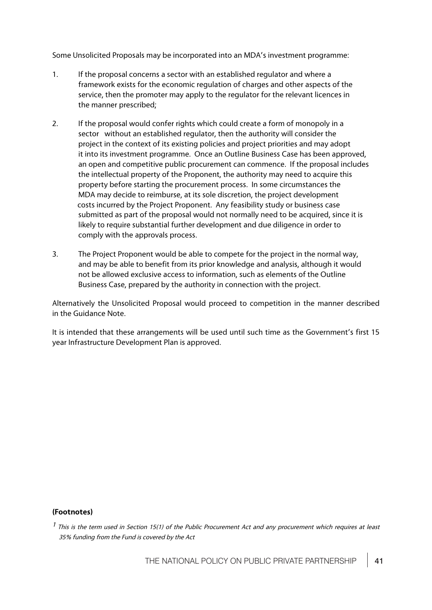Some Unsolicited Proposals may be incorporated into an MDA's investment programme:

- 1. If the proposal concerns a sector with an established regulator and where a framework exists for the economic regulation of charges and other aspects of the service, then the promoter may apply to the regulator for the relevant licences in the manner prescribed;
- 2. If the proposal would confer rights which could create a form of monopoly in a sector without an established regulator, then the authority will consider the project in the context of its existing policies and project priorities and may adopt it into its investment programme. Once an Outline Business Case has been approved, an open and competitive public procurement can commence. If the proposal includes the intellectual property of the Proponent, the authority may need to acquire this property before starting the procurement process. In some circumstances the MDA may decide to reimburse, at its sole discretion, the project development costs incurred by the Project Proponent. Any feasibility study or business case submitted as part of the proposal would not normally need to be acquired, since it is likely to require substantial further development and due diligence in order to comply with the approvals process.
- 3. The Project Proponent would be able to compete for the project in the normal way, and may be able to benefit from its prior knowledge and analysis, although it would not be allowed exclusive access to information, such as elements of the Outline Business Case, prepared by the authority in connection with the project.

Alternatively the Unsolicited Proposal would proceed to competition in the manner described in the Guidance Note.

It is intended that these arrangements will be used until such time as the Government's first 15 year Infrastructure Development Plan is approved.

## **(Footnotes)**

 $<sup>1</sup>$  This is the term used in Section 15(1) of the Public Procurement Act and any procurement which requires at least</sup> 35% funding from the Fund is covered by the Act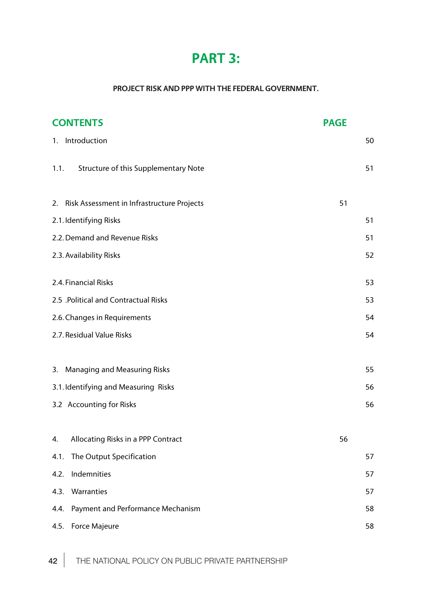# **PART 3:**

# **PROJECT RISK AND PPP WITH THE FEDERAL GOVERNMENT.**

| <b>CONTENTS</b>                               | <b>PAGE</b> |
|-----------------------------------------------|-------------|
| 1. Introduction                               | 50          |
| Structure of this Supplementary Note<br>1.1.  | 51          |
| 2. Risk Assessment in Infrastructure Projects | 51          |
| 2.1. Identifying Risks                        | 51          |
| 2.2. Demand and Revenue Risks                 | 51          |
| 2.3. Availability Risks                       | 52          |
| 2.4. Financial Risks                          | 53          |
| 2.5 .Political and Contractual Risks          | 53          |
| 2.6. Changes in Requirements                  | 54          |
| 2.7. Residual Value Risks                     | 54          |
| 3. Managing and Measuring Risks               | 55          |
| 3.1. Identifying and Measuring Risks          | 56          |
| 3.2 Accounting for Risks                      | 56          |
| 4. Allocating Risks in a PPP Contract         | 56          |
| The Output Specification<br>4.1.              | 57          |
| Indemnities<br>4.2.                           | 57          |
| Warranties<br>4.3.                            | 57          |
| Payment and Performance Mechanism<br>4.4.     | 58          |
| 4.5. Force Majeure                            | 58          |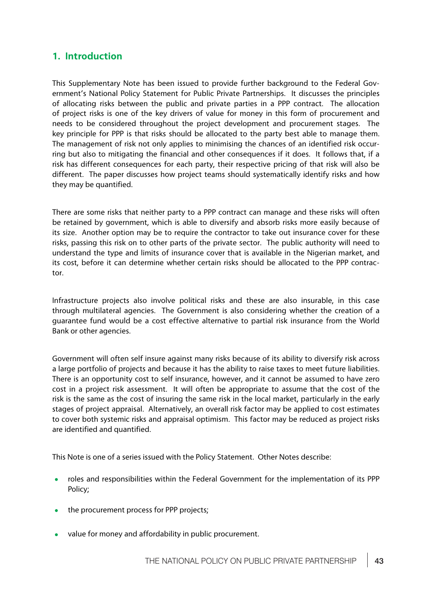# **1. Introduction**

This Supplementary Note has been issued to provide further background to the Federal Government's National Policy Statement for Public Private Partnerships. It discusses the principles of allocating risks between the public and private parties in a PPP contract. The allocation of project risks is one of the key drivers of value for money in this form of procurement and needs to be considered throughout the project development and procurement stages. The key principle for PPP is that risks should be allocated to the party best able to manage them. The management of risk not only applies to minimising the chances of an identified risk occurring but also to mitigating the financial and other consequences if it does. It follows that, if a risk has different consequences for each party, their respective pricing of that risk will also be different. The paper discusses how project teams should systematically identify risks and how they may be quantified.

There are some risks that neither party to a PPP contract can manage and these risks will often be retained by government, which is able to diversify and absorb risks more easily because of its size. Another option may be to require the contractor to take out insurance cover for these risks, passing this risk on to other parts of the private sector. The public authority will need to understand the type and limits of insurance cover that is available in the Nigerian market, and its cost, before it can determine whether certain risks should be allocated to the PPP contractor.

Infrastructure projects also involve political risks and these are also insurable, in this case through multilateral agencies. The Government is also considering whether the creation of a guarantee fund would be a cost effective alternative to partial risk insurance from the World Bank or other agencies.

Government will often self insure against many risks because of its ability to diversify risk across a large portfolio of projects and because it has the ability to raise taxes to meet future liabilities. There is an opportunity cost to self insurance, however, and it cannot be assumed to have zero cost in a project risk assessment. It will often be appropriate to assume that the cost of the risk is the same as the cost of insuring the same risk in the local market, particularly in the early stages of project appraisal. Alternatively, an overall risk factor may be applied to cost estimates to cover both systemic risks and appraisal optimism. This factor may be reduced as project risks are identified and quantified.

This Note is one of a series issued with the Policy Statement. Other Notes describe:

- roles and responsibilities within the Federal Government for the implementation of its PPP  $\bullet$ Policy;
- the procurement process for PPP projects;
- value for money and affordability in public procurement. $\bullet$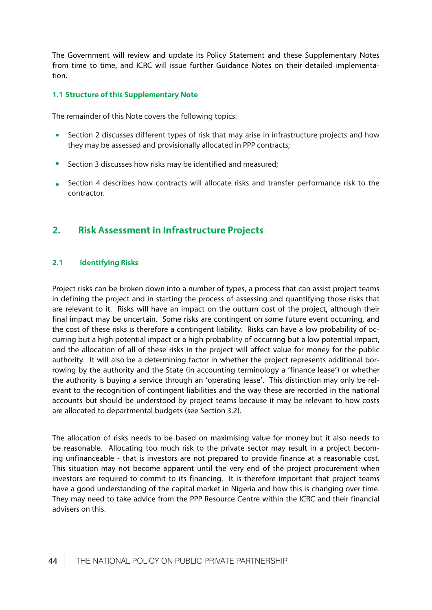The Government will review and update its Policy Statement and these Supplementary Notes from time to time, and ICRC will issue further Guidance Notes on their detailed implementation.

# **1.1 Structure of this Supplementary Note**

The remainder of this Note covers the following topics:

- Section 2 discusses different types of risk that may arise in infrastructure projects and how  $\bullet$ they may be assessed and provisionally allocated in PPP contracts;
- Section 3 discusses how risks may be identified and measured;  $\bullet$
- Section 4 describes how contracts will allocate risks and transfer performance risk to the  $\bullet$ contractor.

# **2. Risk Assessment in Infrastructure Projects**

## **2.1 Identifying Risks**

Project risks can be broken down into a number of types, a process that can assist project teams in defining the project and in starting the process of assessing and quantifying those risks that are relevant to it. Risks will have an impact on the outturn cost of the project, although their final impact may be uncertain. Some risks are contingent on some future event occurring, and the cost of these risks is therefore a contingent liability. Risks can have a low probability of occurring but a high potential impact or a high probability of occurring but a low potential impact, and the allocation of all of these risks in the project will affect value for money for the public authority. It will also be a determining factor in whether the project represents additional borrowing by the authority and the State (in accounting terminology a 'finance lease') or whether the authority is buying a service through an 'operating lease'. This distinction may only be relevant to the recognition of contingent liabilities and the way these are recorded in the national accounts but should be understood by project teams because it may be relevant to how costs are allocated to departmental budgets (see Section 3.2).

The allocation of risks needs to be based on maximising value for money but it also needs to be reasonable. Allocating too much risk to the private sector may result in a project becoming unfinanceable - that is investors are not prepared to provide finance at a reasonable cost. This situation may not become apparent until the very end of the project procurement when investors are required to commit to its financing. It is therefore important that project teams have a good understanding of the capital market in Nigeria and how this is changing over time. They may need to take advice from the PPP Resource Centre within the ICRC and their financial advisers on this.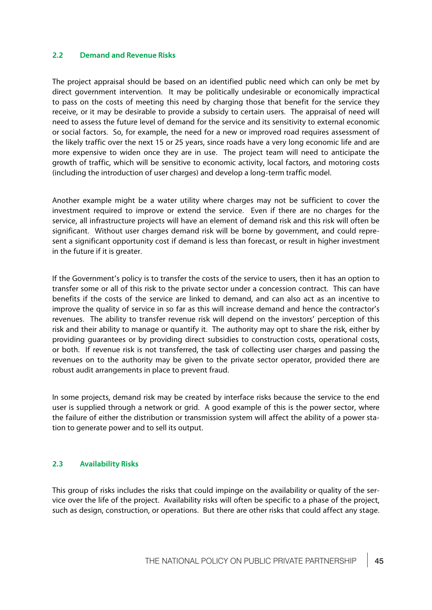## **2.2 Demand and Revenue Risks**

The project appraisal should be based on an identified public need which can only be met by direct government intervention. It may be politically undesirable or economically impractical to pass on the costs of meeting this need by charging those that benefit for the service they receive, or it may be desirable to provide a subsidy to certain users. The appraisal of need will need to assess the future level of demand for the service and its sensitivity to external economic or social factors. So, for example, the need for a new or improved road requires assessment of the likely traffic over the next 15 or 25 years, since roads have a very long economic life and are more expensive to widen once they are in use. The project team will need to anticipate the growth of traffic, which will be sensitive to economic activity, local factors, and motoring costs (including the introduction of user charges) and develop a long-term traffic model.

Another example might be a water utility where charges may not be sufficient to cover the investment required to improve or extend the service. Even if there are no charges for the service, all infrastructure projects will have an element of demand risk and this risk will often be significant. Without user charges demand risk will be borne by government, and could represent a significant opportunity cost if demand is less than forecast, or result in higher investment in the future if it is greater.

If the Government's policy is to transfer the costs of the service to users, then it has an option to transfer some or all of this risk to the private sector under a concession contract. This can have benefits if the costs of the service are linked to demand, and can also act as an incentive to improve the quality of service in so far as this will increase demand and hence the contractor's revenues. The ability to transfer revenue risk will depend on the investors' perception of this risk and their ability to manage or quantify it. The authority may opt to share the risk, either by providing guarantees or by providing direct subsidies to construction costs, operational costs, or both. If revenue risk is not transferred, the task of collecting user charges and passing the revenues on to the authority may be given to the private sector operator, provided there are robust audit arrangements in place to prevent fraud.

In some projects, demand risk may be created by interface risks because the service to the end user is supplied through a network or grid. A good example of this is the power sector, where the failure of either the distribution or transmission system will affect the ability of a power station to generate power and to sell its output.

## **2.3 Availability Risks**

This group of risks includes the risks that could impinge on the availability or quality of the service over the life of the project. Availability risks will often be specific to a phase of the project, such as design, construction, or operations. But there are other risks that could affect any stage.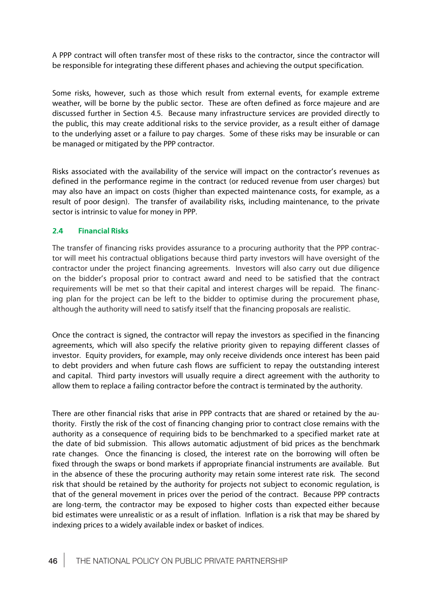A PPP contract will often transfer most of these risks to the contractor, since the contractor will be responsible for integrating these different phases and achieving the output specification.

Some risks, however, such as those which result from external events, for example extreme weather, will be borne by the public sector. These are often defined as force majeure and are discussed further in Section 4.5. Because many infrastructure services are provided directly to the public, this may create additional risks to the service provider, as a result either of damage to the underlying asset or a failure to pay charges. Some of these risks may be insurable or can be managed or mitigated by the PPP contractor.

Risks associated with the availability of the service will impact on the contractor's revenues as defined in the performance regime in the contract (or reduced revenue from user charges) but may also have an impact on costs (higher than expected maintenance costs, for example, as a result of poor design). The transfer of availability risks, including maintenance, to the private sector is intrinsic to value for money in PPP.

# **2.4 Financial Risks**

The transfer of financing risks provides assurance to a procuring authority that the PPP contractor will meet his contractual obligations because third party investors will have oversight of the contractor under the project financing agreements. Investors will also carry out due diligence on the bidder's proposal prior to contract award and need to be satisfied that the contract requirements will be met so that their capital and interest charges will be repaid. The financing plan for the project can be left to the bidder to optimise during the procurement phase, although the authority will need to satisfy itself that the financing proposals are realistic.

Once the contract is signed, the contractor will repay the investors as specified in the financing agreements, which will also specify the relative priority given to repaying different classes of investor. Equity providers, for example, may only receive dividends once interest has been paid to debt providers and when future cash flows are sufficient to repay the outstanding interest and capital. Third party investors will usually require a direct agreement with the authority to allow them to replace a failing contractor before the contract is terminated by the authority.

There are other financial risks that arise in PPP contracts that are shared or retained by the authority. Firstly the risk of the cost of financing changing prior to contract close remains with the authority as a consequence of requiring bids to be benchmarked to a specified market rate at the date of bid submission. This allows automatic adjustment of bid prices as the benchmark rate changes. Once the financing is closed, the interest rate on the borrowing will often be fixed through the swaps or bond markets if appropriate financial instruments are available. But in the absence of these the procuring authority may retain some interest rate risk. The second risk that should be retained by the authority for projects not subject to economic regulation, is that of the general movement in prices over the period of the contract. Because PPP contracts are long-term, the contractor may be exposed to higher costs than expected either because bid estimates were unrealistic or as a result of inflation. Inflation is a risk that may be shared by indexing prices to a widely available index or basket of indices.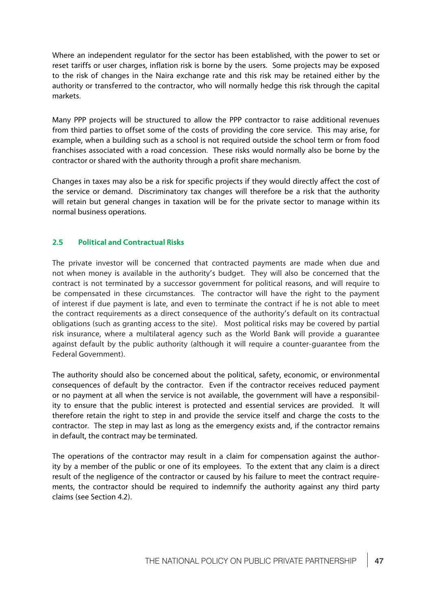Where an independent regulator for the sector has been established, with the power to set or reset tariffs or user charges, inflation risk is borne by the users. Some projects may be exposed to the risk of changes in the Naira exchange rate and this risk may be retained either by the authority or transferred to the contractor, who will normally hedge this risk through the capital markets.

Many PPP projects will be structured to allow the PPP contractor to raise additional revenues from third parties to offset some of the costs of providing the core service. This may arise, for example, when a building such as a school is not required outside the school term or from food franchises associated with a road concession. These risks would normally also be borne by the contractor or shared with the authority through a profit share mechanism.

Changes in taxes may also be a risk for specific projects if they would directly affect the cost of the service or demand. Discriminatory tax changes will therefore be a risk that the authority will retain but general changes in taxation will be for the private sector to manage within its normal business operations.

# **2.5 Political and Contractual Risks**

The private investor will be concerned that contracted payments are made when due and not when money is available in the authority's budget. They will also be concerned that the contract is not terminated by a successor government for political reasons, and will require to be compensated in these circumstances. The contractor will have the right to the payment of interest if due payment is late, and even to terminate the contract if he is not able to meet the contract requirements as a direct consequence of the authority's default on its contractual obligations (such as granting access to the site). Most political risks may be covered by partial risk insurance, where a multilateral agency such as the World Bank will provide a guarantee against default by the public authority (although it will require a counter-guarantee from the Federal Government).

The authority should also be concerned about the political, safety, economic, or environmental consequences of default by the contractor. Even if the contractor receives reduced payment or no payment at all when the service is not available, the government will have a responsibility to ensure that the public interest is protected and essential services are provided. It will therefore retain the right to step in and provide the service itself and charge the costs to the contractor. The step in may last as long as the emergency exists and, if the contractor remains in default, the contract may be terminated.

The operations of the contractor may result in a claim for compensation against the authority by a member of the public or one of its employees. To the extent that any claim is a direct result of the negligence of the contractor or caused by his failure to meet the contract requirements, the contractor should be required to indemnify the authority against any third party claims (see Section 4.2).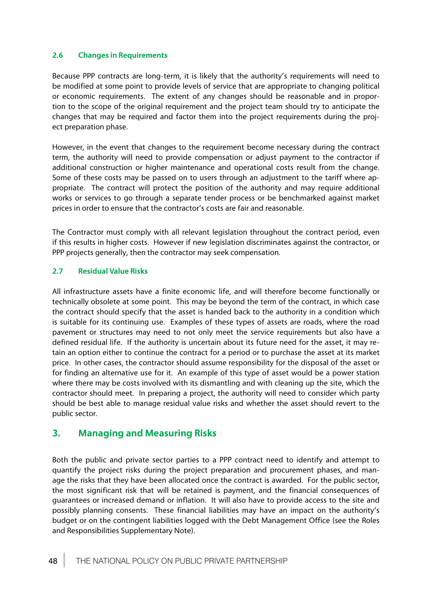# **2.6 Changes in Requirements**

Because PPP contracts are long-term, it is likely that the authority's requirements will need to be modified at some point to provide levels of service that are appropriate to changing political or economic requirements. The extent of any changes should be reasonable and in proportion to the scope of the original requirement and the project team should try to anticipate the changes that may be required and factor them into the project requirements during the project preparation phase.

However, in the event that changes to the requirement become necessary during the contract term, the authority will need to provide compensation or adjust payment to the contractor if additional construction or higher maintenance and operational costs result from the change. Some of these costs may be passed on to users through an adjustment to the tariff where appropriate. The contract will protect the position of the authority and may require additional works or services to go through a separate tender process or be benchmarked against market prices in order to ensure that the contractor's costs are fair and reasonable.

The Contractor must comply with all relevant legislation throughout the contract period, even if this results in higher costs. However if new legislation discriminates against the contractor, or PPP projects generally, then the contractor may seek compensation.

# **2.7 Residual Value Risks**

All infrastructure assets have a finite economic life, and will therefore become functionally or technically obsolete at some point. This may be beyond the term of the contract, in which case the contract should specify that the asset is handed back to the authority in a condition which is suitable for its continuing use. Examples of these types of assets are roads, where the road pavement or structures may need to not only meet the service requirements but also have a defined residual life. If the authority is uncertain about its future need for the asset, it may retain an option either to continue the contract for a period or to purchase the asset at its market price. In other cases, the contractor should assume responsibility for the disposal of the asset or for finding an alternative use for it. An example of this type of asset would be a power station where there may be costs involved with its dismantling and with cleaning up the site, which the contractor should meet. In preparing a project, the authority will need to consider which party should be best able to manage residual value risks and whether the asset should revert to the public sector.

# **3. Managing and Measuring Risks**

Both the public and private sector parties to a PPP contract need to identify and attempt to quantify the project risks during the project preparation and procurement phases, and manage the risks that they have been allocated once the contract is awarded. For the public sector, the most significant risk that will be retained is payment, and the financial consequences of guarantees or increased demand or inflation. It will also have to provide access to the site and possibly planning consents. These financial liabilities may have an impact on the authority's budget or on the contingent liabilities logged with the Debt Management Office (see the Roles and Responsibilities Supplementary Note).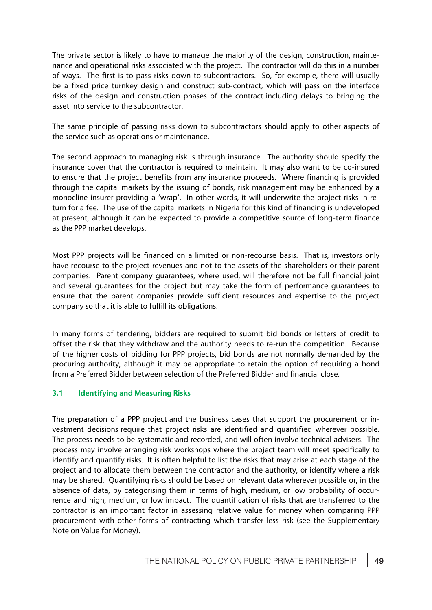The private sector is likely to have to manage the majority of the design, construction, maintenance and operational risks associated with the project. The contractor will do this in a number of ways. The first is to pass risks down to subcontractors. So, for example, there will usually be a fixed price turnkey design and construct sub-contract, which will pass on the interface risks of the design and construction phases of the contractincluding delays to bringing the asset into service to the subcontractor.

The same principle of passing risks down to subcontractors should apply to other aspects of the service such as operations or maintenance.

The second approach to managing risk is through insurance. The authority should specify the insurance cover that the contractor is required to maintain. It may also want to be co-insured to ensure that the project benefits from any insurance proceeds. Where financing is provided through the capital markets by the issuing of bonds, risk management may be enhanced by a monocline insurer providing a 'wrap'. In other words, it will underwrite the project risks in return for a fee. The use of the capital markets in Nigeria for this kind of financing is undeveloped at present, although it can be expected to provide a competitive source of long-term finance as the PPP market develops.

Most PPP projects will be financed on a limited or non-recourse basis. That is, investors only have recourse to the project revenues and not to the assets of the shareholders or their parent companies. Parent company guarantees, where used, will therefore not be full financial joint and several guarantees for the project but may take the form of performance guarantees to ensure that the parent companies provide sufficient resources and expertise to the project company so that it is able to fulfill its obligations.

In many forms of tendering, bidders are required to submit bid bonds or letters of credit to offset the risk that they withdraw and the authority needs to re-run the competition. Because of the higher costs of bidding for PPP projects, bid bonds are not normally demanded by the procuring authority, although it may be appropriate to retain the option of requiring a bond from a Preferred Bidder between selection of the Preferred Bidder and financial close.

# **3.1 Identifying and Measuring Risks**

The preparation of a PPP projectoand the business cases that support the procurement or investment decisions require that project risks are identified and quantified wherever possible. The process needs to be systematic and recorded, and will often involve technical advisers. The process may involve arranging risk workshops where the project team will meet specifically to identify and quantify risks. It is often helpful to list the risks that may arise at each stage of the project and to allocate them between the contractor and the authority, or identify where a risk may be shared. Quantifying risks should be based on relevant data wherever possible or, in the absence of data, by categorising them in terms of high, medium, or low probability of occurrence and high, medium, or low impact. The quantification of risks that are transferred to the contractor is an important factor in assessing relative value for money when comparing PPP procurement with other forms of contracting which transfer less risk (see the Supplementary Note on Value for Money).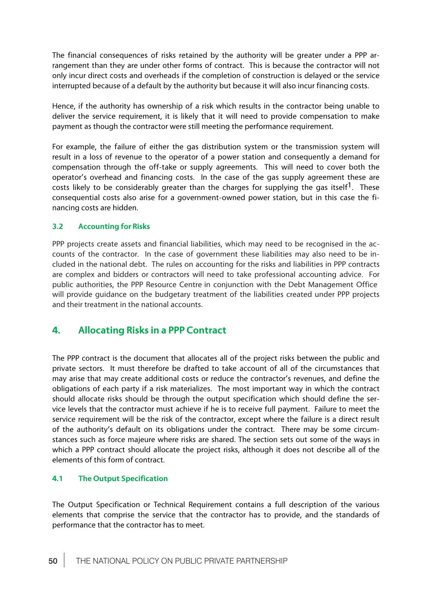The financial consequences of risks retained by the authority will be greater under a PPP arrangement than they are under other forms of contract. This is because the contractor will not only incur direct costs and overheads if the completion of construction is delayed or the service interrupted because of a default by the authority but because it will also incur financing costs.

Hence, if the authority has ownership of a risk which results in the contractor being unable to deliver the service requirement, it is likely that it will need to provide compensation to make payment as though the contractor were still meeting the performance requirement.

For example, the failure of either the gas distribution system or the transmission system will result in a loss of revenue to the operator of a power station and consequently a demand for compensation through the off-take or supply agreements. This will need to cover both the operator's overhead and financing costs. In the case of the gas supply agreement these are costs likely to be considerably greater than the charges for supplying the gas itself<sup>1</sup>. These consequential costs also arise for a government-owned power station, but in this case the financing costs are hidden.

# **3.2 Accounting for Risks**

PPP projects create assets and financial liabilities, which may need to be recognised in the accounts of the contractor. In the case of government these liabilities may also need to be included in the national debt. The rules on accounting for the risks and liabilities in PPP contracts are complex and bidders or contractors will need to take professional accounting advice. For public authorities, the PPP Resource Centre in conjunction with the Debt Management Office. will provide guidance on the budgetary treatment of the liabilities created under PPP projects and their treatment in the national accounts.

# **4. Allocating Risks in a PPP Contract**

The PPP contract is the document that allocates all of the project risks between the public and private sectors. It must therefore be drafted to take account of all of the circumstances that may arise that may create additional costs or reduce the contractor's revenues, and define the obligations of each party if a risk materializes. The most important way in which the contract should allocate risks should be through the output specification which should define the service levels that the contractor must achieve if he is to receive full payment. Failure to meet the service requirement will be the risk of the contractor, except where the failure is a direct result of the authority's default on its obligations under the contract. There may be some circumstances such as force majeure where risks are shared. The section sets out some of the ways in which a PPP contract should allocate the project risks, although it does not describe all of the elements of this form of contract.

# **4.1 The Output Specification**

The Output Specification or Technical Requirement contains a full description of the various elements that comprise the service that the contractor has to provide, and the standards of performance that the contractor has to meet.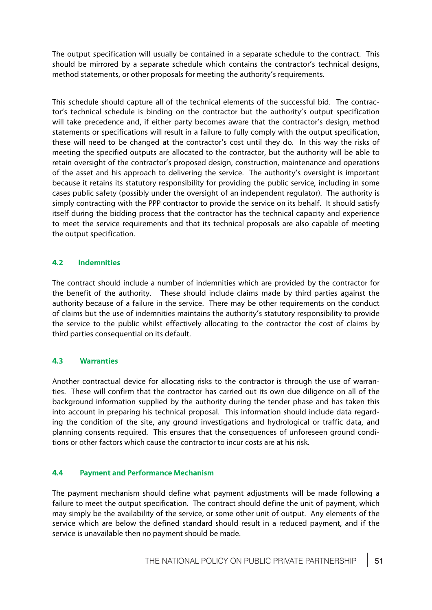The output specification will usually be contained in a separate schedule to the contract. This should be mirrored by a separate schedule which contains the contractor's technical designs, method statements, or other proposals for meeting the authority's requirements.

This schedule should capture all of the technical elements of the successful bid. The contractor's technical schedule is binding on the contractor but the authority's output specification will take precedence and, if either party becomes aware that the contractor's design, method statements or specifications will result in a failure to fully comply with the output specification, these will need to be changed at the contractor's cost until they do. In this way the risks of meeting the specified outputs are allocated to the contractor, but the authority will be able to retain oversight of the contractor's proposed design, construction, maintenance and operations of the asset and his approach to delivering the service. The authority's oversight is important because it retains its statutory responsibility for providing the public service, including in some cases public safety (possibly under the oversight of an independent regulator). The authority is simply contracting with the PPP contractor to provide the service on its behalf. It should satisfy itself during the bidding process that the contractor has the technical capacity and experience to meet the service requirements and that its technical proposals are also capable of meeting the output specification.

# **4.2 Indemnities**

The contract should include a number of indemnities which are provided by the contractor for the benefit of the authority. These should include claims made by third parties against the authority because of a failure in the service. There may be other requirements on the conduct of claims but the use of indemnities maintains the authority's statutory responsibility to provide the service to the public whilst effectively allocating to the contractor the cost of claims by third parties consequential on its default.

# **4.3 Warranties**

Another contractual device for allocating risks to the contractor is through the use of warranties. These will confirm that the contractor has carried out its own due diligence on all of the background information supplied by the authority during the tender phase and has taken this into account in preparing his technical proposal. This information should include data regarding the condition of the site, any ground investigations and hydrological or traffic data, and planning consents required. This ensures that the consequences of unforeseen ground conditions or other factors which cause the contractor to incur costs are at his risk.

# **4.4 Payment and Performance Mechanism**

The payment mechanism should define what payment adjustments will be made following a failure to meet the output specification. The contract should define the unit of payment, which may simply be the availability of the service, or some other unit of output. Any elements of the service which are below the defined standard should result in a reduced payment, and if the service is unavailable then no payment should be made.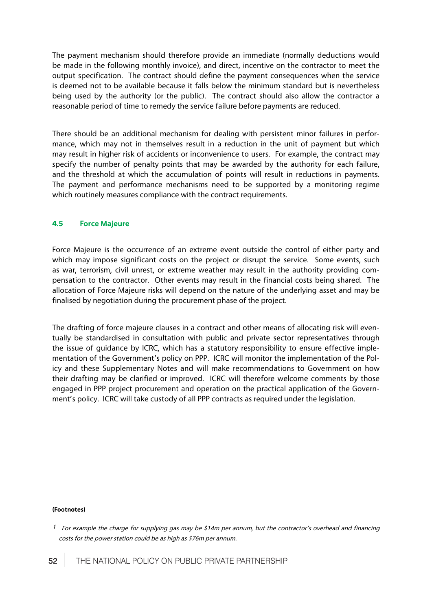The payment mechanism should therefore provide an immediate (normally deductions would be made in the following monthly invoice), and direct, incentive on the contractor to meet the output specification. The contract should define the payment consequences when the service is deemed not to be available because it falls below the minimum standard but is nevertheless being used by the authority (or the public). The contract should also allow the contractor a reasonable period of time to remedy the service failure before payments are reduced.

There should be an additional mechanism for dealing with persistent minor failures in performance, which may not in themselves result in a reduction in the unit of payment but which may result in higher risk of accidents or inconvenience to users. For example, the contract may specify the number of penalty points that may be awarded by the authority for each failure, and the threshold at which the accumulation of points will result in reductions in payments. The payment and performance mechanisms need to be supported by a monitoring regime which routinely measures compliance with the contract requirements.

# **4.5 Force Majeure**

Force Majeure is the occurrence of an extreme event outside the control of either party and which may impose significant costs on the project or disrupt the service. Some events, such as war, terrorism, civil unrest, or extreme weather may result in the authority providing compensation to the contractor. Other events may result in the financial costs being shared. The allocation of Force Majeure risks will depend on the nature of the underlying asset and may be finalised by negotiation during the procurement phase of the project.

The drafting of force majeure clauses in a contract and other means of allocating risk will eventually be standardised in consultation with public and private sector representatives through the issue of guidance by ICRC, which has a statutory responsibility to ensure effective implementation of the Government's policy on PPP. ICRC will monitor the implementation of the Policy and these Supplementary Notes and will make recommendations to Government on how their drafting may be clarified or improved. ICRC will therefore welcome comments by those engaged in PPP project procurement and operation on the practical application of the Government's policy. ICRC will take custody of all PPP contracts as required under the legislation.

#### **(Footnotes)**

<sup>&</sup>lt;sup>1</sup> For example the charge for supplying gas may be \$14m per annum, but the contractor's overhead and financing costs for the power station could be as high as \$76m per annum.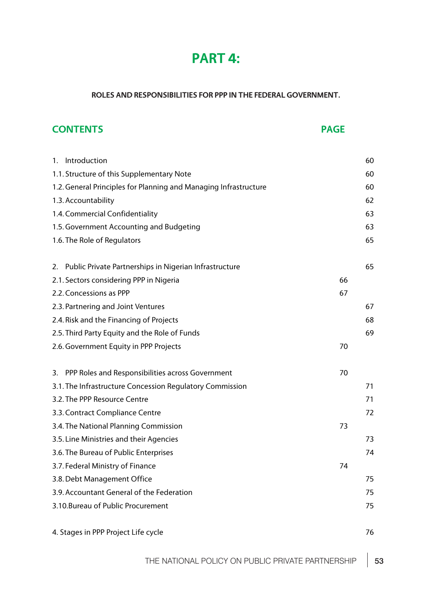# **PART 4:**

# **ROLES AND RESPONSIBILITIES FOR PPP IN THE FEDERAL GOVERNMENT.**

# **CONTENTS PAGE** 1. Introduction 60 1.1. Structure of this Supplementary Note 60 1.2.General Principles for Planning and Managing Infrastructure 60 1.3.Accountability 62 1.4.Commercial Confidentiality 63 1.5. Government Accounting and Budgeting 63 1.6. The Role of Regulators 65 2. Public Private Partnerships in Nigerian Infrastructure 65 2.1. Sectors considering PPP in Nigeria 66 2.2. Concessions as PPP 67 2.3. Partnering and Joint Ventures 67 2.4. Risk and the Financing of Projects 68 2.5. Third Party Equity and the Role of Funds 69 2.6. Government Equity in PPP Projects **70** 3. PPP Roles and Responsibilities across Government 70 3.1. The Infrastructure Concession Regulatory Commission 71 3.2. The PPP Resource Centre 71 3.3.Contract Compliance Centre 72 3.4. The National Planning Commission 3.4. The National Planning Commission 3.5. Line Ministries and their Agencies 73 3.6. The Bureau of Public Enterprises 74 3.7. Federal Ministry of Finance 74 3.8. Debt Management Office 75 3.9. Accountant General of the Federation 75 3.10.Bureau of Public Procurement 75 4. Stages in PPP Project Life cycle 76

THE NATIONAL POLICY ON PUBLIC PRIVATE PARTNERSHIP | 53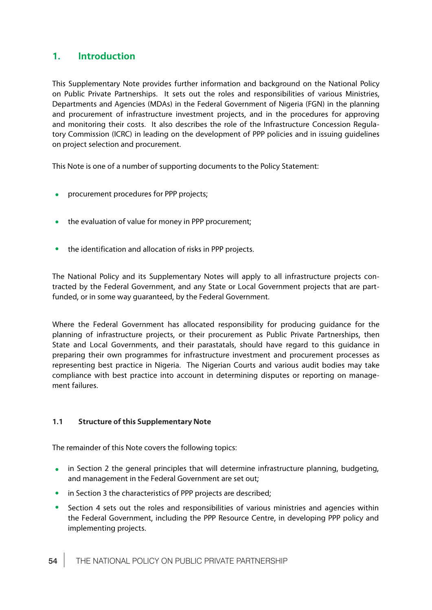# **1. Introduction**

This Supplementary Note provides further information and background on the National Policy on Public Private Partnerships. It sets out the roles and responsibilities of various Ministries, Departments and Agencies (MDAs) in the Federal Government of Nigeria (FGN) in the planning and procurement of infrastructure investment projects, and in the procedures for approving and monitoring their costs. It also describes the role of the Infrastructure Concession Regulatory Commission (ICRC) in leading on the development of PPP policies and in issuing guidelines on project selection and procurement.

This Note is one of a number of supporting documents to the Policy Statement:

- **•** procurement procedures for PPP projects;
- the evaluation of value for money in PPP procurement;
- $\bullet$ the identification and allocation of risks in PPP projects.

The National Policy and its Supplementary Notes will apply to all infrastructure projects contracted by the Federal Government, and any State or Local Government projects that are partfunded, or in some way guaranteed, by the Federal Government.

Where the Federal Government has allocated responsibility for producing guidance for the planning of infrastructure projects, or their procurement as Public Private Partnerships, then State and Local Governments, and their parastatals, should have regard to this guidance in preparing their own programmes for infrastructure investment and procurement processes as representing best practice in Nigeria. The Nigerian Courts and various audit bodies may take compliance with best practice into account in determining disputes or reporting on management failures.

# **1.1 Structure of this Supplementary Note**

The remainder of this Note covers the following topics:

- in Section 2 the general principles that will determine infrastructure planning, budgeting,  $\bullet$ and management in the Federal Government are set out;
- in Section 3 the characteristics of PPP projects are described;  $\bullet$
- $\bullet$ Section 4 sets out the roles and responsibilities of various ministries and agencies within the Federal Government, including the PPP Resource Centre, in developing PPP policy and implementing projects.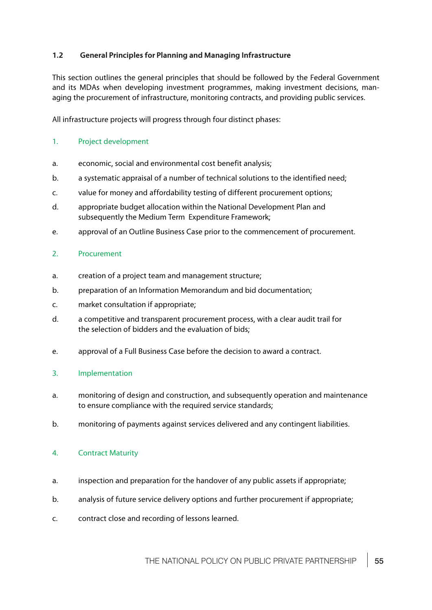# **1.2 General Principles for Planning and Managing Infrastructure**

This section outlines the general principles that should be followed by the Federal Government and its MDAs when developing investment programmes, making investment decisions, managing the procurement of infrastructure, monitoring contracts, and providing public services.

All infrastructure projects will progress through four distinct phases:

# 1. Project development

- a. economic, social and environmental cost benefit analysis;
- b. a systematic appraisal of a number of technical solutions to the identified need;
- c. value for money and affordability testing of different procurement options;
- d. appropriate budget allocation within the National Development Plan and subsequently the Medium Term Expenditure Framework;
- e. approval of an Outline Business Case prior to the commencement of procurement.

# 2. Procurement

- a. creation of a project team and management structure;
- b. preparation of an Information Memorandum and bid documentation;
- c. market consultation if appropriate;
- d. a competitive and transparent procurement process, with a clear audit trail for the selection of bidders and the evaluation of bids;
- e. approval of a Full Business Case before the decision to award a contract.

# 3. Implementation

- a. monitoring of design and construction, and subsequently operation and maintenance to ensure compliance with the required service standards;
- b. monitoring of payments against services delivered and any contingent liabilities.

# 4. Contract Maturity

- a. inspection and preparation for the handover of any public assets if appropriate;
- b. analysis of future service delivery options and further procurement if appropriate;
- c. contract close and recording of lessons learned.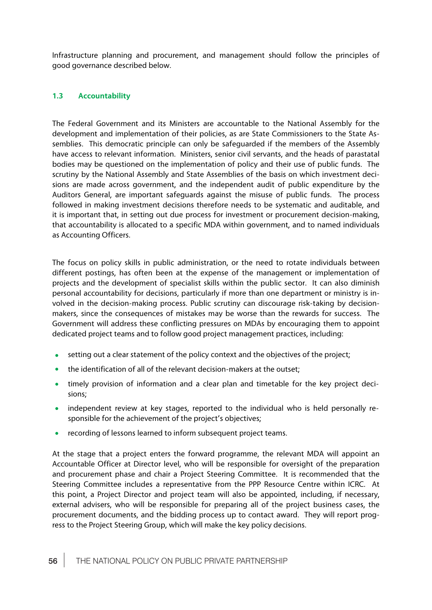Infrastructure planning and procurement, and management should follow the principles of good governance described below.

# **1.3 Accountability**

The Federal Government and its Ministers are accountable to the National Assembly for the development and implementation of their policies, as are State Commissioners to the State Assemblies. This democratic principle can only be safeguarded if the members of the Assembly have access to relevant information. Ministers, senior civil servants, and the heads of parastatal bodies may be questioned on the implementation of policy and their use of public funds. The scrutiny by the National Assembly and State Assemblies of the basis on which investment decisions are made across government, and the independent audit of public expenditure by the Auditors General, are important safeguards against the misuse of public funds. The process followed in making investment decisions therefore needs to be systematic and auditable, and it is important that, in setting out due process for investment or procurement decision-making, that accountability is allocated to a specific MDA within government, and to named individuals as Accounting Officers.

The focus on policy skills in public administration, or the need to rotate individuals between different postings, has often been at the expense of the management or implementation of projects and the development of specialist skills within the public sector. It can also diminish personal accountability for decisions, particularly if more than one department or ministry is involved in the decision-making process. Public scrutiny can discourage risk-taking by decisionmakers, since the consequences of mistakes may be worse than the rewards for success. The Government will address these conflicting pressures on MDAs by encouraging them to appoint dedicated project teams and to follow good project management practices, including:

- setting out a clear statement of the policy context and the objectives of the project;  $\bullet$
- $\bullet$ the identification of all of the relevant decision-makers at the outset;
- timely provision of information and a clear plan and timetable for the key project deci- $\bullet$ sions;
- independent review at key stages, reported to the individual who is held personally responsible for the achievement of the project's objectives;
- recording of lessons learned to inform subsequent project teams.

At the stage that a project enters the forward programme, the relevant MDA will appoint an Accountable Officer at Director level, who will be responsible for oversight of the preparation and procurement phase and chair a Project Steering Committee. It is recommended that the Steering Committee includes a representative from the PPP Resource Centre within ICRC. At this point, a Project Director and project team will also be appointed, including, if necessary, external advisers, who will be responsible for preparing all of the project business cases, the procurement documents, and the bidding process up to contact award. They will report progress to the Project Steering Group, which will make the key policy decisions.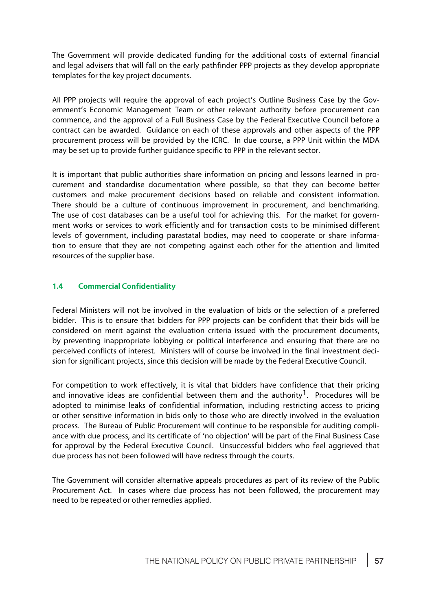The Government will provide dedicated funding for the additional costs of external financial and legal advisers that will fall on the early pathfinder PPP projects as they develop appropriate templates for the key project documents.

All PPP projects will require the approval of each project's Outline Business Case by the Government's Economic Management Team or other relevant authority before procurement can commence, and the approval of a Full Business Case by the Federal Executive Council before a contract can be awarded. Guidance on each of these approvals and other aspects of the PPP procurement process will be provided by the ICRC. In due course, a PPP Unit within the MDA may be set up to provide further guidance specific to PPP in the relevant sector.

It is important that public authorities share information on pricing and lessons learned in procurement and standardise documentation where possible, so that they can become better customers and make procurement decisions based on reliable and consistent information. There should be a culture of continuous improvement in procurement, and benchmarking. The use of cost databases can be a useful tool for achieving this. For the market for government works or services to work efficiently and for transaction costs to be minimised different levels of government, including parastatal bodies, may need to cooperate or share information to ensure that they are not competing against each other for the attention and limited resources of the supplier base.

# **1.4 Commercial Confidentiality**

Federal Ministers will not be involved in the evaluation of bids or the selection of a preferred bidder. This is to ensure that bidders for PPP projects can be confident that their bids will be considered on merit against the evaluation criteria issued with the procurement documents, by preventing inappropriate lobbying or political interference and ensuring that there are no perceived conflicts of interest. Ministers will of course be involved in the final investment decision for significant projects, since this decision will be made by the Federal Executive Council.

For competition to work effectively, it is vital that bidders have confidence that their pricing and innovative ideas are confidential between them and the authority<sup>1</sup>. Procedures will be adopted to minimise leaks of confidential information, including restricting access to pricing or other sensitive information in bids only to those who are directly involved in the evaluation process. The Bureau of Public Procurement will continue to be responsible for auditing compliance with due process, and its certificate of 'no objection' will be part of the Final Business Case for approval by the Federal Executive Council. Unsuccessful bidders who feel aggrieved that due process has not been followed will have redress through the courts.

The Government will consider alternative appeals procedures as part of its review of the Public Procurement Act. In cases where due process has not been followed, the procurement may need to be repeated or other remedies applied.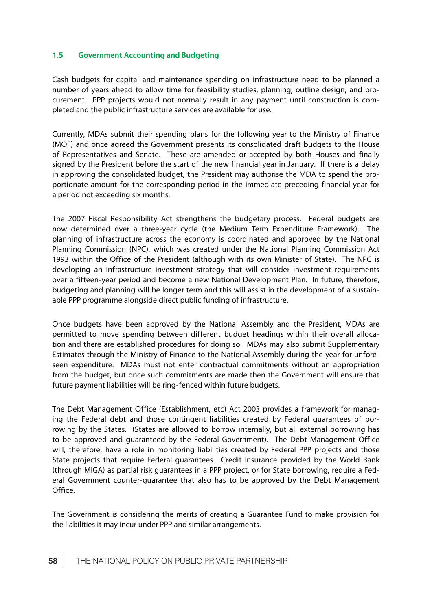## **1.5 Government Accounting and Budgeting**

Cash budgets for capital and maintenance spending on infrastructure need to be planned a number of years ahead to allow time for feasibility studies, planning, outline design, and procurement. PPP projects would not normally result in any payment until construction is completed and the public infrastructure services are available for use.

Currently, MDAs submit their spending plans for the following year to the Ministry of Finance (MOF) and once agreed the Government presents its consolidated draft budgets to the House of Representatives and Senate. These are amended or accepted by both Houses and finally signed by the President before the start of the new financial year in January. If there is a delay in approving the consolidated budget, the President may authorise the MDA to spend the proportionate amount for the corresponding period in the immediate preceding financial year for a period not exceeding six months.

The 2007 Fiscal Responsibility Act strengthens the budgetary process. Federal budgets are now determined over a three-year cycle (the Medium Term Expenditure Framework). The planning of infrastructure across the economy is coordinated and approved by the National Planning Commission (NPC), which was created under the National Planning Commission Act 1993 within the Office of the President (although with its own Minister of State). The NPC is developing an infrastructure investment strategy that will consider investment requirements over a fifteen-year period and become a new National Development Plan. In future, therefore, budgeting and planning will be longer term and this will assist in the development of a sustainable PPP programme alongside direct public funding of infrastructure.

Once budgets have been approved by the National Assembly and the President, MDAs are permitted to move spending between different budget headings within their overall allocation and there are established procedures for doing so. MDAs may also submit Supplementary Estimates through the Ministry of Finance to the National Assembly during the year for unforeseen expenditure. MDAs must not enter contractual commitments without an appropriation from the budget, but once such commitments are made then the Government will ensure that future payment liabilities will be ring-fenced within future budgets.

The Debt Management Office (Establishment, etc) Act 2003 provides a framework for managing the Federal debt and those contingent liabilities created by Federal guarantees of borrowing by the States. (States are allowed to borrow internally, but all external borrowing has to be approved and guaranteed by the Federal Government). The Debt Management Office will, therefore, have a role in monitoring liabilities created by Federal PPP projects and those State projects that require Federal guarantees. Credit insurance provided by the World Bank (through MIGA) as partial risk guarantees in a PPP project, or for State borrowing, require a Federal Government counter-guarantee that also has to be approved by the Debt Management Office.

The Government is considering the merits of creating a Guarantee Fund to make provision for the liabilities it may incur under PPP and similar arrangements.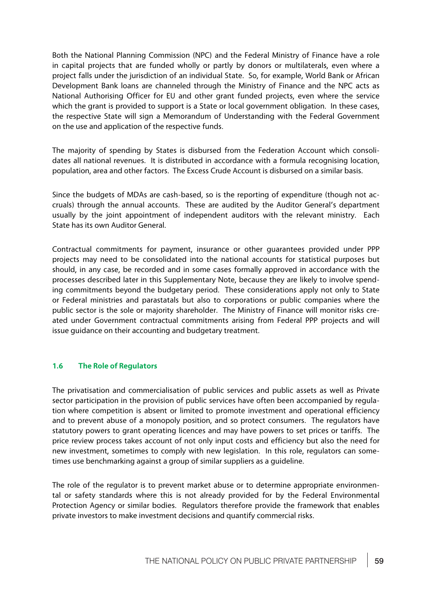Both the National Planning Commission (NPC) and the Federal Ministry of Finance have a role in capital projects that are funded wholly or partly by donors or multilaterals, even where a project falls under the jurisdiction of an individual State. So, for example, World Bank or African Development Bank loans are channeled through the Ministry of Finance and the NPC acts as National Authorising Officer for EU and other grant funded projects, even where the service which the grant is provided to support is a State or local government obligation. In these cases, the respective State will sign a Memorandum of Understanding with the Federal Government on the use and application of the respective funds.

The majority of spending by States is disbursed from the Federation Account which consolidates all national revenues. It is distributed in accordance with a formula recognising location, population, area and other factors. The Excess Crude Account is disbursed on a similar basis.

Since the budgets of MDAs are cash-based, so is the reporting of expenditure (though not accruals) through the annual accounts. These are audited by the Auditor General's department usually by the joint appointment of independent auditors with the relevant ministry. Each State has its own Auditor General.

Contractual commitments for payment, insurance or other guarantees provided under PPP projects may need to be consolidated into the national accounts for statistical purposes but should, in any case, be recorded and in some cases formally approved in accordance with the processes described later in this Supplementary Note, because they are likely to involve spending commitments beyond the budgetary period. These considerations apply not only to State or Federal ministries and parastatals but also to corporations or public companies where the public sector is the sole or majority shareholder. The Ministry of Finance will monitor risks created under Government contractual commitments arising from Federal PPP projects and will issue guidance on their accounting and budgetary treatment.

# **1.6 The Role of Regulators**

The privatisation and commercialisation of public services and public assets as well as Private sector participation in the provision of public services have often been accompanied by regulation where competition is absent or limited to promote investment and operational efficiency and to prevent abuse of a monopoly position, and so protect consumers. The regulators have statutory powers to grant operating licences and may have powers to set prices or tariffs. The price review process takes account of not only input costs and efficiency but also the need for new investment, sometimes to comply with new legislation. In this role, regulators can sometimes use benchmarking against a group of similar suppliers as a guideline.

The role of the regulator is to prevent market abuse or to determine appropriate environmental or safety standards where this is not already provided for by the Federal Environmental Protection Agency or similar bodies. Regulators therefore provide the framework that enables private investors to make investment decisions and quantify commercial risks.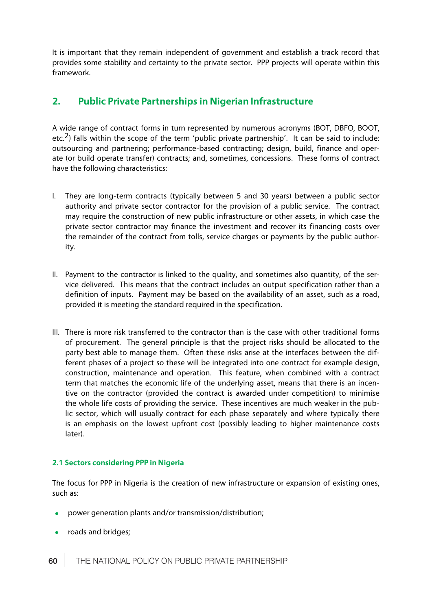It is important that they remain independent of government and establish a track record that provides some stability and certainty to the private sector. PPP projects will operate within this framework.

# **2. Public Private Partnerships in Nigerian Infrastructure**

A wide range of contract forms in turn represented by numerous acronyms (BOT, DBFO, BOOT, etc.<sup>2</sup>) falls within the scope of the term 'public private partnership'. It can be said to include: outsourcing and partnering; performance-based contracting; design, build, finance and operate (or build operate transfer) contracts; and, sometimes, concessions. These forms of contract have the following characteristics:

- I. They are long-term contracts (typically between 5 and 30 years) between a public sector authority and private sector contractor for the provision of a public service. The contract may require the construction of new public infrastructure or other assets, in which case the private sector contractor may finance the investment and recover its financing costs over the remainder of the contract from tolls, service charges or payments by the public authority.
- II. Payment to the contractor is linked to the quality, and sometimes also quantity, of the service delivered. This means that the contract includes an output specification rather than a definition of inputs. Payment may be based on the availability of an asset, such as a road, provided it is meeting the standard required in the specification.
- III. There is more risk transferred to the contractor than is the case with other traditional forms of procurement. The general principle is that the project risks should be allocated to the party best able to manage them. Often these risks arise at the interfaces between the different phases of a project so these will be integrated into one contractofor example design, construction, maintenance and operation. This feature, when combined with a contract term that matches the economic life of the underlying asset, means that there is an incentive on the contractor (provided the contract is awarded under competition) to minimise the whole life costs of providing the service. These incentives are much weaker in the public sector, which will usually contract for each phase separately and where typically there is an emphasis on the lowest upfront cost (possibly leading to higher maintenance costs later).

# **2.1 Sectors considering PPP in Nigeria**

The focus for PPP in Nigeria is the creation of new infrastructure or expansion of existing ones, such as:

- power generation plants and/or transmission/distribution;
- roads and bridges;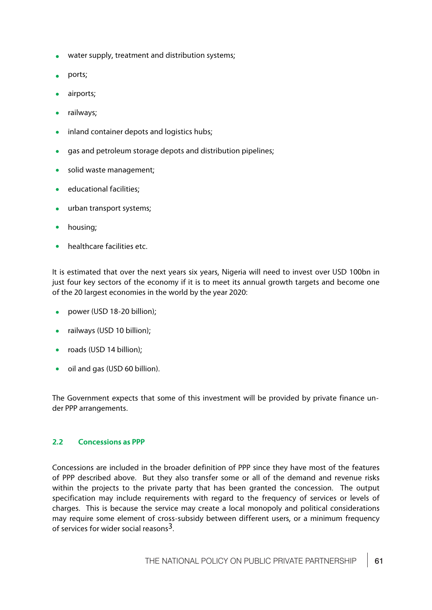- water supply, treatment and distribution systems;
- ports;
- airports;
- railways;
- inland container depots and logistics hubs;
- gas and petroleum storage depots and distribution pipelines;  $\blacksquare$
- solid waste management;
- educational facilities;
- urban transport systems;
- housing;
- healthcare facilities etc.

It is estimated that over the next years six years, Nigeria will need to invest over USD 100bn in just four key sectors of the economy if it is to meet its annual growth targets and become one of the 20 largest economies in the world by the year 2020:

- power (USD 18-20 billion);
- railways (USD 10 billion);  $\bullet$
- roads (USD 14 billion);
- oil and gas (USD 60 billion).

The Government expects that some of this investment will be provided by private finance under PPP arrangements.

# **2.2 Concessions as PPP**

Concessions are included in the broader definition of PPP since they have most of the features of PPP described above. But they also transfer some or all of the demand and revenue risks within the projects to the private party that has been granted the concession. The output specification may include requirements with regard to the frequency of services or levels of charges. This is because the service may create a local monopoly and political considerations may require some element of cross-subsidy between different users, or a minimum frequency of services for wider social reasons3.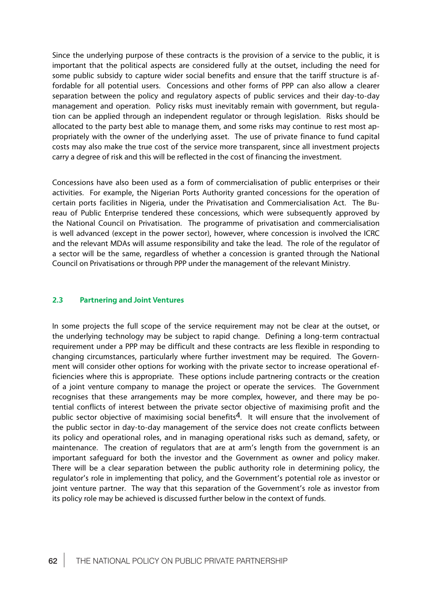Since the underlying purpose of these contracts is the provision of a service to the public, it is important that the political aspects are considered fully at the outset, including the need for some public subsidy to capture wider social benefits and ensure that the tariff structure is affordable for all potential users. Concessions and other forms of PPP can also allow a clearer separation between the policy and regulatory aspects of public services and their day-to-day management and operation. Policy risks must inevitably remain with government, but regulation can be applied through an independent regulator or through legislation. Risks should be allocated to the party best able to manage them, and some risks may continue to rest most appropriately with the owner of the underlying asset. The use of private finance to fund capital costs may also make the true cost of the service more transparent, since all investment projects carry a degree of risk and this will be reflected in the cost of financing the investment.

Concessions have also been used as a form of commercialisation of public enterprises or their activities. For example, the Nigerian Ports Authority granted concessions for the operation of certain ports facilities in Nigeria, under the Privatisation and Commercialisation Act. The Bureau of Public Enterprise tendered these concessions, which were subsequently approved by the National Council on Privatisation. The programme of privatisation and commercialisation is well advanced (except in the power sector), however, where concession is involved the ICRC and the relevant MDAs will assume responsibility and take the lead. The role of the regulator of a sector will be the same, regardless of whether a concession is granted through the National Council on Privatisations or through PPP under the management of the relevant Ministry.

## **2.3 Partnering and Joint Ventures**

In some projects the full scope of the service requirement may not be clear at the outset, or the underlying technology may be subject to rapid change. Defining a long-term contractual requirement under a PPP may be difficult and these contracts are less flexible in responding to changing circumstances, particularly where further investment may be required. The Government will consider other options for working with the private sector to increase operational efficiencies where this is appropriate. These options include partnering contracts or the creation of a joint venture company to manage the project or operate the services. The Government recognises that these arrangements may be more complex, however, and there may be potential conflicts of interest between the private sector objective of maximising profit and the public sector objective of maximising social benefits<sup>4</sup>. It will ensure that the involvement of the public sector in day-to-day management of the service does not create conflicts between its policy and operational roles, and in managing operational risks such as demand, safety, or maintenance. The creation of regulators that are at arm's length from the government is an important safeguard for both the investor and the Government as owner and policy maker. There will be a clear separation between the public authority role in determining policy, the regulator's role in implementing that policy, and the Government's potential role as investor or joint venture partner. The way that this separation of the Government's role as investor from its policy role may be achieved is discussed further below in the context of funds.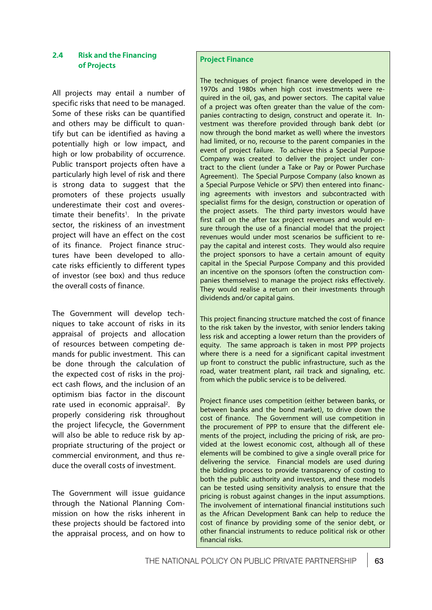# **2.4 Risk and the Financing of Projects**

All projects may entail a number of specific risks that need to be managed. Some of these risks can be quantified and others may be difficult to quantify but can be identified as having a potentially high or low impact, and high or low probability of occurrence. Public transport projects often have a particularly high level of risk and there is strong data to suggest that the promoters of these projects usually underestimate their cost and overestimate their benefits<sup>1</sup>. In the private sector, the riskiness of an investment project will have an effect on the cost of its finance. Project finance structures have been developed to allocate risks efficiently to different types of investor (see box) and thus reduce the overall costs of finance.

The Government will develop techniques to take account of risks in its appraisal of projects and allocation of resources between competing demands for public investment. This can be done through the calculation of the expected cost of risks in the project cash flows, and the inclusion of an optimism bias factor in the discount rate used in economic appraisal<sup>2</sup>. By properly considering risk throughout the project lifecycle, the Government will also be able to reduce risk by appropriate structuring of the project or commercial environment, and thus reduce the overall costs of investment.

The Government will issue guidance through the National Planning Commission on how the risks inherent in these projects should be factored into the appraisal process, and on how to

# **Project Finance**

The techniques of project finance were developed in the 1970s and 1980s when high cost investments were required in the oil, gas, and power sectors. The capital value of a project was often greater than the value of the companies contracting to design, construct and operate it. Investment was therefore provided through bank debt (or now through the bond market as well) where the investors had limited, or no, recourse to the parent companies in the event of project failure. To achieve this a Special Purpose Company was created to deliver the project under contract to the client (under a Take or Pay or Power Purchase Agreement). The Special Purpose Company (also known as a Special Purpose Vehicle or SPV) then entered into financing agreements with investors and subcontracted with specialist firms for the design, construction or operation of the project assets. The third party investors would have first call on the after tax project revenues and would ensure through the use of a financial model that the project revenues would under most scenarios be sufficient to repay the capital and interest costs. They would also require the project sponsors to have a certain amount of equity capital in the Special Purpose Company and this provided an incentive on the sponsors (often the construction companies themselves) to manage the project risks effectively. They would realise a return on their investments through dividends and/or capital gains.

This project financing structure matched the cost of finance to the risk taken by the investor, with senior lenders taking less risk and accepting a lower return than the providers of equity. The same approach is taken in most PPP projects where there is a need for a significant capital investment up front to construct the public infrastructure, such as the road, water treatment plant, rail track and signaling, etc. from which the public service is to be delivered.

Project finance uses competition (either between banks, or between banks and the bond market), to drive down the cost of finance. The Government will use competition in the procurement of PPP to ensure that the different elements of the project, including the pricing of risk, are provided at the lowest economic cost, although all of these elements will be combined to give a single overall price for delivering the service. Financial models are used during the bidding process to provide transparency of costing to both the public authority and investors, and these models can be tested using sensitivity analysis to ensure that the pricing is robust against changes in the input assumptions. The involvement of international financial institutions such as the African Development Bank can help to reduce the cost of finance by providing some of the senior debt, or other financial instruments to reduce political risk or other financial risks.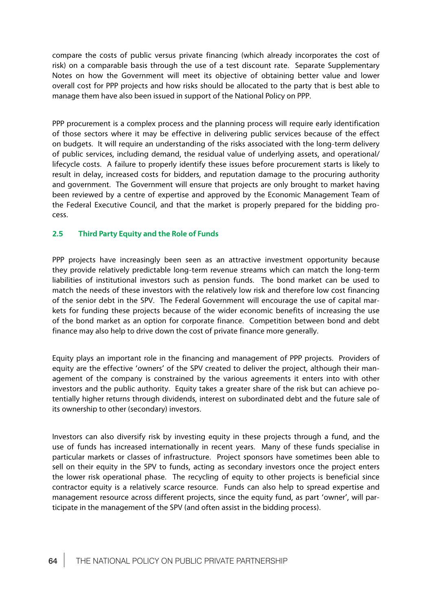compare the costs of public versus private financing (which already incorporates the cost of risk) on a comparable basis through the use of a test discount rate. Separate Supplementary Notes on how the Government will meet its objective of obtaining better value and lower overall cost for PPP projects and how risks should be allocated to the party that is best able to manage them have also been issued in support of the National Policy on PPP.

PPP procurement is a complex process and the planning process will require early identification of those sectors where it may be effective in delivering public services because of the effect on budgets. It will require an understanding of the risks associated with the long-term delivery of public services, including demand, the residual value of underlying assets, and operational/ lifecycle costs. A failure to properly identify these issues before procurement starts is likely to result in delay, increased costs for bidders, and reputation damage to the procuring authority and government. The Government will ensure that projects are only brought to market having been reviewed by a centre of expertise and approved by the Economic Management Team of the Federal Executive Council, and that the market is properly prepared for the bidding process.

# **2.5 Third Party Equity and the Role of Funds**

PPP projects have increasingly been seen as an attractive investment opportunity because they provide relatively predictable long-term revenue streams which can match the long-term liabilities of institutional investors such as pension funds. The bond market can be used to match the needs of these investors with the relatively low risk and therefore low cost financing of the senior debt in the SPV. The Federal Government will encourage the use of capital markets for funding these projects because of the wider economic benefits of increasing the use of the bond market as an option for corporate finance. Competition between bond and debt finance may also help to drive down the cost of private finance more generally.

Equity plays an important role in the financing and management of PPP projects. Providers of equity are the effective 'owners' of the SPV created to deliver the project, although their management of the company is constrained by the various agreements it enters into with other investors and the public authority. Equity takes a greater share of the risk but can achieve potentially higher returns through dividends, interest on subordinated debt and the future sale of its ownership to other (secondary) investors.

Investors can also diversify risk by investing equity in these projects through a fund, and the use of funds has increased internationally in recent years. Many of these funds specialise in particular markets or classes of infrastructure. Project sponsors have sometimes been able to sell on their equity in the SPV to funds, acting as secondary investors once the project enters the lower risk operational phase. The recycling of equity to other projects is beneficial since contractor equity is a relatively scarce resource. Funds can also help to spread expertise and management resource across different projects, since the equity fund, as part 'owner', will participate in the management of the SPV (and often assist in the bidding process).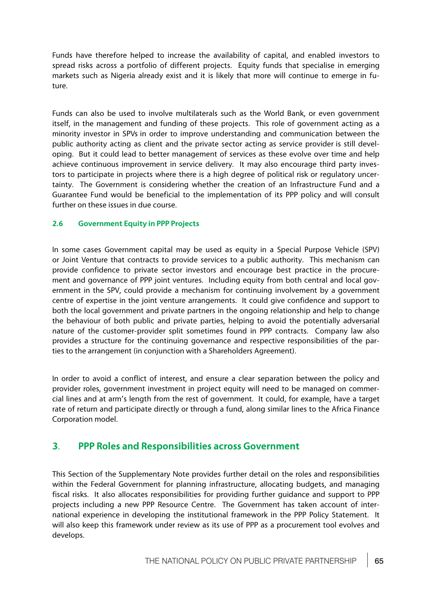Funds have therefore helped to increase the availability of capital, and enabled investors to spread risks across a portfolio of different projects. Equity funds that specialise in emerging markets such as Nigeria already exist and it is likely that more will continue to emerge in future.

Funds can also be used to involve multilaterals such as the World Bank, or even government itself, in the management and funding of these projects. This role of government acting as a minority investor in SPVs<sup>\*</sup>in order to improve understanding and communication between the public authority acting as client and the private sector acting as service provider is still developing. But it could lead to better management of services as these evolve over time and help achieve continuous improvement in service delivery. It may also encourage third party investors to participate in projects where there is a high degree of political risk or regulatory uncertainty. The Government is considering whether the creation of an Infrastructure Fund and a Guarantee Fund would be beneficial to the implementation of its PPP policy and will consult further on these issues in due course.

# **2.6 Government Equity in PPP Projects**

In some cases Government capital may be used as equity in a Special Purpose Vehicle (SPV) or Joint Venture that contracts to provide services to a public authority. This mechanism can provide confidence to private sector investors and encourage best practice in the procurement and governance of PPP joint ventures. Including equity from both central and local government in the SPV, could provide a mechanism for continuing involvement by a government centre of expertise in the joint venture arrangements. It could give confidence and support to both the local government and private partners in the ongoing relationship and help to change the behaviour of both public and private parties, helping to avoid the potentially adversarial nature of the customer-provider split sometimes found in PPP contracts. Company law also provides a structure for the continuing governance and respective responsibilities of the parties to the arrangement (in conjunction with a Shareholders Agreement).

In order to avoid a conflict of interest, and ensure a clear separation between the policy and provider roles, government investment in project equity will need to be managed on commercial lines and at arm's length from the rest of government. It could, for example, have a target rate of return and participate directly or through a fund, along similar lines to the Africa Finance Corporation model.

# **3**. **PPP Roles and Responsibilities across Government**

This Section of the Supplementary Note provides further detail on the roles and responsibilities within the Federal Government for planning infrastructure, allocating budgets, and managing fiscal risks. It also allocates responsibilities for providing further guidance and support to PPP projects including a new PPP Resource Centre. The Government has taken account of international experience in developing the institutional framework in the PPP Policy Statement. It will also keep this framework under review as its use of PPP as a procurement tool evolves and develops.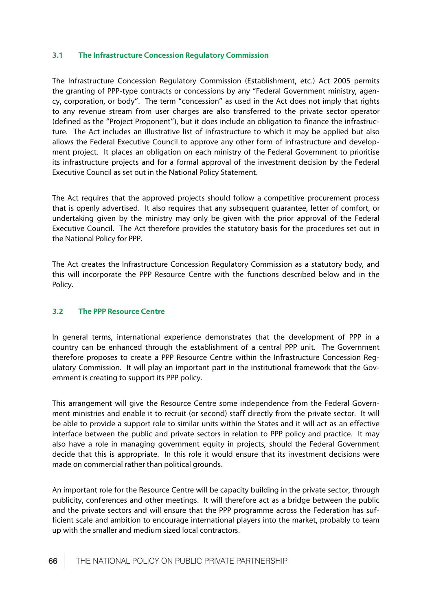# **3.1 The Infrastructure Concession Regulatory Commission**

The Infrastructure Concession Regulatory Commission (Establishment, etc.) Act 2005 permits the granting of PPP-type contracts or concessions by any "Federal Government ministry, agency, corporation, or body". The term "concession" as used in the Act does not imply that rights to any revenue stream from user charges are also transferred to the private sector operator (defined as the "Project Proponent"), but it does include an obligation to finance the infrastructure. The Act includes an illustrative list of infrastructure to which it may be applied but also allows the Federal Executive Council to approve any other form of infrastructure and development project. It places an obligation on each ministry of the Federal Government to prioritise its infrastructure projects and for a formal approval of the investment decision by the Federal Executive Council as set out in the National Policy Statement.

The Act requires that the approved projects should follow a competitive procurement process that is openly advertised. It also requires that any subsequent guarantee, letter of comfort, or undertaking given by the ministry may only be given with the prior approval of the Federal Executive Council. The Act therefore provides the statutory basis for the procedures set out in the National Policy for PPP.

The Act creates the Infrastructure Concession Regulatory Commission as a statutory body, and this will incorporate the PPP Resource Centre with the functions described below and in the Policy.

# **3.2 The PPP Resource Centre**

In general terms, international experience demonstrates that the development of PPP in a country can be enhanced through the establishment of a central PPP unit. The Government therefore proposes to create a PPP Resource Centre within the Infrastructure Concession Regulatory Commission. It will play an important part in the institutional framework that the Government is creating to support its PPP policy.

This arrangement will give the Resource Centre some independence from the Federal Government ministries and enable it to recruit (or second) staff directly from the private sector. It will be able to provide a support role to similar units within the States and it will act as an effective interface between the public and private sectors in relation to PPP policy and practice. It may also have a role in managing government equity in projects, should the Federal Government decide that this is appropriate. In this role it would ensure that its investment decisions were made on commercial rather than political grounds.

An important role for the Resource Centre will be capacity building in the private sector, through publicity, conferences and other meetings. It will therefore act as a bridge between the public and the private sectors and will ensure that the PPP programme across the Federation has sufficient scale and ambition to encourage international players into the market, probably to team up with the smaller and medium sized local contractors.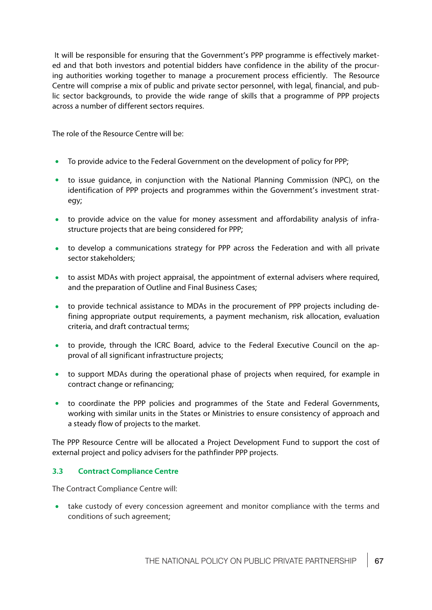It will be responsible for ensuring that the Government's PPP programme is effectively marketed and that both investors and potential bidders have confidence in the ability of the procuring authorities working together to manage a procurement process efficiently. The Resource Centre will comprise a mix of public and private sector personnel, with legal, financial, and public sector backgrounds, to provide the wide range of skills that a programme of PPP projects across a number of different sectors requires.

The role of the Resource Centre will be:

- To provide advice to the Federal Government on the development of policy for PPP;
- to issue guidance, in conjunction with the National Planning Commission (NPC), on the  $\bullet$ identification of PPP projects and programmes within the Government's investment strategy;
- to provide advice on the value for money assessment and affordability analysis of infrastructure projects that are being considered for PPP;
- to develop a communications strategy for PPP across the Federation and with all private  $\bullet$ sector stakeholders;
- to assist MDAs with project appraisal, the appointment of external advisers where required, and the preparation of Outline and Final Business Cases;
- to provide technical assistance to MDAs in the procurement of PPP projects including de- $\bullet$ fining appropriate output requirements, a payment mechanism, risk allocation, evaluation criteria, and draft contractual terms;
- to provide, through the ICRC Board, advice to the Federal Executive Council on the approval of all significant infrastructure projects;
- to support MDAs during the operational phase of projects when required, for example in contract change or refinancing;
- $\bullet$ to coordinate the PPP policies and programmes of the State and Federal Governments, working with similar units in the States or Ministries to ensure consistency of approach and a steady flow of projects to the market.

The PPP Resource Centre will be allocated a Project Development Fund to support the cost of external project and policy advisers for the pathfinder PPP projects.

# **3.3 Contract Compliance Centre**

The Contract Compliance Centre will:

take custody of every concession agreement and monitor compliance with the terms and conditions of such agreement;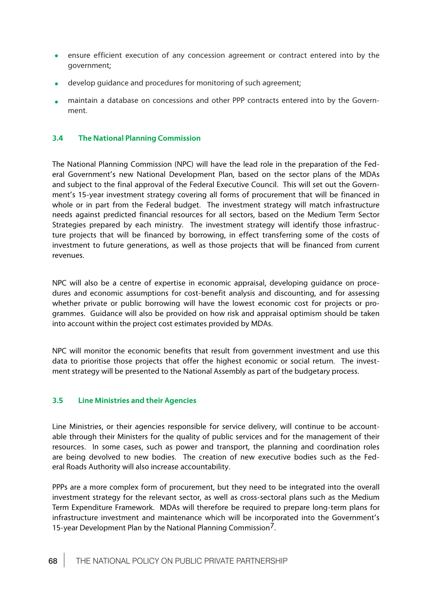- ensure efficient execution of any concession agreement or contract entered into by the  $\bullet$ government;
- $\bullet$ develop guidance and procedures for monitoring of such agreement;
- maintain a database on concessions and other PPP contracts entered into by the Govern- $\bullet$ ment.

# **3.4 The National Planning Commission**

The National Planning Commission (NPC) will have the lead role in the preparation of the Federal Government's new National Development Plan, based on the sector plans of the MDAs and subject to the final approval of the Federal Executive Council. This will set out the Government's 15-year investment strategy covering all forms of procurement that will be financed in whole or in part from the Federal budget. The investment strategy will match infrastructure needs against predicted financial resources for all sectors, based on the Medium Term Sector Strategies prepared by each ministry. The investment strategy will identify those infrastructure projects that will be financed by borrowing, in effect transferring some of the costs of investment to future generations, as well as those projects that will be financed from current revenues.

NPC will also be a centre of expertise in economic appraisal, developing guidance on procedures and economic assumptions for cost-benefit analysis and discounting, and for assessing whether private or public borrowing will have the lowest economic cost for projects or programmes. Guidance will also be provided on how risk and appraisal optimism should be taken into account within the project cost estimates provided by MDAs.

NPC will monitor the economic benefits that result from government investment and use this data to prioritise those projects that offer the highest economic or social return. The investment strategy will be presented to the National Assembly as part of the budgetary process.

## **3.5 Line Ministries and their Agencies**

Line Ministries, or their agencies responsible for service delivery, will continue to be accountable through their Ministers for the quality of public services and for the management of their resources. In some cases, such as power and transport, the planning and coordination roles are being devolved to new bodies. The creation of new executive bodies such as the Federal Roads Authority will also increase accountability.

PPPs are a more complex form of procurement, but they need to be integrated into the overall investment strategy for the relevant sector, as well as cross-sectoral plans such as the Medium Term Expenditure Framework. MDAs will therefore be required to prepare long-term plans for infrastructure investment and maintenance which will be incorporated into the Government's 15-year Development Plan by the National Planning Commission<sup>7</sup>.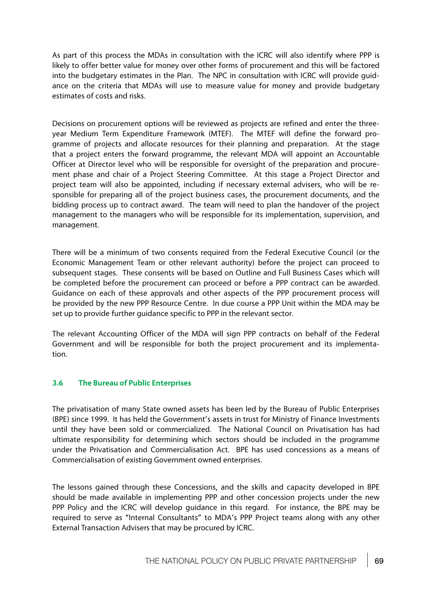As part of this process the MDAs in consultation with the ICRC will also identify where PPP is likely to offer better value for money over other forms of procurement and this will be factored into the budgetary estimates in the Plan. The NPC in consultation with ICRC will provide guidance on the criteria that MDAs will use to measure value for money and provide budgetary estimates of costs and risks.

Decisions on procurement options will be reviewed as projects are refined and enter the threeyear Medium Term Expenditure Framework (MTEF). The MTEF will define the forward programme of projects and allocate resources for their planning and preparation. At the stage that a project enters the forward programme, the relevant MDA will appoint an Accountable Officer at Director level who will be responsible for oversight of the preparation and procurement phase and chair of a Project Steering Committee. At this stage a Project Director and project team will also be appointed, including if necessary external advisers, who will be responsible for preparing all of the project business cases, the procurement documents, and the bidding process up to contract award. The team will need to plan the handover of the project management to the managers who will be responsible for its implementation, supervision, and management.

There will be a minimum of two consents required from the Federal Executive Council (or the Economic Management Team or other relevant authority) before the project can proceed to subsequent stages. These consents will be based on Outline and Full Business Cases which will be completed before the procurement can proceed or before a PPP contract can be awarded. Guidance on each of these approvals and other aspects of the PPP procurement process will be provided by the new PPP Resource Centre. In due course a PPP Unit within the MDA may be set up to provide further guidance specific to PPP in the relevant sector.

The relevant Accounting Officer of the MDA will sign PPP contracts on behalf of the Federal Government and will be responsible for both the project procurement and its implementation.

### **3.6 The Bureau of Public Enterprises**

The privatisation of many State owned assets has been led by the Bureau of Public Enterprises (BPE) since 1999. It has held the Government's assets in trust for Ministry of Finance Investments until they have been sold or commercialized. The National Council on Privatisation has had ultimate responsibility for determining which sectors should be included in the programme under the Privatisation and Commercialisation Act. BPE has used concessions as a means of Commercialisation of existing Government owned enterprises.

The lessons gained through these Concessions, and the skills and capacity developed in BPE should be made available in implementing PPP and other concession projects under the new PPP Policy and the ICRC will develop guidance in this regard. For instance, the BPE may be required to serve as "Internal Consultants" to MDA's PPP Project teams along with any other External Transaction Advisers that may be procured by ICRC.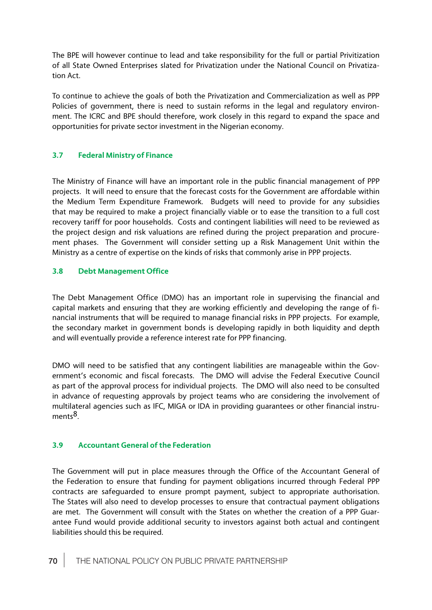The BPE will however continue to lead and take responsibility for the full or partial Privitization of all State Owned Enterprises slated for Privatization under the National Council on Privatization Act.

To continue to achieve the goals of both the Privatization and Commercialization as well as PPP Policies of government, there is need to sustain reforms in the legal and regulatory environment. The ICRC and BPE should therefore, work closely in this regard to expand the space and opportunities for private sector investment in the Nigerian economy.

### **3.7 Federal Ministry of Finance**

The Ministry of Finance will have an important role in the public financial management of PPP projects. It will need to ensure that the forecast costs for the Government are affordable within the Medium Term Expenditure Framework. Budgets will need to provide for any subsidies that may be required to make a project financially viable or to ease the transition to a full cost recovery tariff for poor households. Costs and contingent liabilities will need to be reviewed as the project design and risk valuations are refined during the project preparation and procurement phases. The Government will consider setting up a Risk Management Unit within the Ministry as a centre of expertise on the kinds of risks that commonly arise in PPP projects.

### **3.8 Debt Management Office**

The Debt Management Office (DMO) has an important role in supervising the financial and capital markets and ensuring that they are working efficiently and developing the range of financial instruments that will be required to manage financial risks in PPP projects. For example, the secondary market in government bonds is developing rapidly in both liquidity and depth and will eventually provide a reference interest rate for PPP financing.

DMO will need to be satisfied that any contingent liabilities are manageable within the Government's economic and fiscal forecasts. The DMO will advise the Federal Executive Council as part of the approval process for individual projects. The DMO will also need to be consulted in advance of requesting approvals by project teams who are considering the involvement of multilateral agencies such as IFC, MIGA or IDA in providing guarantees or other financial instruments8.

### **3.9 Accountant General of the Federation**

The Government will put in place measures through the Office of the Accountant General of the Federation to ensure that funding for payment obligations incurred through Federal PPP contracts are safeguarded to ensure prompt payment, subject to appropriate authorisation. The States will also need to develop processes to ensure that contractual payment obligations are met. The Government will consult with the States on whether the creation of a PPP Guarantee Fund would provide additional security to investors against both actual and contingent liabilities should this be required.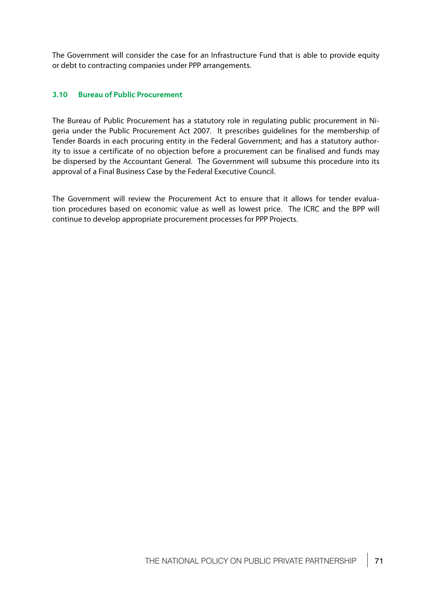The Government will consider the case for an Infrastructure Fund that is able to provide equity or debt to contracting companies under PPP arrangements.

### **3.10 Bureau of Public Procurement**

The Bureau of Public Procurement has a statutory role in regulating public procurement in Nigeria under the Public Procurement Act 2007. It prescribes guidelines for the membership of Tender Boards in each procuring entity in the Federal Government; and has a statutory authority to issue a certificate of no objection before a procurement can be finalised and funds may be dispersed by the Accountant General. The Government will subsume this procedure into its approval of a Final Business Case by the Federal Executive Council.

The Government will review the Procurement Act to ensure that it allows for tender evaluation procedures based on economic value as well as lowest price. The ICRC and the BPP will continue to develop appropriate procurement processes for PPP Projects.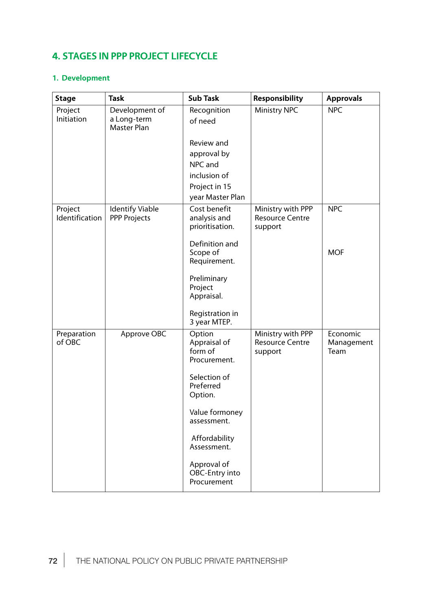# **4. STAGES IN PPP PROJECT LIFECYCLE**

## **1. Development**

| <b>Stage</b>              | <b>Task</b>                                         | <b>Sub Task</b>                                   | Responsibility                                         | <b>Approvals</b>               |
|---------------------------|-----------------------------------------------------|---------------------------------------------------|--------------------------------------------------------|--------------------------------|
| Project<br>Initiation     | Development of<br>a Long-term<br><b>Master Plan</b> | Recognition<br>of need                            | <b>Ministry NPC</b>                                    | <b>NPC</b>                     |
|                           |                                                     | Review and<br>approval by<br>NPC and              |                                                        |                                |
|                           |                                                     | inclusion of<br>Project in 15<br>year Master Plan |                                                        |                                |
| Project<br>Identification | <b>Identify Viable</b><br><b>PPP Projects</b>       | Cost benefit<br>analysis and<br>prioritisation.   | Ministry with PPP<br><b>Resource Centre</b><br>support | <b>NPC</b>                     |
|                           |                                                     | Definition and<br>Scope of<br>Requirement.        |                                                        | <b>MOF</b>                     |
|                           |                                                     | Preliminary<br>Project<br>Appraisal.              |                                                        |                                |
|                           |                                                     | Registration in<br>3 year MTEP.                   |                                                        |                                |
| Preparation<br>of OBC     | Approve OBC                                         | Option<br>Appraisal of<br>form of<br>Procurement. | Ministry with PPP<br><b>Resource Centre</b><br>support | Economic<br>Management<br>Team |
|                           |                                                     | Selection of<br>Preferred<br>Option.              |                                                        |                                |
|                           |                                                     | Value formoney<br>assessment.                     |                                                        |                                |
|                           |                                                     | Affordability<br>Assessment.                      |                                                        |                                |
|                           |                                                     | Approval of<br>OBC-Entry into<br>Procurement      |                                                        |                                |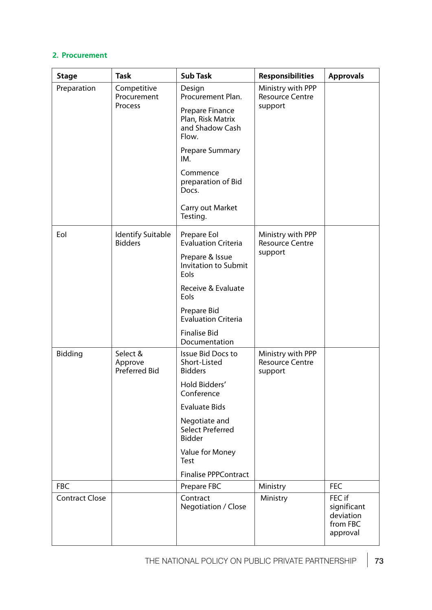### **2. Procurement**

| <b>Stage</b>          | <b>Task</b>                                 | <b>Sub Task</b>                                                  | <b>Responsibilities</b>                                | <b>Approvals</b>                                           |
|-----------------------|---------------------------------------------|------------------------------------------------------------------|--------------------------------------------------------|------------------------------------------------------------|
| Preparation           | Competitive<br>Procurement<br>Process       | Design<br>Procurement Plan.                                      | Ministry with PPP<br><b>Resource Centre</b><br>support |                                                            |
|                       |                                             | Prepare Finance<br>Plan, Risk Matrix<br>and Shadow Cash<br>Flow. |                                                        |                                                            |
|                       |                                             | Prepare Summary<br>IM.                                           |                                                        |                                                            |
|                       |                                             | Commence<br>preparation of Bid<br>Docs.                          |                                                        |                                                            |
|                       |                                             | Carry out Market<br>Testing.                                     |                                                        |                                                            |
| Eol                   | <b>Identify Suitable</b><br><b>Bidders</b>  | Prepare Eol<br><b>Evaluation Criteria</b>                        | Ministry with PPP<br><b>Resource Centre</b><br>support |                                                            |
|                       |                                             | Prepare & Issue<br><b>Invitation to Submit</b><br>Eols           |                                                        |                                                            |
|                       |                                             | Receive & Evaluate<br>Eols                                       |                                                        |                                                            |
|                       |                                             | Prepare Bid<br><b>Evaluation Criteria</b>                        |                                                        |                                                            |
|                       |                                             | <b>Finalise Bid</b><br>Documentation                             |                                                        |                                                            |
| Bidding               | Select &<br>Approve<br><b>Preferred Bid</b> | Issue Bid Docs to<br>Short-Listed<br><b>Bidders</b>              | Ministry with PPP<br><b>Resource Centre</b><br>support |                                                            |
|                       |                                             | Hold Bidders'<br>Conference                                      |                                                        |                                                            |
|                       |                                             | <b>Evaluate Bids</b>                                             |                                                        |                                                            |
|                       |                                             | Negotiate and<br>Select Preferred<br><b>Bidder</b>               |                                                        |                                                            |
|                       |                                             | Value for Money<br>Test                                          |                                                        |                                                            |
|                       |                                             | <b>Finalise PPPContract</b>                                      |                                                        |                                                            |
| <b>FBC</b>            |                                             | Prepare FBC                                                      | Ministry                                               | <b>FEC</b>                                                 |
| <b>Contract Close</b> |                                             | Contract<br>Negotiation / Close                                  | Ministry                                               | FEC if<br>significant<br>deviation<br>from FBC<br>approval |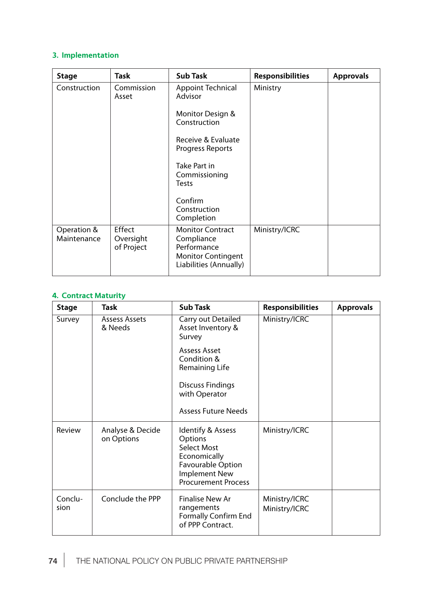### **3. Implementation**

| <b>Stage</b>               | Task                              | <b>Sub Task</b>                                                                                             | <b>Responsibilities</b> | <b>Approvals</b> |
|----------------------------|-----------------------------------|-------------------------------------------------------------------------------------------------------------|-------------------------|------------------|
| Construction               | Commission<br>Asset               | <b>Appoint Technical</b><br>Advisor                                                                         | Ministry                |                  |
|                            |                                   | Monitor Design &<br>Construction                                                                            |                         |                  |
|                            |                                   | Receive & Evaluate<br>Progress Reports                                                                      |                         |                  |
|                            |                                   | Take Part in<br>Commissioning<br>Tests                                                                      |                         |                  |
|                            |                                   | Confirm<br>Construction<br>Completion                                                                       |                         |                  |
| Operation &<br>Maintenance | Effect<br>Oversight<br>of Project | <b>Monitor Contract</b><br>Compliance<br>Performance<br><b>Monitor Contingent</b><br>Liabilities (Annually) | Ministry/ICRC           |                  |

### **4. Contract Maturity**

| <b>Stage</b>    | Task                            | <b>Sub Task</b>                                                                                                                               | <b>Responsibilities</b>        | <b>Approvals</b> |
|-----------------|---------------------------------|-----------------------------------------------------------------------------------------------------------------------------------------------|--------------------------------|------------------|
| Survey          | <b>Assess Assets</b><br>& Needs | Carry out Detailed<br>Asset Inventory &<br>Survey                                                                                             | Ministry/ICRC                  |                  |
|                 |                                 | Assess Asset<br>Condition &<br>Remaining Life                                                                                                 |                                |                  |
|                 |                                 | <b>Discuss Findings</b><br>with Operator                                                                                                      |                                |                  |
|                 |                                 | <b>Assess Future Needs</b>                                                                                                                    |                                |                  |
| Review          | Analyse & Decide<br>on Options  | Identify & Assess<br>Options<br>Select Most<br>Economically<br><b>Favourable Option</b><br><b>Implement New</b><br><b>Procurement Process</b> | Ministry/ICRC                  |                  |
| Conclu-<br>sion | Conclude the PPP                | Finalise New Ar<br>rangements<br>Formally Confirm End<br>of PPP Contract.                                                                     | Ministry/ICRC<br>Ministry/ICRC |                  |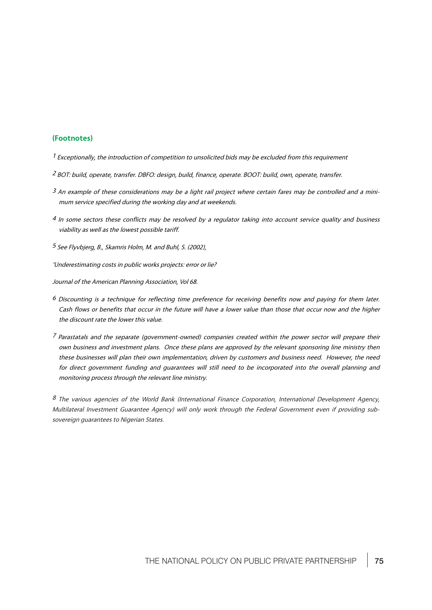#### **(Footnotes)**

- $1$  Exceptionally, the introduction of competition to unsolicited bids may be excluded from this requirement
- 2 BOT: build, operate, transfer. DBFO: design, build, finance, operate. BOOT: build, own, operate, transfer.
- $3$  An example of these considerations may be a light rail project where certain fares may be controlled and a minimum service specified during the working day and at weekends.
- 4 In some sectors these conflicts may be resolved by a regulator taking into account service quality and business viability as well as the lowest possible tariff.

<sup>5</sup> See Flyvbjerg, B., Skamris Holm, M. and Buhl, S. (2002),

'Underestimating costs in public works projects: error or lie?

Journal of the American Planning Association, Vol 68.

- <sup>6</sup> Discounting is a technique for reflecting time preference for receiving benefits now and paying for them later. Cash flows or benefits that occur in the future will have a lower value than those that occur now and the higher the discount rate the lower this value.
- 7 Parastatals and the separate (government-owned) companies created within the power sector will prepare their own business and investment plans. Once these plans are approved by the relevant sponsoring line ministry then these businesses will plan their own implementation, driven by customers and business need. However, the need for direct government funding and guarantees will still need to be incorporated into the overall planning and monitoring process through the relevant line ministry.

8 The various agencies of the World Bank (International Finance Corporation, International Development Agency, Multilateral Investment Guarantee Agency) will only work through the Federal Government even if providing subsovereign guarantees to Nigerian States.